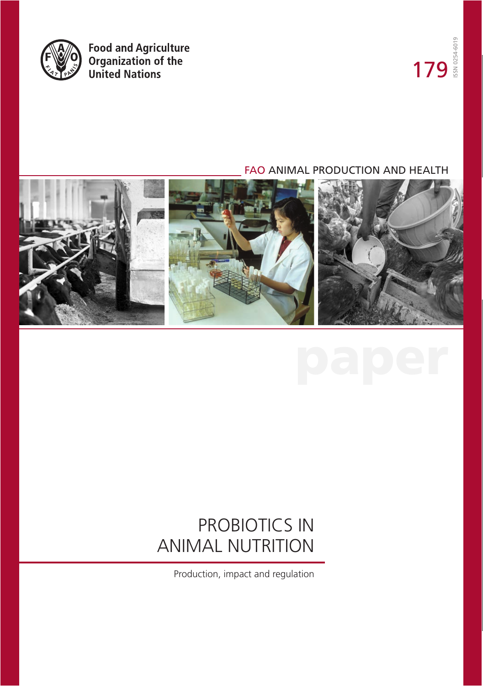

Food and Agriculture<br>Organization of the<br>United Nations

### FAO ANIMAL PRODUCTION AND HEALTH





### PROBIOTICS IN ANIMAL NUTRITION

Production, impact and regulation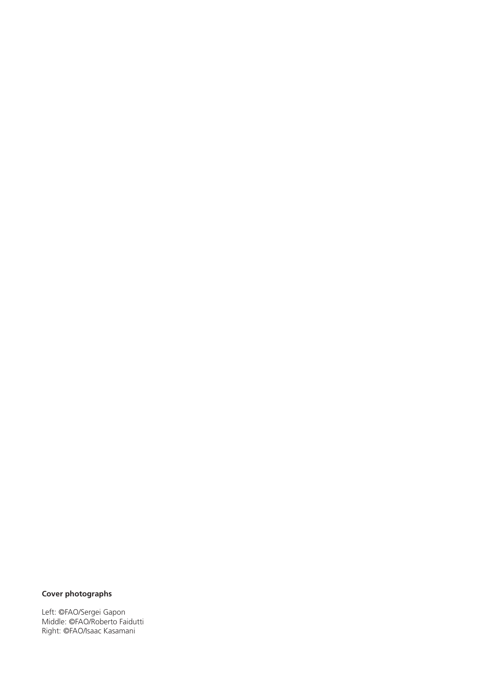### **Cover photographs**

Left: ©FAO/Sergei Gapon Middle: ©FAO/Roberto Faidutti Right: ©FAO/Isaac Kasamani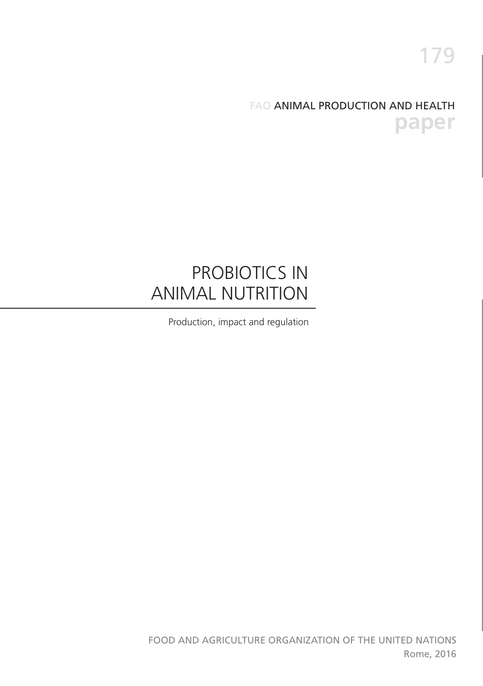### FAO ANIMAL PRODUCTION AND HEALTH **paper**

### PROBIOTICS IN ANIMAL NUTRITION

Production, impact and regulation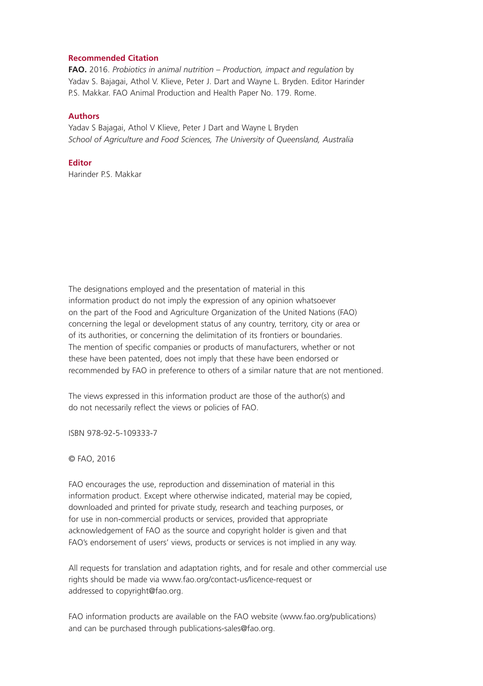#### **Recommended Citation**

**FAO.** 2016. *Probiotics in animal nutrition – Production, impact and regulation* by Yadav S. Bajagai, Athol V. Klieve, Peter J. Dart and Wayne L. Bryden. Editor Harinder P.S. Makkar. FAO Animal Production and Health Paper No. 179. Rome.

#### **Authors**

Yadav S Bajagai, Athol V Klieve, Peter J Dart and Wayne L Bryden *School of Agriculture and Food Sciences, The University of Queensland, Australia*

#### **Editor**

Harinder P.S. Makkar

The designations employed and the presentation of material in this information product do not imply the expression of any opinion whatsoever on the part of the Food and Agriculture Organization of the United Nations (FAO) concerning the legal or development status of any country, territory, city or area or of its authorities, or concerning the delimitation of its frontiers or boundaries. The mention of specific companies or products of manufacturers, whether or not these have been patented, does not imply that these have been endorsed or recommended by FAO in preference to others of a similar nature that are not mentioned.

The views expressed in this information product are those of the author(s) and do not necessarily reflect the views or policies of FAO.

ISBN 978-92-5-109333-7

© FAO, 2016

FAO encourages the use, reproduction and dissemination of material in this information product. Except where otherwise indicated, material may be copied, downloaded and printed for private study, research and teaching purposes, or for use in non-commercial products or services, provided that appropriate acknowledgement of FAO as the source and copyright holder is given and that FAO's endorsement of users' views, products or services is not implied in any way.

All requests for translation and adaptation rights, and for resale and other commercial use rights should be made via www.fao.org/contact-us/licence-request or addressed to copyright@fao.org.

FAO information products are available on the FAO website (www.fao.org/publications) and can be purchased through publications-sales@fao.org.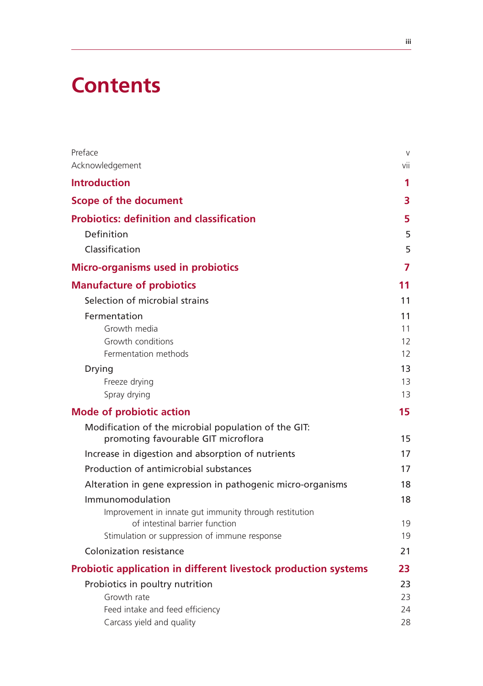# **Contents**

| Preface<br>Acknowledgement                                                                  | $\vee$<br>vii |
|---------------------------------------------------------------------------------------------|---------------|
|                                                                                             |               |
| <b>Introduction</b>                                                                         | 1             |
| <b>Scope of the document</b>                                                                | 3             |
| <b>Probiotics: definition and classification</b>                                            | 5             |
| Definition                                                                                  | 5             |
| Classification                                                                              | 5             |
| <b>Micro-organisms used in probiotics</b>                                                   | 7             |
| <b>Manufacture of probiotics</b>                                                            | 11            |
| Selection of microbial strains                                                              | 11            |
| Fermentation                                                                                | 11            |
| Growth media                                                                                | 11            |
| Growth conditions                                                                           | 12            |
| Fermentation methods                                                                        | 12            |
| Drying                                                                                      | 13            |
| Freeze drying<br>Spray drying                                                               | 13<br>13      |
|                                                                                             | 15            |
| <b>Mode of probiotic action</b>                                                             |               |
| Modification of the microbial population of the GIT:<br>promoting favourable GIT microflora | 15            |
| Increase in digestion and absorption of nutrients                                           | 17            |
| Production of antimicrobial substances                                                      | 17            |
| Alteration in gene expression in pathogenic micro-organisms                                 | 18            |
| Immunomodulation                                                                            | 18            |
| Improvement in innate gut immunity through restitution                                      |               |
| of intestinal barrier function                                                              | 19            |
| Stimulation or suppression of immune response                                               | 19            |
| Colonization resistance                                                                     | 21            |
| <b>Probiotic application in different livestock production systems</b>                      | 23            |
| Probiotics in poultry nutrition                                                             | 23            |
| Growth rate                                                                                 | 23            |
| Feed intake and feed efficiency<br>Carcass yield and quality                                | 24<br>28      |
|                                                                                             |               |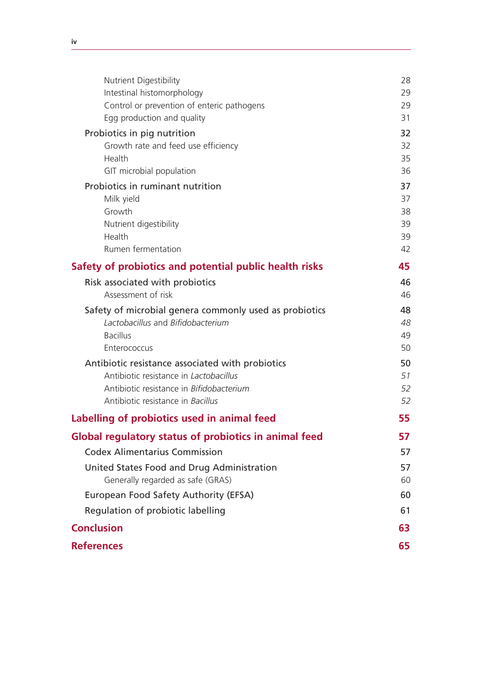| Nutrient Digestibility                                 | 28       |
|--------------------------------------------------------|----------|
| Intestinal histomorphology                             | 29       |
| Control or prevention of enteric pathogens             | 29       |
| Egg production and quality                             | 31       |
| Probiotics in pig nutrition                            | 32       |
| Growth rate and feed use efficiency                    | 32       |
| Health<br>GIT microbial population                     | 35<br>36 |
| Probiotics in ruminant nutrition                       | 37       |
| Milk yield                                             | 37       |
| Growth                                                 | 38       |
| Nutrient digestibility                                 | 39       |
| Health                                                 | 39       |
| Rumen fermentation                                     | 42       |
| Safety of probiotics and potential public health risks | 45       |
| Risk associated with probiotics                        | 46       |
| Assessment of risk                                     | 46       |
| Safety of microbial genera commonly used as probiotics | 48       |
| Lactobacillus and Bifidobacterium                      | 48       |
| <b>Bacillus</b>                                        | 49       |
| Enterococcus                                           | 50       |
| Antibiotic resistance associated with probiotics       | 50       |
| Antibiotic resistance in Lactobacillus                 | 51       |
| Antibiotic resistance in Bifidobacterium               | 52       |
| Antibiotic resistance in Bacillus                      | 52       |
| Labelling of probiotics used in animal feed            | 55       |
| Global regulatory status of probiotics in animal feed  | 57       |
| <b>Codex Alimentarius Commission</b>                   | 57       |
| United States Food and Drug Administration             | 57       |
| Generally regarded as safe (GRAS)                      | 60       |
| European Food Safety Authority (EFSA)                  | 60       |
| Regulation of probiotic labelling                      | 61       |
| <b>Conclusion</b>                                      | 63       |
| <b>References</b>                                      | 65       |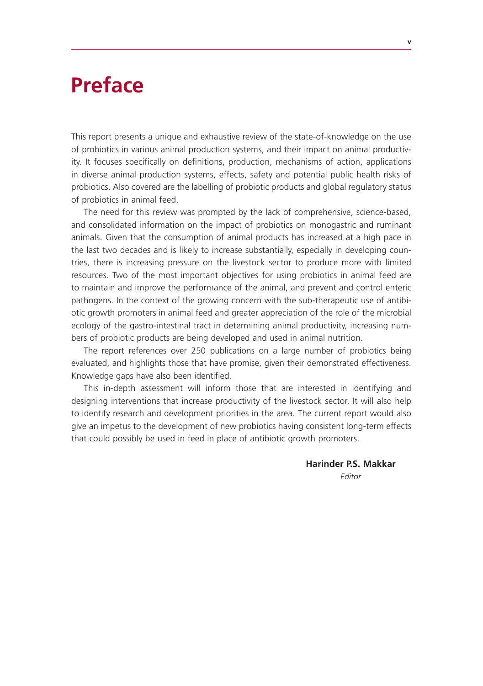### **Preface**

This report presents a unique and exhaustive review of the state-of-knowledge on the use of probiotics in various animal production systems, and their impact on animal productivity. It focuses specifically on definitions, production, mechanisms of action, applications in diverse animal production systems, effects, safety and potential public health risks of probiotics. Also covered are the labelling of probiotic products and global regulatory status of probiotics in animal feed.

The need for this review was prompted by the lack of comprehensive, science-based, and consolidated information on the impact of probiotics on monogastric and ruminant animals. Given that the consumption of animal products has increased at a high pace in the last two decades and is likely to increase substantially, especially in developing countries, there is increasing pressure on the livestock sector to produce more with limited resources. Two of the most important objectives for using probiotics in animal feed are to maintain and improve the performance of the animal, and prevent and control enteric pathogens. In the context of the growing concern with the sub-therapeutic use of antibiotic growth promoters in animal feed and greater appreciation of the role of the microbial ecology of the gastro-intestinal tract in determining animal productivity, increasing numbers of probiotic products are being developed and used in animal nutrition.

The report references over 250 publications on a large number of probiotics being evaluated, and highlights those that have promise, given their demonstrated effectiveness. Knowledge gaps have also been identified.

This in-depth assessment will inform those that are interested in identifying and designing interventions that increase productivity of the livestock sector. It will also help to identify research and development priorities in the area. The current report would also give an impetus to the development of new probiotics having consistent long-term effects that could possibly be used in feed in place of antibiotic growth promoters.

> **Harinder P.S. Makkar** *Editor*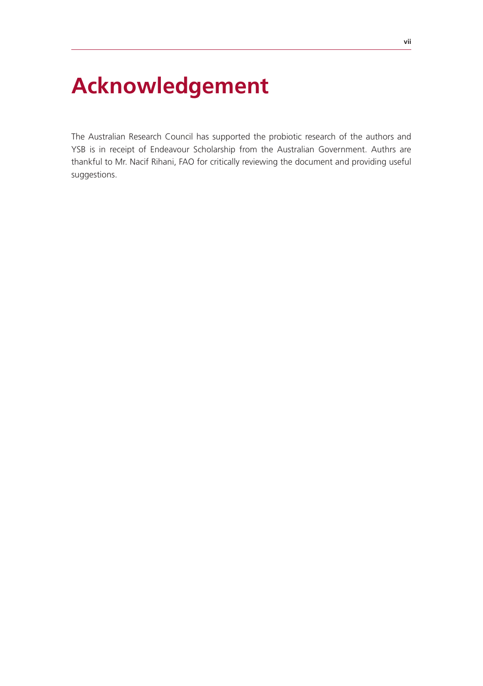# **Acknowledgement**

The Australian Research Council has supported the probiotic research of the authors and YSB is in receipt of Endeavour Scholarship from the Australian Government. Authrs are thankful to Mr. Nacif Rihani, FAO for critically reviewing the document and providing useful suggestions.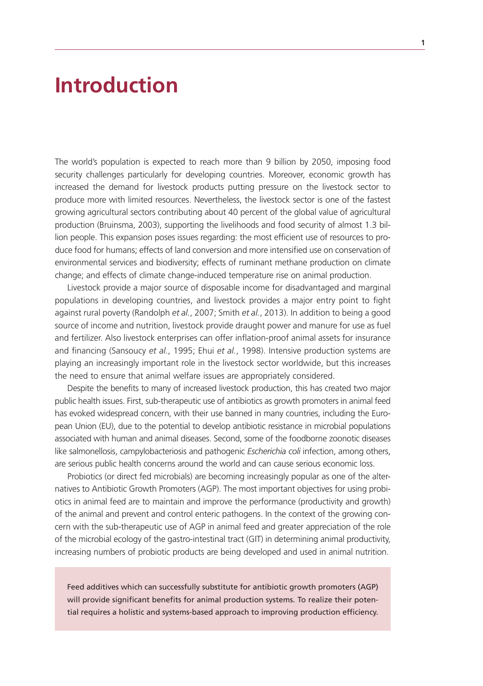### **Introduction**

The world's population is expected to reach more than 9 billion by 2050, imposing food security challenges particularly for developing countries. Moreover, economic growth has increased the demand for livestock products putting pressure on the livestock sector to produce more with limited resources. Nevertheless, the livestock sector is one of the fastest growing agricultural sectors contributing about 40 percent of the global value of agricultural production (Bruinsma, 2003), supporting the livelihoods and food security of almost 1.3 billion people. This expansion poses issues regarding: the most efficient use of resources to produce food for humans; effects of land conversion and more intensified use on conservation of environmental services and biodiversity; effects of ruminant methane production on climate change; and effects of climate change-induced temperature rise on animal production.

Livestock provide a major source of disposable income for disadvantaged and marginal populations in developing countries, and livestock provides a major entry point to fight against rural poverty (Randolph *et al.*, 2007; Smith *et al.*, 2013). In addition to being a good source of income and nutrition, livestock provide draught power and manure for use as fuel and fertilizer. Also livestock enterprises can offer inflation-proof animal assets for insurance and financing (Sansoucy *et al.*, 1995; Ehui *et al.*, 1998). Intensive production systems are playing an increasingly important role in the livestock sector worldwide, but this increases the need to ensure that animal welfare issues are appropriately considered.

Despite the benefits to many of increased livestock production, this has created two major public health issues. First, sub-therapeutic use of antibiotics as growth promoters in animal feed has evoked widespread concern, with their use banned in many countries, including the European Union (EU), due to the potential to develop antibiotic resistance in microbial populations associated with human and animal diseases. Second, some of the foodborne zoonotic diseases like salmonellosis, campylobacteriosis and pathogenic *Escherichia coli* infection, among others, are serious public health concerns around the world and can cause serious economic loss.

Probiotics (or direct fed microbials) are becoming increasingly popular as one of the alternatives to Antibiotic Growth Promoters (AGP). The most important objectives for using probiotics in animal feed are to maintain and improve the performance (productivity and growth) of the animal and prevent and control enteric pathogens. In the context of the growing concern with the sub-therapeutic use of AGP in animal feed and greater appreciation of the role of the microbial ecology of the gastro-intestinal tract (GIT) in determining animal productivity, increasing numbers of probiotic products are being developed and used in animal nutrition.

Feed additives which can successfully substitute for antibiotic growth promoters (AGP) will provide significant benefits for animal production systems. To realize their potential requires a holistic and systems-based approach to improving production efficiency.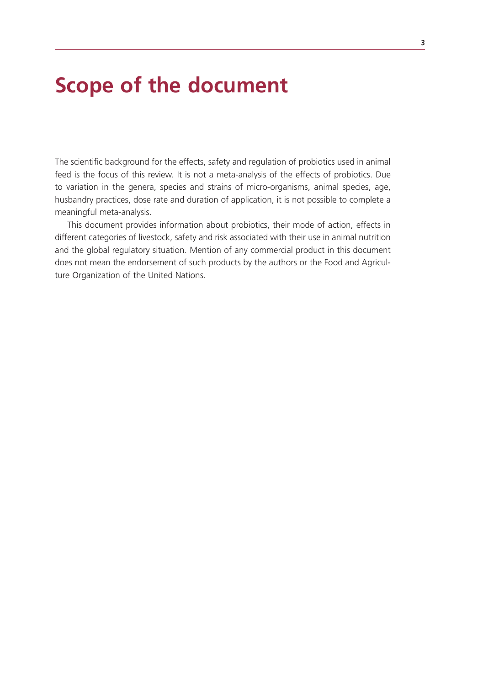## **Scope of the document**

The scientific background for the effects, safety and regulation of probiotics used in animal feed is the focus of this review. It is not a meta-analysis of the effects of probiotics. Due to variation in the genera, species and strains of micro-organisms, animal species, age, husbandry practices, dose rate and duration of application, it is not possible to complete a meaningful meta-analysis.

This document provides information about probiotics, their mode of action, effects in different categories of livestock, safety and risk associated with their use in animal nutrition and the global regulatory situation. Mention of any commercial product in this document does not mean the endorsement of such products by the authors or the Food and Agriculture Organization of the United Nations.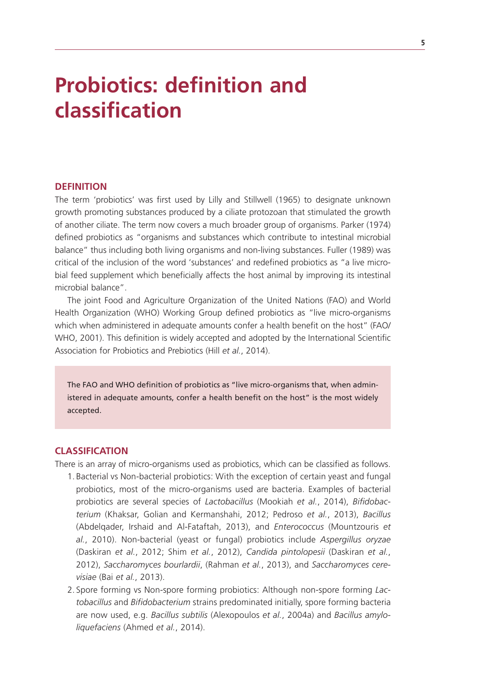# **Probiotics: definition and classification**

#### **DEFINITION**

The term 'probiotics' was first used by Lilly and Stillwell (1965) to designate unknown growth promoting substances produced by a ciliate protozoan that stimulated the growth of another ciliate. The term now covers a much broader group of organisms. Parker (1974) defined probiotics as "organisms and substances which contribute to intestinal microbial balance" thus including both living organisms and non-living substances. Fuller (1989) was critical of the inclusion of the word 'substances' and redefined probiotics as "a live microbial feed supplement which beneficially affects the host animal by improving its intestinal microbial balance".

The joint Food and Agriculture Organization of the United Nations (FAO) and World Health Organization (WHO) Working Group defined probiotics as "live micro-organisms which when administered in adequate amounts confer a health benefit on the host" (FAO/ WHO, 2001). This definition is widely accepted and adopted by the International Scientific Association for Probiotics and Prebiotics (Hill *et al.*, 2014).

The FAO and WHO definition of probiotics as "live micro-organisms that, when administered in adequate amounts, confer a health benefit on the host" is the most widely accepted.

#### **CLASSIFICATION**

There is an array of micro-organisms used as probiotics, which can be classified as follows.

- 1. Bacterial vs Non-bacterial probiotics: With the exception of certain yeast and fungal probiotics, most of the micro-organisms used are bacteria. Examples of bacterial probiotics are several species of *Lactobacillus* (Mookiah *et al.*, 2014), *Bifidobacterium* (Khaksar, Golian and Kermanshahi, 2012; Pedroso *et al.*, 2013), *Bacillus*  (Abdelqader, Irshaid and Al-Fataftah, 2013), and *Enterococcus* (Mountzouris *et al.*, 2010). Non-bacterial (yeast or fungal) probiotics include *Aspergillus oryzae* (Daskiran *et al.*, 2012; Shim *et al.*, 2012), *Candida pintolopesii* (Daskiran *et al.*, 2012), *Saccharomyces bourlardii*, (Rahman *et al.*, 2013), and *Saccharomyces cerevisiae* (Bai *et al.*, 2013).
- 2. Spore forming vs Non-spore forming probiotics: Although non-spore forming *Lactobacillus* and *Bifidobacterium* strains predominated initially, spore forming bacteria are now used, e.g. *Bacillus subtilis* (Alexopoulos *et al.*, 2004a) and *Bacillus amyloliquefaciens* (Ahmed *et al.*, 2014).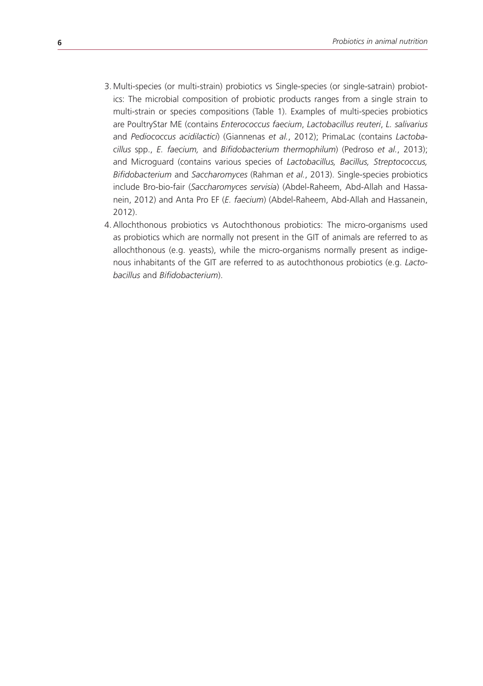- 3. Multi-species (or multi-strain) probiotics vs Single-species (or single-satrain) probiotics: The microbial composition of probiotic products ranges from a single strain to multi-strain or species compositions (Table 1). Examples of multi-species probiotics are PoultryStar ME (contains *Enterococcus faecium*, *Lactobacillus reuteri*, *L. salivarius* and *Pediococcus acidilactici*) (Giannenas *et al.*, 2012); PrimaLac (contains *Lactobacillus* spp., *E. faecium,* and *Bifidobacterium thermophilum*) (Pedroso *et al.*, 2013); and Microguard (contains various species of *Lactobacillus, Bacillus, Streptococcus, Bifidobacterium* and *Saccharomyces* (Rahman *et al.*, 2013). Single-species probiotics include Bro-bio-fair (*Saccharomyces servisia*) (Abdel-Raheem, Abd-Allah and Hassanein, 2012) and Anta Pro EF (*E. faecium*) (Abdel-Raheem, Abd-Allah and Hassanein, 2012).
- 4.Allochthonous probiotics vs Autochthonous probiotics: The micro-organisms used as probiotics which are normally not present in the GIT of animals are referred to as allochthonous (e.g. yeasts), while the micro-organisms normally present as indigenous inhabitants of the GIT are referred to as autochthonous probiotics (e.g. *Lactobacillus* and *Bifidobacterium*).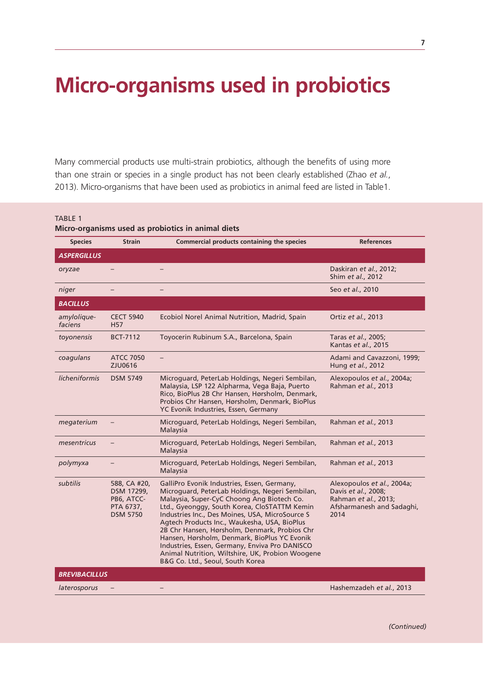# **Micro-organisms used in probiotics**

Many commercial products use multi-strain probiotics, although the benefits of using more than one strain or species in a single product has not been clearly established (Zhao *et al.*, 2013). Micro-organisms that have been used as probiotics in animal feed are listed in Table1.

TABLE 1

#### **Micro-organisms used as probiotics in animal diets**

| <b>Species</b>         | <b>Strain</b>                                                            | Commercial products containing the species                                                                                                                                                                                                                                                                                                                                                                                                                                                                                                 | <b>References</b>                                                                                              |
|------------------------|--------------------------------------------------------------------------|--------------------------------------------------------------------------------------------------------------------------------------------------------------------------------------------------------------------------------------------------------------------------------------------------------------------------------------------------------------------------------------------------------------------------------------------------------------------------------------------------------------------------------------------|----------------------------------------------------------------------------------------------------------------|
| <b>ASPERGILLUS</b>     |                                                                          |                                                                                                                                                                                                                                                                                                                                                                                                                                                                                                                                            |                                                                                                                |
| oryzae                 |                                                                          |                                                                                                                                                                                                                                                                                                                                                                                                                                                                                                                                            | Daskiran et al., 2012;<br>Shim et al., 2012                                                                    |
| niger                  |                                                                          |                                                                                                                                                                                                                                                                                                                                                                                                                                                                                                                                            | Seo et al., 2010                                                                                               |
| <b>BACILLUS</b>        |                                                                          |                                                                                                                                                                                                                                                                                                                                                                                                                                                                                                                                            |                                                                                                                |
| amylolique-<br>faciens | <b>CECT 5940</b><br><b>H57</b>                                           | Ecobiol Norel Animal Nutrition, Madrid, Spain                                                                                                                                                                                                                                                                                                                                                                                                                                                                                              | Ortiz et al., 2013                                                                                             |
| toyonensis             | <b>BCT-7112</b>                                                          | Toyocerin Rubinum S.A., Barcelona, Spain                                                                                                                                                                                                                                                                                                                                                                                                                                                                                                   | Taras et al., 2005;<br>Kantas et al., 2015                                                                     |
| coagulans              | <b>ATCC 7050</b><br>ZJU0616                                              |                                                                                                                                                                                                                                                                                                                                                                                                                                                                                                                                            | Adami and Cavazzoni, 1999;<br>Hung et al., 2012                                                                |
| licheniformis          | <b>DSM 5749</b>                                                          | Microguard, PeterLab Holdings, Negeri Sembilan,<br>Malaysia, LSP 122 Alpharma, Vega Baja, Puerto<br>Rico, BioPlus 2B Chr Hansen, Hørsholm, Denmark,<br>Probios Chr Hansen, Hørsholm, Denmark, BioPlus<br>YC Evonik Industries, Essen, Germany                                                                                                                                                                                                                                                                                              | Alexopoulos et al., 2004a;<br>Rahman et al., 2013                                                              |
| megaterium             |                                                                          | Microguard, PeterLab Holdings, Negeri Sembilan,<br>Malaysia                                                                                                                                                                                                                                                                                                                                                                                                                                                                                | Rahman et al., 2013                                                                                            |
| mesentricus            |                                                                          | Microguard, PeterLab Holdings, Negeri Sembilan,<br>Malaysia                                                                                                                                                                                                                                                                                                                                                                                                                                                                                | Rahman et al., 2013                                                                                            |
| polymyxa               |                                                                          | Microguard, PeterLab Holdings, Negeri Sembilan,<br>Malaysia                                                                                                                                                                                                                                                                                                                                                                                                                                                                                | Rahman et al., 2013                                                                                            |
| subtilis               | 588, CA #20,<br>DSM 17299.<br>PB6, ATCC-<br>PTA 6737,<br><b>DSM 5750</b> | GalliPro Evonik Industries, Essen, Germany,<br>Microquard, PeterLab Holdings, Negeri Sembilan,<br>Malaysia, Super-CyC Choong Ang Biotech Co.<br>Ltd., Gyeonggy, South Korea, CloSTATTM Kemin<br>Industries Inc., Des Moines, USA, MicroSource S<br>Agtech Products Inc., Waukesha, USA, BioPlus<br>2B Chr Hansen, Hørsholm, Denmark, Probios Chr<br>Hansen, Hørsholm, Denmark, BioPlus YC Evonik<br>Industries, Essen, Germany, Enviva Pro DANISCO<br>Animal Nutrition, Wiltshire, UK, Probion Woogene<br>B&G Co. Ltd., Seoul, South Korea | Alexopoulos et al., 2004a;<br>Davis et al., 2008;<br>Rahman et al., 2013;<br>Afsharmanesh and Sadaghi,<br>2014 |
| <b>BREVIBACILLUS</b>   |                                                                          |                                                                                                                                                                                                                                                                                                                                                                                                                                                                                                                                            |                                                                                                                |
| laterosporus           |                                                                          |                                                                                                                                                                                                                                                                                                                                                                                                                                                                                                                                            | Hashemzadeh et al., 2013                                                                                       |
|                        |                                                                          |                                                                                                                                                                                                                                                                                                                                                                                                                                                                                                                                            |                                                                                                                |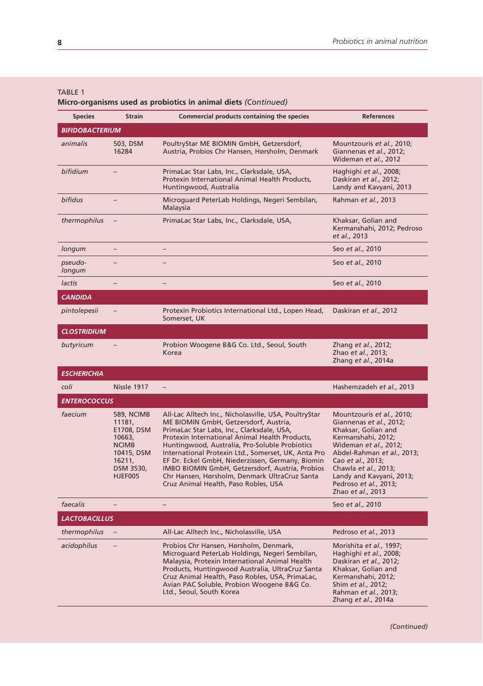#### TABLE 1

**Micro-organisms used as probiotics in animal diets** *(Continued)*

| <b>Species</b>       | <b>Strain</b>                                                                                                       | Commercial products containing the species                                                                                                                                                                                                                                                                                                                                                                                                                                                              | <b>References</b>                                                                                                                                                                                                                                                               |
|----------------------|---------------------------------------------------------------------------------------------------------------------|---------------------------------------------------------------------------------------------------------------------------------------------------------------------------------------------------------------------------------------------------------------------------------------------------------------------------------------------------------------------------------------------------------------------------------------------------------------------------------------------------------|---------------------------------------------------------------------------------------------------------------------------------------------------------------------------------------------------------------------------------------------------------------------------------|
| BIFIDOBACTERIUM      |                                                                                                                     |                                                                                                                                                                                                                                                                                                                                                                                                                                                                                                         |                                                                                                                                                                                                                                                                                 |
| animalis             | 503, DSM<br>16284                                                                                                   | PoultryStar ME BIOMIN GmbH, Getzersdorf,<br>Austria, Probios Chr Hansen, Hørsholm, Denmark                                                                                                                                                                                                                                                                                                                                                                                                              | Mountzouris et al., 2010;<br>Giannenas et al., 2012;<br>Wideman et al., 2012                                                                                                                                                                                                    |
| bifidium             |                                                                                                                     | PrimaLac Star Labs, Inc., Clarksdale, USA,<br>Protexin International Animal Health Products,<br>Huntingwood, Australia                                                                                                                                                                                                                                                                                                                                                                                  | Haghighi et al., 2008;<br>Daskiran et al., 2012;<br>Landy and Kavyani, 2013                                                                                                                                                                                                     |
| bifidus              |                                                                                                                     | Microguard PeterLab Holdings, Negeri Sembilan,<br>Malaysia                                                                                                                                                                                                                                                                                                                                                                                                                                              | Rahman et al., 2013                                                                                                                                                                                                                                                             |
| thermophilus         |                                                                                                                     | PrimaLac Star Labs, Inc., Clarksdale, USA,                                                                                                                                                                                                                                                                                                                                                                                                                                                              | Khaksar, Golian and<br>Kermanshahi, 2012; Pedroso<br>et al., 2013                                                                                                                                                                                                               |
| longum               | $\overline{\phantom{0}}$                                                                                            |                                                                                                                                                                                                                                                                                                                                                                                                                                                                                                         | Seo et al., 2010                                                                                                                                                                                                                                                                |
| pseudo-<br>longum    |                                                                                                                     |                                                                                                                                                                                                                                                                                                                                                                                                                                                                                                         | Seo et al., 2010                                                                                                                                                                                                                                                                |
| lactis               | $\overline{\phantom{0}}$                                                                                            | $\qquad \qquad -$                                                                                                                                                                                                                                                                                                                                                                                                                                                                                       | Seo et al., 2010                                                                                                                                                                                                                                                                |
| <b>CANDIDA</b>       |                                                                                                                     |                                                                                                                                                                                                                                                                                                                                                                                                                                                                                                         |                                                                                                                                                                                                                                                                                 |
| pintolepesii         |                                                                                                                     | Protexin Probiotics International Ltd., Lopen Head,<br>Somerset, UK                                                                                                                                                                                                                                                                                                                                                                                                                                     | Daskiran et al., 2012                                                                                                                                                                                                                                                           |
| <b>CLOSTRIDIUM</b>   |                                                                                                                     |                                                                                                                                                                                                                                                                                                                                                                                                                                                                                                         |                                                                                                                                                                                                                                                                                 |
| butyricum            |                                                                                                                     | Probion Woogene B&G Co. Ltd., Seoul, South<br>Korea                                                                                                                                                                                                                                                                                                                                                                                                                                                     | Zhang et al., 2012;<br>Zhao et al., 2013;<br>Zhang et al., 2014a                                                                                                                                                                                                                |
| <b>ESCHERICHIA</b>   |                                                                                                                     |                                                                                                                                                                                                                                                                                                                                                                                                                                                                                                         |                                                                                                                                                                                                                                                                                 |
| coli                 | Nissle 1917                                                                                                         | $\overline{\phantom{a}}$                                                                                                                                                                                                                                                                                                                                                                                                                                                                                | Hashemzadeh et al., 2013                                                                                                                                                                                                                                                        |
| <b>ENTEROCOCCUS</b>  |                                                                                                                     |                                                                                                                                                                                                                                                                                                                                                                                                                                                                                                         |                                                                                                                                                                                                                                                                                 |
| faecium              | <b>589, NCIMB</b><br>11181,<br>E1708, DSM<br>10663,<br><b>NCIMB</b><br>10415, DSM<br>16211,<br>DSM 3530,<br>HJEF005 | All-Lac Alltech Inc., Nicholasville, USA, PoultryStar<br>ME BIOMIN GmbH, Getzersdorf, Austria,<br>PrimaLac Star Labs, Inc., Clarksdale, USA,<br>Protexin International Animal Health Products,<br>Huntingwood, Australia, Pro-Soluble Probiotics<br>International Protexin Ltd., Somerset, UK, Anta Pro<br>EF Dr. Eckel GmbH, Niederzissen, Germany, Biomin<br>IMBO BIOMIN GmbH, Getzersdorf, Austria, Probios<br>Chr Hansen, Hørsholm, Denmark UltraCruz Santa<br>Cruz Animal Health, Paso Robles, USA | Mountzouris et al., 2010;<br>Giannenas et al., 2012;<br>Khaksar, Golian and<br>Kermanshahi, 2012;<br>Wideman et al., 2012;<br>Abdel-Rahman et al., 2013;<br>Cao et al., 2013;<br>Chawla et al., 2013;<br>Landy and Kavyani, 2013;<br>Pedroso et al., 2013;<br>Zhao et al., 2013 |
| faecalis             | $\overline{\phantom{0}}$                                                                                            | $\qquad \qquad -$                                                                                                                                                                                                                                                                                                                                                                                                                                                                                       | Seo et al., 2010                                                                                                                                                                                                                                                                |
| <b>LACTOBACILLUS</b> |                                                                                                                     |                                                                                                                                                                                                                                                                                                                                                                                                                                                                                                         |                                                                                                                                                                                                                                                                                 |
| thermophilus         |                                                                                                                     | All-Lac Alltech Inc., Nicholasville, USA                                                                                                                                                                                                                                                                                                                                                                                                                                                                | Pedroso et al., 2013                                                                                                                                                                                                                                                            |
| acidophilus          | $\overline{\phantom{0}}$                                                                                            | Probios Chr Hansen, Hørsholm, Denmark,<br>Microguard PeterLab Holdings, Negeri Sembilan,<br>Malaysia, Protexin International Animal Health<br>Products, Huntingwood Australia, UltraCruz Santa<br>Cruz Animal Health, Paso Robles, USA, PrimaLac,<br>Avian PAC Soluble, Probion Woogene B&G Co.<br>Ltd., Seoul, South Korea                                                                                                                                                                             | Morishita et al., 1997;<br>Haghighi et al., 2008;<br>Daskiran et al., 2012;<br>Khaksar, Golian and<br>Kermanshahi, 2012;<br>Shim et al., 2012;<br>Rahman et al., 2013;<br>Zhang et al., 2014a                                                                                   |

*(Continued)*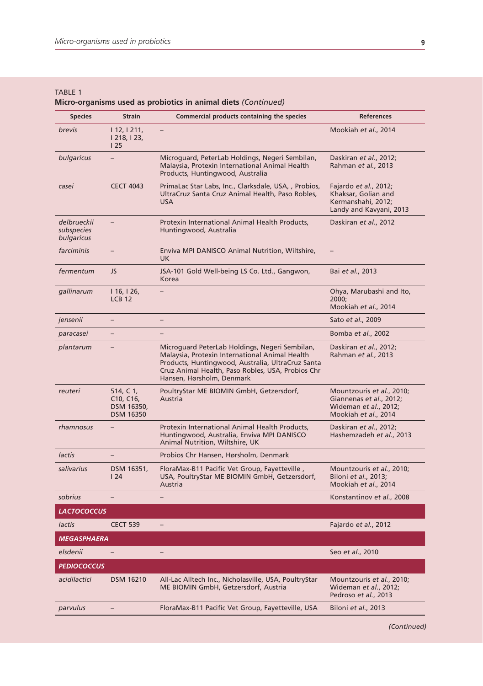#### TABLE 1 **Micro-organisms used as probiotics in animal diets** *(Continued)*

| <b>Species</b>                          | Strain                                                                             | Commercial products containing the species                                                                                                                                                                                              | <b>References</b>                                                                                     |
|-----------------------------------------|------------------------------------------------------------------------------------|-----------------------------------------------------------------------------------------------------------------------------------------------------------------------------------------------------------------------------------------|-------------------------------------------------------------------------------------------------------|
| brevis                                  | 112, 1211,<br>  218,   23,<br>125                                                  | -                                                                                                                                                                                                                                       | Mookiah et al., 2014                                                                                  |
| bulgaricus                              |                                                                                    | Microguard, PeterLab Holdings, Negeri Sembilan,<br>Malaysia, Protexin International Animal Health<br>Products, Huntingwood, Australia                                                                                                   | Daskiran et al., 2012;<br>Rahman et al., 2013                                                         |
| casei                                   | <b>CECT 4043</b>                                                                   | PrimaLac Star Labs, Inc., Clarksdale, USA, , Probios,<br>UltraCruz Santa Cruz Animal Health, Paso Robles,<br><b>USA</b>                                                                                                                 | Fajardo et al., 2012;<br>Khaksar, Golian and<br>Kermanshahi, 2012;<br>Landy and Kavyani, 2013         |
| delbrueckii<br>subspecies<br>bulgaricus | $=$                                                                                | Protexin International Animal Health Products,<br>Huntingwood, Australia                                                                                                                                                                | Daskiran et al., 2012                                                                                 |
| farciminis                              | -                                                                                  | Enviva MPI DANISCO Animal Nutrition, Wiltshire,<br>UK.                                                                                                                                                                                  | -                                                                                                     |
| fermentum                               | JS                                                                                 | JSA-101 Gold Well-being LS Co. Ltd., Gangwon,<br>Korea                                                                                                                                                                                  | Bai et al., 2013                                                                                      |
| gallinarum                              | 16,   26,<br><b>LCB 12</b>                                                         |                                                                                                                                                                                                                                         | Ohya, Marubashi and Ito,<br>2000;<br>Mookiah et al., 2014                                             |
| jensenii                                | -                                                                                  | $\overline{\phantom{0}}$                                                                                                                                                                                                                | Sato et al., 2009                                                                                     |
| paracasei                               | $\overline{\phantom{0}}$                                                           | $\overline{\phantom{0}}$                                                                                                                                                                                                                | Bomba et al., 2002                                                                                    |
| plantarum                               |                                                                                    | Microguard PeterLab Holdings, Negeri Sembilan,<br>Malaysia, Protexin International Animal Health<br>Products, Huntingwood, Australia, UltraCruz Santa<br>Cruz Animal Health, Paso Robles, USA, Probios Chr<br>Hansen, Hørsholm, Denmark | Daskiran et al., 2012;<br>Rahman et al., 2013                                                         |
| reuteri                                 | 514, C 1,<br>C <sub>10</sub> , C <sub>16</sub> ,<br>DSM 16350,<br><b>DSM 16350</b> | PoultryStar ME BIOMIN GmbH, Getzersdorf,<br>Austria                                                                                                                                                                                     | Mountzouris et al., 2010;<br>Giannenas et al., 2012;<br>Wideman et al., 2012;<br>Mookiah et al., 2014 |
| rhamnosus                               |                                                                                    | Protexin International Animal Health Products,<br>Huntingwood, Australia, Enviva MPI DANISCO<br>Animal Nutrition, Wiltshire, UK                                                                                                         | Daskiran et al., 2012;<br>Hashemzadeh et al., 2013                                                    |
| lactis                                  | $-$                                                                                | Probios Chr Hansen, Hørsholm, Denmark                                                                                                                                                                                                   |                                                                                                       |
| salivarius                              | DSM 16351,<br>124                                                                  | FloraMax-B11 Pacific Vet Group, Fayetteville,<br>USA, PoultryStar ME BIOMIN GmbH, Getzersdorf,<br>Austria                                                                                                                               | Mountzouris et al., 2010;<br>Biloni et al., 2013;<br>Mookiah et al., 2014                             |
| sobrius                                 |                                                                                    |                                                                                                                                                                                                                                         | Konstantinov et al., 2008                                                                             |
| <b>LACTOCOCCUS</b>                      |                                                                                    |                                                                                                                                                                                                                                         |                                                                                                       |
| lactis                                  | <b>CECT 539</b>                                                                    | -                                                                                                                                                                                                                                       | Fajardo et al., 2012                                                                                  |
| <b>MEGASPHAERA</b>                      |                                                                                    |                                                                                                                                                                                                                                         |                                                                                                       |
| elsdenii                                | -                                                                                  | -                                                                                                                                                                                                                                       | Seo et al., 2010                                                                                      |
| <b>PEDIOCOCCUS</b>                      |                                                                                    |                                                                                                                                                                                                                                         |                                                                                                       |
| acidilactici                            | <b>DSM 16210</b>                                                                   | All-Lac Alltech Inc., Nicholasville, USA, PoultryStar<br>ME BIOMIN GmbH, Getzersdorf, Austria                                                                                                                                           | Mountzouris et al., 2010;<br>Wideman et al., 2012;<br>Pedroso et al., 2013                            |
| parvulus                                |                                                                                    | FloraMax-B11 Pacific Vet Group, Fayetteville, USA                                                                                                                                                                                       | Biloni et al., 2013                                                                                   |
|                                         |                                                                                    |                                                                                                                                                                                                                                         |                                                                                                       |

*(Continued)*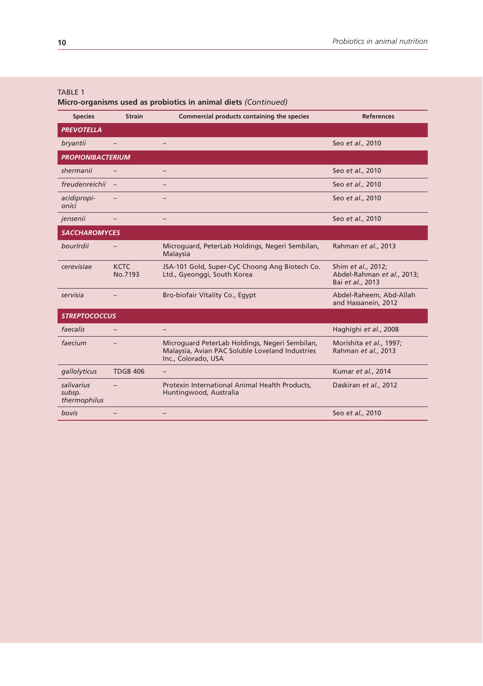#### TABLE 1

**Micro-organisms used as probiotics in animal diets** *(Continued)*

| <b>Species</b>                       | <b>Strain</b>          | Commercial products containing the species                                                                               | <b>References</b>                                                    |
|--------------------------------------|------------------------|--------------------------------------------------------------------------------------------------------------------------|----------------------------------------------------------------------|
| <b>PREVOTELLA</b>                    |                        |                                                                                                                          |                                                                      |
| bryantii                             |                        |                                                                                                                          | Seo et al., 2010                                                     |
| <b>PROPIONIBACTERIUM</b>             |                        |                                                                                                                          |                                                                      |
| shermanii                            |                        |                                                                                                                          | Seo et al., 2010                                                     |
| freudenreichii                       |                        |                                                                                                                          | Seo et al., 2010                                                     |
| acidipropi-<br>onici                 |                        |                                                                                                                          | Seo et al., 2010                                                     |
| jensenii                             |                        |                                                                                                                          | Seo et al., 2010                                                     |
| <b>SACCHAROMYCES</b>                 |                        |                                                                                                                          |                                                                      |
| bourlrdii                            |                        | Microguard, PeterLab Holdings, Negeri Sembilan,<br>Malaysia                                                              | Rahman et al., 2013                                                  |
| cerevisiae                           | <b>KCTC</b><br>No.7193 | JSA-101 Gold, Super-CyC Choong Ang Biotech Co.<br>Ltd., Gyeonggi, South Korea                                            | Shim et al., 2012;<br>Abdel-Rahman et al., 2013;<br>Bai et al., 2013 |
| servisia                             |                        | Bro-biofair Vitality Co., Egypt                                                                                          | Abdel-Raheem, Abd-Allah<br>and Hassanein, 2012                       |
| <b>STREPTOCOCCUS</b>                 |                        |                                                                                                                          |                                                                      |
| faecalis                             |                        |                                                                                                                          | Haghighi et al., 2008                                                |
| faecium                              |                        | Microquard PeterLab Holdings, Negeri Sembilan,<br>Malaysia, Avian PAC Soluble Loveland Industries<br>Inc., Colorado, USA | Morishita et al., 1997;<br>Rahman et al., 2013                       |
| gallolyticus                         | <b>TDGB 406</b>        |                                                                                                                          | Kumar et al., 2014                                                   |
| salivarius<br>subsp.<br>thermophilus |                        | Protexin International Animal Health Products,<br>Huntingwood, Australia                                                 | Daskiran et al., 2012                                                |
| bovis                                |                        |                                                                                                                          | Seo et al., 2010                                                     |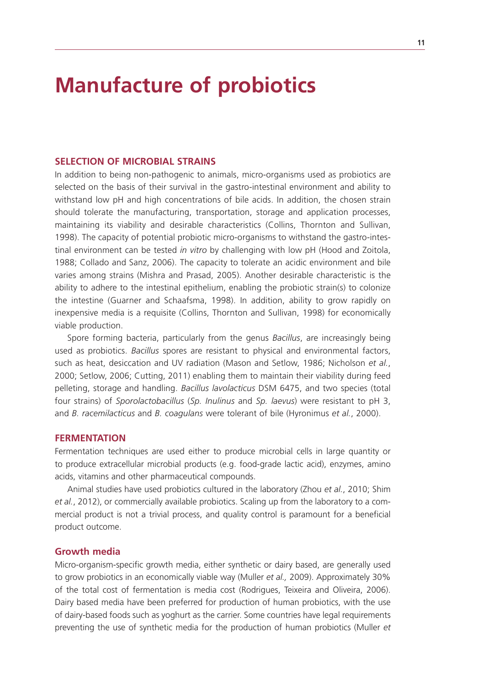### **Manufacture of probiotics**

#### **SELECTION OF MICROBIAL STRAINS**

In addition to being non-pathogenic to animals, micro-organisms used as probiotics are selected on the basis of their survival in the gastro-intestinal environment and ability to withstand low pH and high concentrations of bile acids. In addition, the chosen strain should tolerate the manufacturing, transportation, storage and application processes, maintaining its viability and desirable characteristics (Collins, Thornton and Sullivan, 1998). The capacity of potential probiotic micro-organisms to withstand the gastro-intestinal environment can be tested *in vitro* by challenging with low pH (Hood and Zoitola, 1988; Collado and Sanz, 2006). The capacity to tolerate an acidic environment and bile varies among strains (Mishra and Prasad, 2005). Another desirable characteristic is the ability to adhere to the intestinal epithelium, enabling the probiotic strain(s) to colonize the intestine (Guarner and Schaafsma, 1998). In addition, ability to grow rapidly on inexpensive media is a requisite (Collins, Thornton and Sullivan, 1998) for economically viable production.

Spore forming bacteria, particularly from the genus *Bacillus*, are increasingly being used as probiotics. *Bacillus* spores are resistant to physical and environmental factors, such as heat, desiccation and UV radiation (Mason and Setlow, 1986; Nicholson *et al.*, 2000; Setlow, 2006; Cutting, 2011) enabling them to maintain their viability during feed pelleting, storage and handling. *Bacillus lavolacticus* DSM 6475, and two species (total four strains) of *Sporolactobacillus* (*Sp. Inulinus* and *Sp. laevus*) were resistant to pH 3, and *B. racemilacticus* and *B. coagulans* were tolerant of bile (Hyronimus *et al.*, 2000).

#### **FERMENTATION**

Fermentation techniques are used either to produce microbial cells in large quantity or to produce extracellular microbial products (e.g. food-grade lactic acid), enzymes, amino acids, vitamins and other pharmaceutical compounds.

Animal studies have used probiotics cultured in the laboratory (Zhou *et al.*, 2010; Shim *et al.*, 2012), or commercially available probiotics. Scaling up from the laboratory to a commercial product is not a trivial process, and quality control is paramount for a beneficial product outcome.

### **Growth media**

Micro-organism-specific growth media, either synthetic or dairy based, are generally used to grow probiotics in an economically viable way (Muller *et al.,* 2009). Approximately 30% of the total cost of fermentation is media cost (Rodrigues, Teixeira and Oliveira, 2006). Dairy based media have been preferred for production of human probiotics, with the use of dairy-based foods such as yoghurt as the carrier. Some countries have legal requirements preventing the use of synthetic media for the production of human probiotics (Muller *et*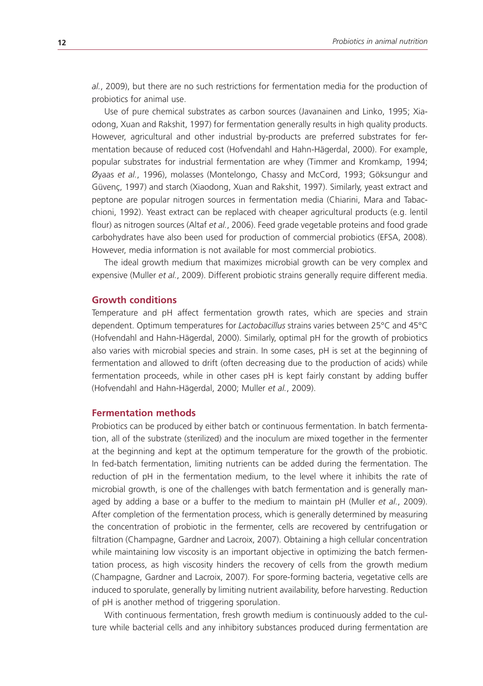*al.*, 2009), but there are no such restrictions for fermentation media for the production of probiotics for animal use.

Use of pure chemical substrates as carbon sources (Javanainen and Linko, 1995; Xiaodong, Xuan and Rakshit, 1997) for fermentation generally results in high quality products. However, agricultural and other industrial by-products are preferred substrates for fermentation because of reduced cost (Hofvendahl and Hahn-Hägerdal, 2000). For example, popular substrates for industrial fermentation are whey (Timmer and Kromkamp, 1994; Øyaas *et al.*, 1996), molasses (Montelongo, Chassy and McCord, 1993; Göksungur and Güvenç, 1997) and starch (Xiaodong, Xuan and Rakshit, 1997). Similarly, yeast extract and peptone are popular nitrogen sources in fermentation media (Chiarini, Mara and Tabacchioni, 1992). Yeast extract can be replaced with cheaper agricultural products (e.g. lentil flour) as nitrogen sources (Altaf *et al.*, 2006). Feed grade vegetable proteins and food grade carbohydrates have also been used for production of commercial probiotics (EFSA, 2008). However, media information is not available for most commercial probiotics.

The ideal growth medium that maximizes microbial growth can be very complex and expensive (Muller *et al.*, 2009). Different probiotic strains generally require different media.

#### **Growth conditions**

Temperature and pH affect fermentation growth rates, which are species and strain dependent. Optimum temperatures for *Lactobacillus* strains varies between 25°C and 45°C (Hofvendahl and Hahn-Hägerdal, 2000). Similarly, optimal pH for the growth of probiotics also varies with microbial species and strain. In some cases, pH is set at the beginning of fermentation and allowed to drift (often decreasing due to the production of acids) while fermentation proceeds, while in other cases pH is kept fairly constant by adding buffer (Hofvendahl and Hahn-Hägerdal, 2000; Muller *et al.*, 2009).

#### **Fermentation methods**

Probiotics can be produced by either batch or continuous fermentation. In batch fermentation, all of the substrate (sterilized) and the inoculum are mixed together in the fermenter at the beginning and kept at the optimum temperature for the growth of the probiotic. In fed-batch fermentation, limiting nutrients can be added during the fermentation. The reduction of pH in the fermentation medium, to the level where it inhibits the rate of microbial growth, is one of the challenges with batch fermentation and is generally managed by adding a base or a buffer to the medium to maintain pH (Muller *et al.*, 2009). After completion of the fermentation process, which is generally determined by measuring the concentration of probiotic in the fermenter, cells are recovered by centrifugation or filtration (Champagne, Gardner and Lacroix, 2007). Obtaining a high cellular concentration while maintaining low viscosity is an important objective in optimizing the batch fermentation process, as high viscosity hinders the recovery of cells from the growth medium (Champagne, Gardner and Lacroix, 2007). For spore-forming bacteria, vegetative cells are induced to sporulate, generally by limiting nutrient availability, before harvesting. Reduction of pH is another method of triggering sporulation.

With continuous fermentation, fresh growth medium is continuously added to the culture while bacterial cells and any inhibitory substances produced during fermentation are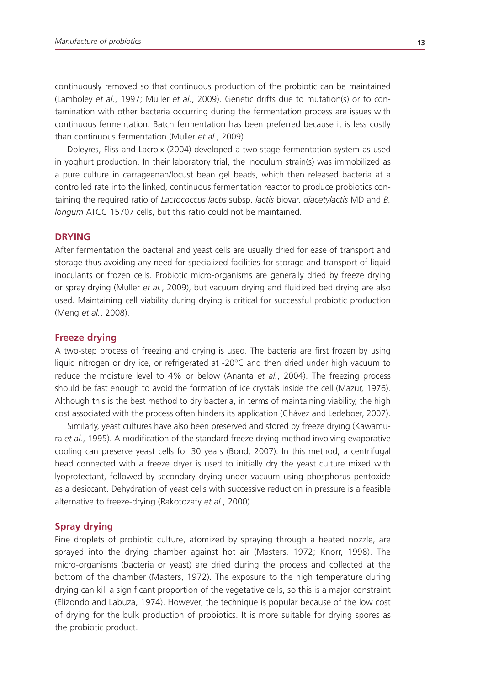continuously removed so that continuous production of the probiotic can be maintained (Lamboley *et al.*, 1997; Muller *et al.*, 2009). Genetic drifts due to mutation(s) or to contamination with other bacteria occurring during the fermentation process are issues with continuous fermentation. Batch fermentation has been preferred because it is less costly than continuous fermentation (Muller *et al.*, 2009).

Doleyres, Fliss and Lacroix (2004) developed a two-stage fermentation system as used in yoghurt production. In their laboratory trial, the inoculum strain(s) was immobilized as a pure culture in carrageenan/locust bean gel beads, which then released bacteria at a controlled rate into the linked, continuous fermentation reactor to produce probiotics containing the required ratio of *Lactococcus lactis* subsp. *lactis* biovar. *diacetylactis* MD and *B. longum* ATCC 15707 cells, but this ratio could not be maintained.

#### **DRYING**

After fermentation the bacterial and yeast cells are usually dried for ease of transport and storage thus avoiding any need for specialized facilities for storage and transport of liquid inoculants or frozen cells. Probiotic micro-organisms are generally dried by freeze drying or spray drying (Muller *et al.*, 2009), but vacuum drying and fluidized bed drying are also used. Maintaining cell viability during drying is critical for successful probiotic production (Meng *et al.*, 2008).

#### **Freeze drying**

A two-step process of freezing and drying is used. The bacteria are first frozen by using liquid nitrogen or dry ice, or refrigerated at -20°C and then dried under high vacuum to reduce the moisture level to 4% or below (Ananta *et al.*, 2004). The freezing process should be fast enough to avoid the formation of ice crystals inside the cell (Mazur, 1976). Although this is the best method to dry bacteria, in terms of maintaining viability, the high cost associated with the process often hinders its application (Chávez and Ledeboer, 2007).

Similarly, yeast cultures have also been preserved and stored by freeze drying (Kawamura *et al.*, 1995). A modification of the standard freeze drying method involving evaporative cooling can preserve yeast cells for 30 years (Bond, 2007). In this method, a centrifugal head connected with a freeze dryer is used to initially dry the yeast culture mixed with lyoprotectant, followed by secondary drying under vacuum using phosphorus pentoxide as a desiccant. Dehydration of yeast cells with successive reduction in pressure is a feasible alternative to freeze-drying (Rakotozafy *et al.*, 2000).

#### **Spray drying**

Fine droplets of probiotic culture, atomized by spraying through a heated nozzle, are sprayed into the drying chamber against hot air (Masters, 1972; Knorr, 1998). The micro-organisms (bacteria or yeast) are dried during the process and collected at the bottom of the chamber (Masters, 1972). The exposure to the high temperature during drying can kill a significant proportion of the vegetative cells, so this is a major constraint (Elizondo and Labuza, 1974). However, the technique is popular because of the low cost of drying for the bulk production of probiotics. It is more suitable for drying spores as the probiotic product.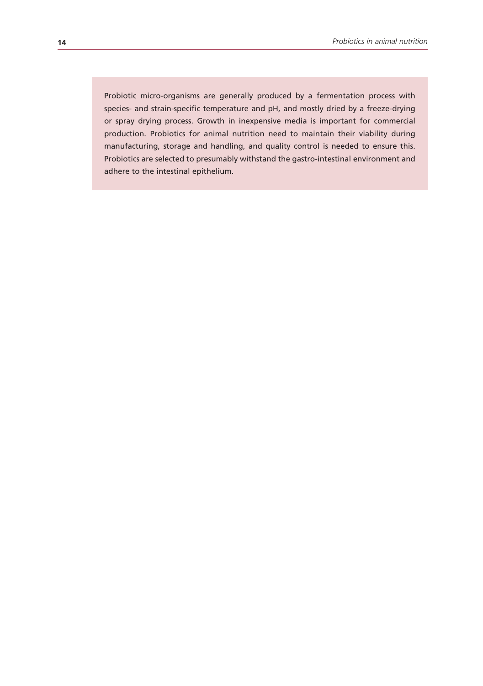Probiotic micro-organisms are generally produced by a fermentation process with species- and strain-specific temperature and pH, and mostly dried by a freeze-drying or spray drying process. Growth in inexpensive media is important for commercial production. Probiotics for animal nutrition need to maintain their viability during manufacturing, storage and handling, and quality control is needed to ensure this. Probiotics are selected to presumably withstand the gastro-intestinal environment and adhere to the intestinal epithelium.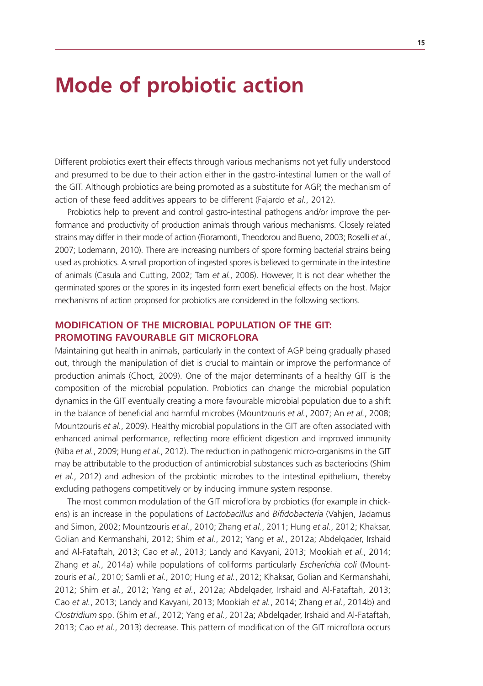### **Mode of probiotic action**

Different probiotics exert their effects through various mechanisms not yet fully understood and presumed to be due to their action either in the gastro-intestinal lumen or the wall of the GIT. Although probiotics are being promoted as a substitute for AGP, the mechanism of action of these feed additives appears to be different (Fajardo *et al.*, 2012).

Probiotics help to prevent and control gastro-intestinal pathogens and/or improve the performance and productivity of production animals through various mechanisms. Closely related strains may differ in their mode of action (Fioramonti, Theodorou and Bueno, 2003; Roselli *et al.*, 2007; Lodemann, 2010). There are increasing numbers of spore forming bacterial strains being used as probiotics. A small proportion of ingested spores is believed to germinate in the intestine of animals (Casula and Cutting, 2002; Tam *et al.*, 2006). However, It is not clear whether the germinated spores or the spores in its ingested form exert beneficial effects on the host. Major mechanisms of action proposed for probiotics are considered in the following sections.

### **MODIFICATION OF THE MICROBIAL POPULATION OF THE GIT: PROMOTING FAVOURABLE GIT MICROFLORA**

Maintaining gut health in animals, particularly in the context of AGP being gradually phased out, through the manipulation of diet is crucial to maintain or improve the performance of production animals (Choct, 2009). One of the major determinants of a healthy GIT is the composition of the microbial population. Probiotics can change the microbial population dynamics in the GIT eventually creating a more favourable microbial population due to a shift in the balance of beneficial and harmful microbes (Mountzouris *et al.*, 2007; An *et al.*, 2008; Mountzouris *et al.*, 2009). Healthy microbial populations in the GIT are often associated with enhanced animal performance, reflecting more efficient digestion and improved immunity (Niba *et al.*, 2009; Hung *et al.*, 2012). The reduction in pathogenic micro-organisms in the GIT may be attributable to the production of antimicrobial substances such as bacteriocins (Shim *et al.*, 2012) and adhesion of the probiotic microbes to the intestinal epithelium, thereby excluding pathogens competitively or by inducing immune system response.

The most common modulation of the GIT microflora by probiotics (for example in chickens) is an increase in the populations of *Lactobacillus* and *Bifidobacteria* (Vahjen, Jadamus and Simon, 2002; Mountzouris *et al.*, 2010; Zhang *et al.*, 2011; Hung *et al.*, 2012; Khaksar, Golian and Kermanshahi, 2012; Shim *et al.*, 2012; Yang *et al.*, 2012a; Abdelqader, Irshaid and Al-Fataftah, 2013; Cao *et al.*, 2013; Landy and Kavyani, 2013; Mookiah *et al.*, 2014; Zhang *et al.*, 2014a) while populations of coliforms particularly *Escherichia coli* (Mountzouris *et al.*, 2010; Samli *et al.*, 2010; Hung *et al.*, 2012; Khaksar, Golian and Kermanshahi, 2012; Shim *et al.*, 2012; Yang *et al.*, 2012a; Abdelqader, Irshaid and Al-Fataftah, 2013; Cao *et al.*, 2013; Landy and Kavyani, 2013; Mookiah *et al.*, 2014; Zhang *et al.*, 2014b) and *Clostridium* spp. (Shim *et al.*, 2012; Yang *et al.*, 2012a; Abdelqader, Irshaid and Al-Fataftah, 2013; Cao *et al.*, 2013) decrease. This pattern of modification of the GIT microflora occurs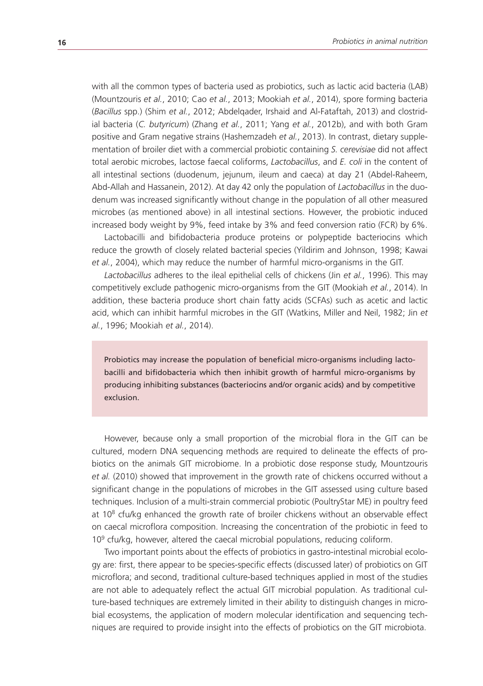with all the common types of bacteria used as probiotics, such as lactic acid bacteria (LAB) (Mountzouris *et al.*, 2010; Cao *et al.*, 2013; Mookiah *et al.*, 2014), spore forming bacteria (*Bacillus* spp.) (Shim *et al.*, 2012; Abdelqader, Irshaid and Al-Fataftah, 2013) and clostridial bacteria (*C. butyricum*) (Zhang *et al.*, 2011; Yang *et al.*, 2012b), and with both Gram positive and Gram negative strains (Hashemzadeh *et al.*, 2013). In contrast, dietary supplementation of broiler diet with a commercial probiotic containing *S. cerevisiae* did not affect total aerobic microbes, lactose faecal coliforms, *Lactobacillus*, and *E. coli* in the content of all intestinal sections (duodenum, jejunum, ileum and caeca) at day 21 (Abdel-Raheem, Abd-Allah and Hassanein, 2012). At day 42 only the population of *Lactobacillus* in the duodenum was increased significantly without change in the population of all other measured microbes (as mentioned above) in all intestinal sections. However, the probiotic induced increased body weight by 9%, feed intake by 3% and feed conversion ratio (FCR) by 6%.

Lactobacilli and bifidobacteria produce proteins or polypeptide bacteriocins which reduce the growth of closely related bacterial species (Yildirim and Johnson, 1998; Kawai *et al.*, 2004), which may reduce the number of harmful micro-organisms in the GIT.

*Lactobacillus* adheres to the ileal epithelial cells of chickens (Jin *et al.*, 1996). This may competitively exclude pathogenic micro-organisms from the GIT (Mookiah *et al.*, 2014). In addition, these bacteria produce short chain fatty acids (SCFAs) such as acetic and lactic acid, which can inhibit harmful microbes in the GIT (Watkins, Miller and Neil, 1982; Jin *et al.*, 1996; Mookiah *et al.*, 2014).

Probiotics may increase the population of beneficial micro-organisms including lactobacilli and bifidobacteria which then inhibit growth of harmful micro-organisms by producing inhibiting substances (bacteriocins and/or organic acids) and by competitive exclusion.

However, because only a small proportion of the microbial flora in the GIT can be cultured, modern DNA sequencing methods are required to delineate the effects of probiotics on the animals GIT microbiome. In a probiotic dose response study, Mountzouris *et al.* (2010) showed that improvement in the growth rate of chickens occurred without a significant change in the populations of microbes in the GIT assessed using culture based techniques. Inclusion of a multi-strain commercial probiotic (PoultryStar ME) in poultry feed at  $10<sup>8</sup>$  cfu/kg enhanced the growth rate of broiler chickens without an observable effect on caecal microflora composition. Increasing the concentration of the probiotic in feed to  $10<sup>9</sup>$  cfu/kg, however, altered the caecal microbial populations, reducing coliform.

Two important points about the effects of probiotics in gastro-intestinal microbial ecology are: first, there appear to be species-specific effects (discussed later) of probiotics on GIT microflora; and second, traditional culture-based techniques applied in most of the studies are not able to adequately reflect the actual GIT microbial population. As traditional culture-based techniques are extremely limited in their ability to distinguish changes in microbial ecosystems, the application of modern molecular identification and sequencing techniques are required to provide insight into the effects of probiotics on the GIT microbiota.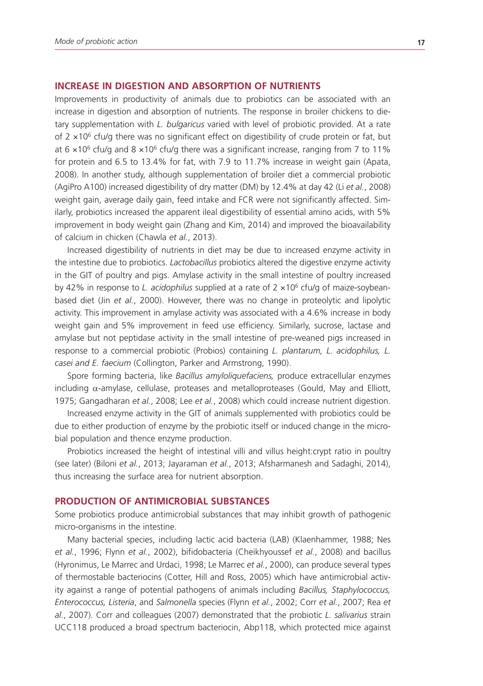#### **INCREASE IN DIGESTION AND ABSORPTION OF NUTRIENTS**

Improvements in productivity of animals due to probiotics can be associated with an increase in digestion and absorption of nutrients. The response in broiler chickens to dietary supplementation with *L. bulgaricus* varied with level of probiotic provided. At a rate of 2  $\times$ 10<sup>6</sup> cfu/g there was no significant effect on digestibility of crude protein or fat, but at 6  $\times$ 10<sup>6</sup> cfu/g and 8  $\times$ 10<sup>6</sup> cfu/g there was a significant increase, ranging from 7 to 11% for protein and 6.5 to 13.4% for fat, with 7.9 to 11.7% increase in weight gain (Apata, 2008). In another study, although supplementation of broiler diet a commercial probiotic (AgiPro A100) increased digestibility of dry matter (DM) by 12.4% at day 42 (Li *et al.*, 2008) weight gain, average daily gain, feed intake and FCR were not significantly affected. Similarly, probiotics increased the apparent ileal digestibility of essential amino acids, with 5% improvement in body weight gain (Zhang and Kim, 2014) and improved the bioavailability of calcium in chicken (Chawla *et al.*, 2013).

Increased digestibility of nutrients in diet may be due to increased enzyme activity in the intestine due to probiotics. *Lactobacillus* probiotics altered the digestive enzyme activity in the GIT of poultry and pigs. Amylase activity in the small intestine of poultry increased by 42% in response to *L. acidophilus* supplied at a rate of 2 ×106 cfu/g of maize-soybeanbased diet (Jin *et al.*, 2000). However, there was no change in proteolytic and lipolytic activity. This improvement in amylase activity was associated with a 4.6% increase in body weight gain and 5% improvement in feed use efficiency. Similarly, sucrose, lactase and amylase but not peptidase activity in the small intestine of pre-weaned pigs increased in response to a commercial probiotic (Probios) containing *L. plantarum, L. acidophilus, L. casei and E. faecium* (Collington, Parker and Armstrong, 1990).

Spore forming bacteria, like *Bacillus amyloliquefaciens,* produce extracellular enzymes including α-amylase, cellulase, proteases and metalloproteases (Gould, May and Elliott, 1975; Gangadharan *et al.*, 2008; Lee *et al.*, 2008) which could increase nutrient digestion.

Increased enzyme activity in the GIT of animals supplemented with probiotics could be due to either production of enzyme by the probiotic itself or induced change in the microbial population and thence enzyme production.

Probiotics increased the height of intestinal villi and villus height:crypt ratio in poultry (see later) (Biloni *et al.*, 2013; Jayaraman *et al.*, 2013; Afsharmanesh and Sadaghi, 2014), thus increasing the surface area for nutrient absorption.

#### **PRODUCTION OF ANTIMICROBIAL SUBSTANCES**

Some probiotics produce antimicrobial substances that may inhibit growth of pathogenic micro-organisms in the intestine.

Many bacterial species, including lactic acid bacteria (LAB) (Klaenhammer, 1988; Nes *et al.*, 1996; Flynn *et al.*, 2002), bifidobacteria (Cheikhyoussef *et al.*, 2008) and bacillus (Hyronimus, Le Marrec and Urdaci, 1998; Le Marrec *et al.*, 2000), can produce several types of thermostable bacteriocins (Cotter, Hill and Ross, 2005) which have antimicrobial activity against a range of potential pathogens of animals including *Bacillus, Staphylococcus, Enterococcus, Listeria*, and *Salmonella* species (Flynn *et al.*, 2002; Corr *et al.*, 2007; Rea *et al.*, 2007). Corr and colleagues (2007) demonstrated that the probiotic *L. salivarius* strain UCC118 produced a broad spectrum bacteriocin, Abp118, which protected mice against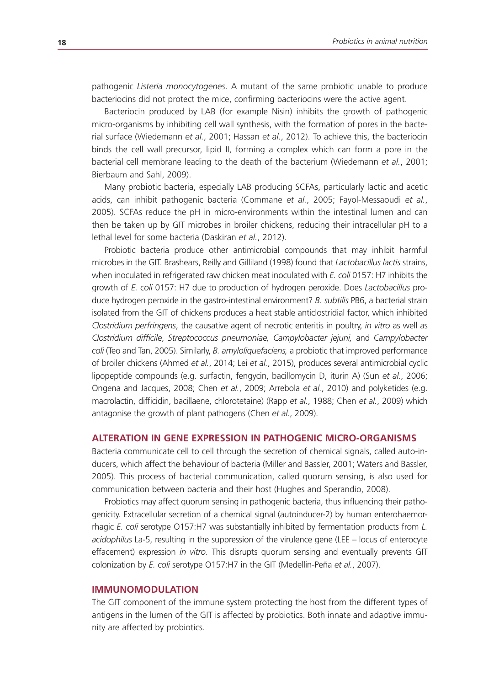pathogenic *Listeria monocytogenes*. A mutant of the same probiotic unable to produce bacteriocins did not protect the mice, confirming bacteriocins were the active agent.

Bacteriocin produced by LAB (for example Nisin) inhibits the growth of pathogenic micro-organisms by inhibiting cell wall synthesis, with the formation of pores in the bacterial surface (Wiedemann *et al.*, 2001; Hassan *et al.*, 2012). To achieve this, the bacteriocin binds the cell wall precursor, lipid II, forming a complex which can form a pore in the bacterial cell membrane leading to the death of the bacterium (Wiedemann *et al.*, 2001; Bierbaum and Sahl, 2009).

Many probiotic bacteria, especially LAB producing SCFAs, particularly lactic and acetic acids, can inhibit pathogenic bacteria (Commane *et al.*, 2005; Fayol-Messaoudi *et al.*, 2005). SCFAs reduce the pH in micro-environments within the intestinal lumen and can then be taken up by GIT microbes in broiler chickens, reducing their intracellular pH to a lethal level for some bacteria (Daskiran *et al.*, 2012).

Probiotic bacteria produce other antimicrobial compounds that may inhibit harmful microbes in the GIT. Brashears, Reilly and Gilliland (1998) found that *Lactobacillus lactis* strains, when inoculated in refrigerated raw chicken meat inoculated with *E. coli* 0157: H7 inhibits the growth of *E. coli* 0157: H7 due to production of hydrogen peroxide. Does *Lactobacillus* produce hydrogen peroxide in the gastro-intestinal environment? *B. subtilis* PB6, a bacterial strain isolated from the GIT of chickens produces a heat stable anticlostridial factor, which inhibited *Clostridium perfringens*, the causative agent of necrotic enteritis in poultry, *in vitro* as well as *Clostridium difficile*, *Streptococcus pneumoniae, Campylobacter jejuni,* and *Campylobacter coli* (Teo and Tan, 2005). Similarly, *B. amyloliquefaciens,* a probiotic that improved performance of broiler chickens (Ahmed *et al.*, 2014; Lei *et al.*, 2015), produces several antimicrobial cyclic lipopeptide compounds (e.g. surfactin, fengycin, bacillomycin D, iturin A) (Sun *et al.*, 2006; Ongena and Jacques, 2008; Chen *et al.*, 2009; Arrebola *et al.*, 2010) and polyketides (e.g. macrolactin, difficidin, bacillaene, chlorotetaine) (Rapp *et al.*, 1988; Chen *et al.*, 2009) which antagonise the growth of plant pathogens (Chen *et al.*, 2009).

#### **ALTERATION IN GENE EXPRESSION IN PATHOGENIC MICRO-ORGANISMS**

Bacteria communicate cell to cell through the secretion of chemical signals, called auto-inducers, which affect the behaviour of bacteria (Miller and Bassler, 2001; Waters and Bassler, 2005). This process of bacterial communication, called quorum sensing, is also used for communication between bacteria and their host (Hughes and Sperandio, 2008).

Probiotics may affect quorum sensing in pathogenic bacteria, thus influencing their pathogenicity. Extracellular secretion of a chemical signal (autoinducer-2) by human enterohaemorrhagic *E. coli* serotype O157:H7 was substantially inhibited by fermentation products from *L. acidophilus* La-5, resulting in the suppression of the virulence gene (LEE – locus of enterocyte effacement) expression *in vitro*. This disrupts quorum sensing and eventually prevents GIT colonization by *E. coli* serotype O157:H7 in the GIT (Medellin-Peña *et al.*, 2007).

#### **IMMUNOMODULATION**

The GIT component of the immune system protecting the host from the different types of antigens in the lumen of the GIT is affected by probiotics. Both innate and adaptive immunity are affected by probiotics.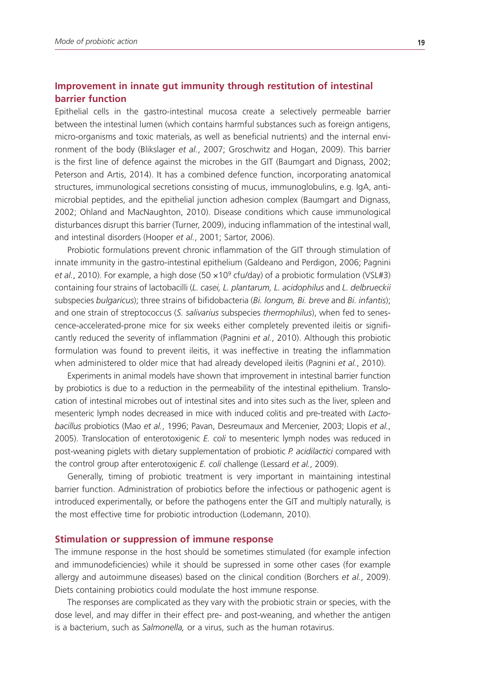### **Improvement in innate gut immunity through restitution of intestinal barrier function**

Epithelial cells in the gastro-intestinal mucosa create a selectively permeable barrier between the intestinal lumen (which contains harmful substances such as foreign antigens, micro-organisms and toxic materials, as well as beneficial nutrients) and the internal environment of the body (Blikslager *et al.*, 2007; Groschwitz and Hogan, 2009). This barrier is the first line of defence against the microbes in the GIT (Baumgart and Dignass, 2002; Peterson and Artis, 2014). It has a combined defence function, incorporating anatomical structures, immunological secretions consisting of mucus, immunoglobulins, e.g. IgA, antimicrobial peptides, and the epithelial junction adhesion complex (Baumgart and Dignass, 2002; Ohland and MacNaughton, 2010). Disease conditions which cause immunological disturbances disrupt this barrier (Turner, 2009), inducing inflammation of the intestinal wall, and intestinal disorders (Hooper *et al.*, 2001; Sartor, 2006).

Probiotic formulations prevent chronic inflammation of the GIT through stimulation of innate immunity in the gastro-intestinal epithelium (Galdeano and Perdigon, 2006; Pagnini et al., 2010). For example, a high dose (50 x 10<sup>9</sup> cfu/day) of a probiotic formulation (VSL#3) containing four strains of lactobacilli (*L. casei, L. plantarum, L. acidophilus* and *L. delbrueckii* subspecies *bulgaricus*); three strains of bifidobacteria (*Bi. longum, Bi. breve* and *Bi. infantis*); and one strain of streptococcus (*S. salivarius* subspecies *thermophilus*), when fed to senescence-accelerated-prone mice for six weeks either completely prevented ileitis or significantly reduced the severity of inflammation (Pagnini *et al.*, 2010). Although this probiotic formulation was found to prevent ileitis, it was ineffective in treating the inflammation when administered to older mice that had already developed ileitis (Pagnini *et al.*, 2010).

Experiments in animal models have shown that improvement in intestinal barrier function by probiotics is due to a reduction in the permeability of the intestinal epithelium. Translocation of intestinal microbes out of intestinal sites and into sites such as the liver, spleen and mesenteric lymph nodes decreased in mice with induced colitis and pre-treated with *Lactobacillus* probiotics (Mao *et al.*, 1996; Pavan, Desreumaux and Mercenier, 2003; Llopis *et al.*, 2005). Translocation of enterotoxigenic *E. coli* to mesenteric lymph nodes was reduced in post-weaning piglets with dietary supplementation of probiotic *P. acidilactici* compared with the control group after enterotoxigenic *E. coli* challenge (Lessard *et al.*, 2009).

Generally, timing of probiotic treatment is very important in maintaining intestinal barrier function. Administration of probiotics before the infectious or pathogenic agent is introduced experimentally, or before the pathogens enter the GIT and multiply naturally, is the most effective time for probiotic introduction (Lodemann, 2010).

#### **Stimulation or suppression of immune response**

The immune response in the host should be sometimes stimulated (for example infection and immunodeficiencies) while it should be supressed in some other cases (for example allergy and autoimmune diseases) based on the clinical condition (Borchers *et al.*, 2009). Diets containing probiotics could modulate the host immune response.

The responses are complicated as they vary with the probiotic strain or species, with the dose level, and may differ in their effect pre- and post-weaning, and whether the antigen is a bacterium, such as *Salmonella,* or a virus, such as the human rotavirus.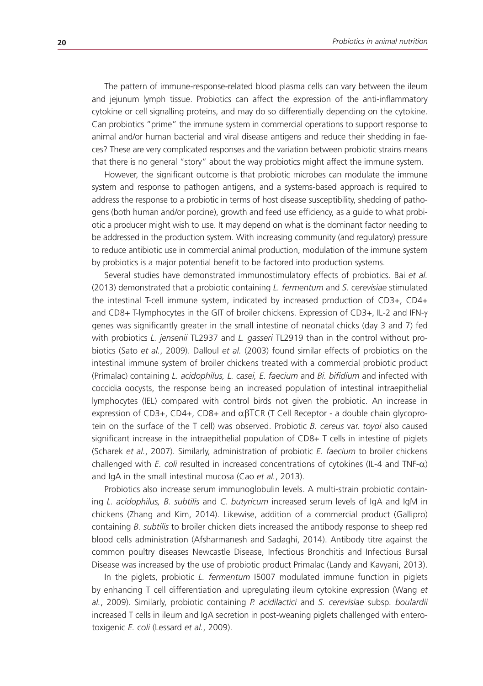The pattern of immune-response-related blood plasma cells can vary between the ileum and jejunum lymph tissue. Probiotics can affect the expression of the anti-inflammatory cytokine or cell signalling proteins, and may do so differentially depending on the cytokine. Can probiotics "prime" the immune system in commercial operations to support response to animal and/or human bacterial and viral disease antigens and reduce their shedding in faeces? These are very complicated responses and the variation between probiotic strains means that there is no general "story" about the way probiotics might affect the immune system.

However, the significant outcome is that probiotic microbes can modulate the immune system and response to pathogen antigens, and a systems-based approach is required to address the response to a probiotic in terms of host disease susceptibility, shedding of pathogens (both human and/or porcine), growth and feed use efficiency, as a guide to what probiotic a producer might wish to use. It may depend on what is the dominant factor needing to be addressed in the production system. With increasing community (and regulatory) pressure to reduce antibiotic use in commercial animal production, modulation of the immune system by probiotics is a major potential benefit to be factored into production systems.

Several studies have demonstrated immunostimulatory effects of probiotics. Bai *et al.*  (2013) demonstrated that a probiotic containing *L. fermentum* and *S. cerevisiae* stimulated the intestinal T-cell immune system, indicated by increased production of CD3+, CD4+ and CD8+ T-lymphocytes in the GIT of broiler chickens. Expression of CD3+, IL-2 and IFN-γ genes was significantly greater in the small intestine of neonatal chicks (day 3 and 7) fed with probiotics *L. jensenii* TL2937 and *L. gasseri* TL2919 than in the control without probiotics (Sato *et al.*, 2009). Dalloul *et al.* (2003) found similar effects of probiotics on the intestinal immune system of broiler chickens treated with a commercial probiotic product (Primalac) containing *L. acidophilus, L. casei, E. faecium* and *Bi. bifidium* and infected with coccidia oocysts, the response being an increased population of intestinal intraepithelial lymphocytes (IEL) compared with control birds not given the probiotic. An increase in expression of CD3+, CD4+, CD8+ and  $\alpha\beta$ TCR (T Cell Receptor - a double chain glycoprotein on the surface of the T cell) was observed. Probiotic *B. cereus* var. *toyoi* also caused significant increase in the intraepithelial population of CD8+ T cells in intestine of piglets (Scharek *et al.*, 2007). Similarly, administration of probiotic *E. faecium* to broiler chickens challenged with *E. coli* resulted in increased concentrations of cytokines (IL-4 and TNF- $\alpha$ ) and IgA in the small intestinal mucosa (Cao *et al.*, 2013).

Probiotics also increase serum immunoglobulin levels. A multi-strain probiotic containing *L. acidophilus, B. subtilis* and *C. butyricum* increased serum levels of IgA and IgM in chickens (Zhang and Kim, 2014). Likewise, addition of a commercial product (Gallipro) containing *B. subtilis* to broiler chicken diets increased the antibody response to sheep red blood cells administration (Afsharmanesh and Sadaghi, 2014). Antibody titre against the common poultry diseases Newcastle Disease, Infectious Bronchitis and Infectious Bursal Disease was increased by the use of probiotic product Primalac (Landy and Kavyani, 2013).

In the piglets, probiotic *L. fermentum* I5007 modulated immune function in piglets by enhancing T cell differentiation and upregulating ileum cytokine expression (Wang *et al.*, 2009). Similarly, probiotic containing *P. acidilactici* and *S. cerevisiae* subsp*. boulardii* increased T cells in ileum and IgA secretion in post-weaning piglets challenged with enterotoxigenic *E. coli* (Lessard *et al.*, 2009).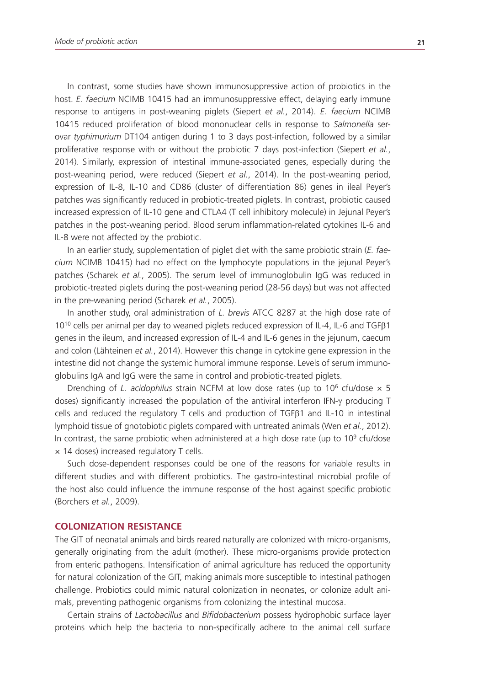In contrast, some studies have shown immunosuppressive action of probiotics in the host. *E. faecium* NCIMB 10415 had an immunosuppressive effect, delaying early immune response to antigens in post-weaning piglets (Siepert *et al.*, 2014). *E. faecium* NCIMB 10415 reduced proliferation of blood mononuclear cells in response to *Salmonella* serovar *typhimurium* DT104 antigen during 1 to 3 days post-infection, followed by a similar proliferative response with or without the probiotic 7 days post-infection (Siepert *et al.*, 2014). Similarly, expression of intestinal immune-associated genes, especially during the post-weaning period, were reduced (Siepert *et al.*, 2014). In the post-weaning period, expression of IL-8, IL-10 and CD86 (cluster of differentiation 86) genes in ileal Peyer's patches was significantly reduced in probiotic-treated piglets. In contrast, probiotic caused increased expression of IL-10 gene and CTLA4 (T cell inhibitory molecule) in Jejunal Peyer's patches in the post-weaning period. Blood serum inflammation-related cytokines IL-6 and IL-8 were not affected by the probiotic.

In an earlier study, supplementation of piglet diet with the same probiotic strain (*E. faecium* NCIMB 10415) had no effect on the lymphocyte populations in the jejunal Peyer's patches (Scharek *et al.*, 2005). The serum level of immunoglobulin IgG was reduced in probiotic-treated piglets during the post-weaning period (28-56 days) but was not affected in the pre-weaning period (Scharek *et al.*, 2005).

In another study, oral administration of *L. brevis* ATCC 8287 at the high dose rate of 1010 cells per animal per day to weaned piglets reduced expression of IL-4, IL-6 and TGFβ1 genes in the ileum, and increased expression of IL-4 and IL-6 genes in the jejunum, caecum and colon (Lähteinen *et al.*, 2014). However this change in cytokine gene expression in the intestine did not change the systemic humoral immune response. Levels of serum immunoglobulins IgA and IgG were the same in control and probiotic-treated piglets.

Drenching of *L. acidophilus* strain NCFM at low dose rates (up to 10<sup>6</sup> cfu/dose x 5 doses) significantly increased the population of the antiviral interferon IFN-γ producing T cells and reduced the regulatory T cells and production of TGFβ1 and IL-10 in intestinal lymphoid tissue of gnotobiotic piglets compared with untreated animals (Wen *et al.*, 2012). In contrast, the same probiotic when administered at a high dose rate (up to  $10^9$  cfu/dose × 14 doses) increased regulatory T cells.

Such dose-dependent responses could be one of the reasons for variable results in different studies and with different probiotics. The gastro-intestinal microbial profile of the host also could influence the immune response of the host against specific probiotic (Borchers *et al.*, 2009).

#### **COLONIZATION RESISTANCE**

The GIT of neonatal animals and birds reared naturally are colonized with micro-organisms, generally originating from the adult (mother). These micro-organisms provide protection from enteric pathogens. Intensification of animal agriculture has reduced the opportunity for natural colonization of the GIT, making animals more susceptible to intestinal pathogen challenge. Probiotics could mimic natural colonization in neonates, or colonize adult animals, preventing pathogenic organisms from colonizing the intestinal mucosa.

Certain strains of *Lactobacillus* and *Bifidobacterium* possess hydrophobic surface layer proteins which help the bacteria to non-specifically adhere to the animal cell surface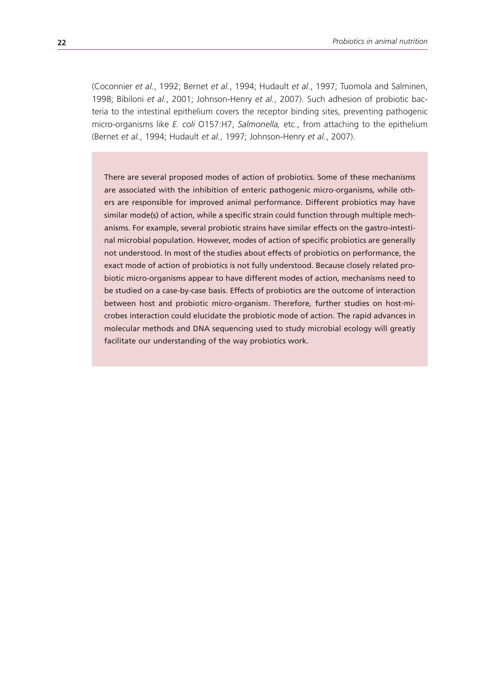(Coconnier *et al.*, 1992; Bernet *et al.*, 1994; Hudault *et al.*, 1997; Tuomola and Salminen, 1998; Bibiloni *et al.*, 2001; Johnson-Henry *et al.*, 2007). Such adhesion of probiotic bacteria to the intestinal epithelium covers the receptor binding sites, preventing pathogenic micro-organisms like *E. coli* O157:H7, *Salmonella,* etc., from attaching to the epithelium (Bernet *et al.*, 1994; Hudault *et al.*, 1997; Johnson-Henry *et al.*, 2007).

There are several proposed modes of action of probiotics. Some of these mechanisms are associated with the inhibition of enteric pathogenic micro-organisms, while others are responsible for improved animal performance. Different probiotics may have similar mode(s) of action, while a specific strain could function through multiple mechanisms. For example, several probiotic strains have similar effects on the gastro-intestinal microbial population. However, modes of action of specific probiotics are generally not understood. In most of the studies about effects of probiotics on performance, the exact mode of action of probiotics is not fully understood. Because closely related probiotic micro-organisms appear to have different modes of action, mechanisms need to be studied on a case-by-case basis. Effects of probiotics are the outcome of interaction between host and probiotic micro-organism. Therefore, further studies on host-microbes interaction could elucidate the probiotic mode of action. The rapid advances in molecular methods and DNA sequencing used to study microbial ecology will greatly facilitate our understanding of the way probiotics work.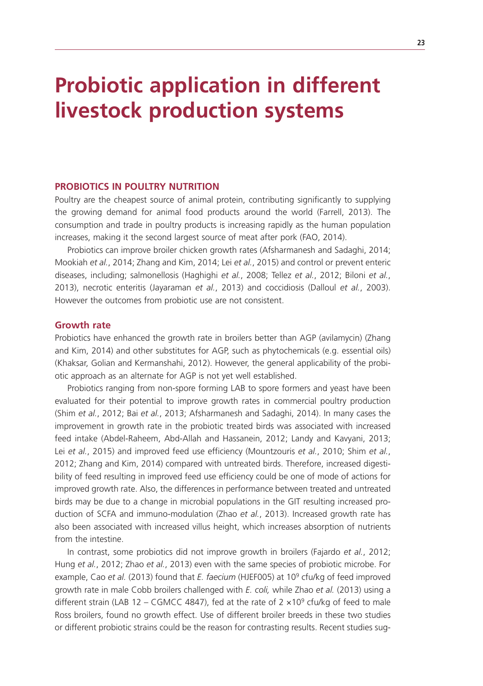# **Probiotic application in different livestock production systems**

#### **PROBIOTICS IN POULTRY NUTRITION**

Poultry are the cheapest source of animal protein, contributing significantly to supplying the growing demand for animal food products around the world (Farrell, 2013). The consumption and trade in poultry products is increasing rapidly as the human population increases, making it the second largest source of meat after pork (FAO, 2014).

Probiotics can improve broiler chicken growth rates (Afsharmanesh and Sadaghi, 2014; Mookiah *et al.*, 2014; Zhang and Kim, 2014; Lei *et al.*, 2015) and control or prevent enteric diseases, including; salmonellosis (Haghighi *et al.*, 2008; Tellez *et al.*, 2012; Biloni *et al.*, 2013), necrotic enteritis (Jayaraman *et al.*, 2013) and coccidiosis (Dalloul *et al.*, 2003). However the outcomes from probiotic use are not consistent.

#### **Growth rate**

Probiotics have enhanced the growth rate in broilers better than AGP (avilamycin) (Zhang and Kim, 2014) and other substitutes for AGP, such as phytochemicals (e.g. essential oils) (Khaksar, Golian and Kermanshahi, 2012). However, the general applicability of the probiotic approach as an alternate for AGP is not yet well established.

Probiotics ranging from non-spore forming LAB to spore formers and yeast have been evaluated for their potential to improve growth rates in commercial poultry production (Shim *et al.*, 2012; Bai *et al.*, 2013; Afsharmanesh and Sadaghi, 2014). In many cases the improvement in growth rate in the probiotic treated birds was associated with increased feed intake (Abdel-Raheem, Abd-Allah and Hassanein, 2012; Landy and Kavyani, 2013; Lei *et al.*, 2015) and improved feed use efficiency (Mountzouris *et al.*, 2010; Shim *et al.*, 2012; Zhang and Kim, 2014) compared with untreated birds. Therefore, increased digestibility of feed resulting in improved feed use efficiency could be one of mode of actions for improved growth rate. Also, the differences in performance between treated and untreated birds may be due to a change in microbial populations in the GIT resulting increased production of SCFA and immuno-modulation (Zhao *et al.*, 2013). Increased growth rate has also been associated with increased villus height, which increases absorption of nutrients from the intestine.

In contrast, some probiotics did not improve growth in broilers (Fajardo *et al.*, 2012; Hung *et al.*, 2012; Zhao *et al.*, 2013) even with the same species of probiotic microbe. For example, Cao *et al.* (2013) found that *E. faecium* (HJEF005) at 109 cfu/kg of feed improved growth rate in male Cobb broilers challenged with *E. coli,* while Zhao *et al.* (2013) using a different strain (LAB 12 – CGMCC 4847), fed at the rate of 2  $\times$ 10<sup>9</sup> cfu/kg of feed to male Ross broilers, found no growth effect. Use of different broiler breeds in these two studies or different probiotic strains could be the reason for contrasting results. Recent studies sug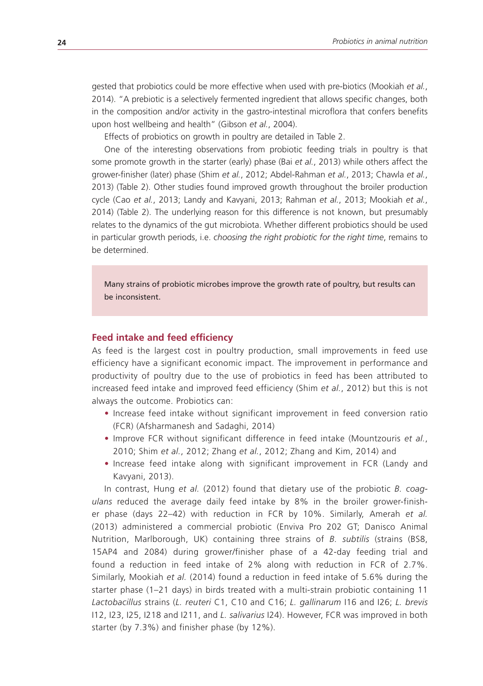gested that probiotics could be more effective when used with pre-biotics (Mookiah *et al.*, 2014). "A prebiotic is a selectively fermented ingredient that allows specific changes, both in the composition and/or activity in the gastro-intestinal microflora that confers benefits upon host wellbeing and health" (Gibson *et al.*, 2004).

Effects of probiotics on growth in poultry are detailed in Table 2.

One of the interesting observations from probiotic feeding trials in poultry is that some promote growth in the starter (early) phase (Bai *et al.*, 2013) while others affect the grower-finisher (later) phase (Shim *et al.*, 2012; Abdel-Rahman *et al.*, 2013; Chawla *et al.*, 2013) (Table 2). Other studies found improved growth throughout the broiler production cycle (Cao *et al.*, 2013; Landy and Kavyani, 2013; Rahman *et al.*, 2013; Mookiah *et al.*, 2014) (Table 2). The underlying reason for this difference is not known, but presumably relates to the dynamics of the gut microbiota. Whether different probiotics should be used in particular growth periods, i.e. *choosing the right probiotic for the right time*, remains to be determined.

Many strains of probiotic microbes improve the growth rate of poultry, but results can be inconsistent.

#### **Feed intake and feed efficiency**

As feed is the largest cost in poultry production, small improvements in feed use efficiency have a significant economic impact. The improvement in performance and productivity of poultry due to the use of probiotics in feed has been attributed to increased feed intake and improved feed efficiency (Shim *et al.*, 2012) but this is not always the outcome. Probiotics can:

- Increase feed intake without significant improvement in feed conversion ratio (FCR) (Afsharmanesh and Sadaghi, 2014)
- • Improve FCR without significant difference in feed intake (Mountzouris *et al.*, 2010; Shim *et al.*, 2012; Zhang *et al.*, 2012; Zhang and Kim, 2014) and
- Increase feed intake along with significant improvement in FCR (Landy and Kavyani, 2013).

In contrast, Hung *et al.* (2012) found that dietary use of the probiotic *B. coagulans* reduced the average daily feed intake by 8% in the broiler grower-finisher phase (days 22–42) with reduction in FCR by 10%. Similarly, Amerah *et al.* (2013) administered a commercial probiotic (Enviva Pro 202 GT; Danisco Animal Nutrition, Marlborough, UK) containing three strains of *B. subtilis* (strains (BS8, 15AP4 and 2084) during grower/finisher phase of a 42-day feeding trial and found a reduction in feed intake of 2% along with reduction in FCR of 2.7%. Similarly, Mookiah *et al.* (2014) found a reduction in feed intake of 5.6% during the starter phase (1–21 days) in birds treated with a multi-strain probiotic containing 11 *Lactobacillus* strains (*L. reuteri* C1, C10 and C16; *L. gallinarum* I16 and I26; *L. brevis* I12, I23, I25, I218 and I211, and *L. salivarius* I24). However, FCR was improved in both starter (by 7.3%) and finisher phase (by 12%).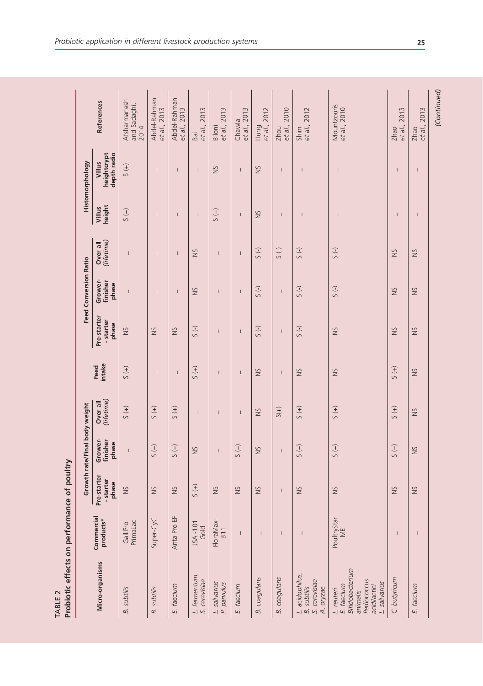|         | <b>Loon</b>               |
|---------|---------------------------|
|         |                           |
|         |                           |
|         |                           |
|         |                           |
|         | effects on performance of |
|         | ū                         |
| TABLE 2 | obioti                    |
|         |                           |

|                                                                                                         |                                       |                                   | Growth rate/Final body weight         |                            |                |                                   | <b>Feed Conversion Ratio</b> |                            |                                | Histomorphology                      |                                      |
|---------------------------------------------------------------------------------------------------------|---------------------------------------|-----------------------------------|---------------------------------------|----------------------------|----------------|-----------------------------------|------------------------------|----------------------------|--------------------------------|--------------------------------------|--------------------------------------|
| Micro-organisms                                                                                         | Commercial<br>products*               | Pre-starter<br>- starter<br>phase | Grower-<br>finisher<br>phase          | Over all<br>(lifetime)     | Feed<br>intake | Pre-starter<br>- starter<br>phase | Grower-<br>finisher<br>phase | (lifetime)<br>Over all     | height<br>Villus               | heightcrypt<br>depth radio<br>Villus | References                           |
| <b>B.</b> subtilis                                                                                      | PrimaLac<br>GalliPro                  | $\frac{5}{2}$                     | $\begin{array}{c} \hline \end{array}$ | $\left(\frac{1}{2}\right)$ | $5(+)$         | SN                                | $\overline{1}$               | $\overline{1}$             | $\left(\frac{1}{2}\right)$     | $\frac{1}{2}$                        | Afsharmanesh<br>and Sadaghi,<br>2014 |
| <b>B.</b> subtilis                                                                                      | Super-CyC                             | $\frac{5}{2}$                     | $5(+)$                                | $(+)$                      | I              | $\frac{5}{2}$                     | I                            | I                          | $\overline{1}$                 | $\overline{1}$                       | Abdel-Rahman<br>et al., 2013         |
| E. faecium                                                                                              | Anta Pro EF                           | $\frac{5}{2}$                     | $\left( +\right)$                     | $(+)$                      | $\overline{1}$ | $\frac{5}{2}$                     | $\overline{1}$               | I                          | T                              | $\overline{1}$                       | Abdel-Rahman<br>et al., 2013         |
| L. fermentum<br>S. cerevisiae                                                                           | JSA - 101<br>Gold                     | $5(+)$                            | SN                                    | $\overline{1}$             | $5(+)$         | $(-)$                             | SN                           | SN                         | $\mathsf{I}$                   | $\overline{1}$                       | et al., 2013<br>Bai                  |
| L. salivarius<br>P. parvulus                                                                            | FloraMax-<br>B <sub>11</sub>          | Š                                 | $\overline{1}$                        | ı                          | $\overline{1}$ | I                                 | $\overline{1}$               | I                          | $5(+)$                         | Š                                    | Biloni<br>et al., 2013               |
| E. faecium                                                                                              | $\overline{\phantom{a}}$              | <b>NS</b>                         | $(+)$                                 | $\vert$                    | $\overline{1}$ | $\overline{\phantom{a}}$          | $\mathbf{I}$                 | $\overline{\phantom{a}}$   | $\vert$                        | $\overline{1}$                       | et al., 2013<br>Chawla               |
| <b>B.</b> coagulans                                                                                     |                                       | ŠN                                | $\frac{5}{2}$                         | $\frac{5}{2}$              | ŠN             | $(-)$                             | $(-)$                        | $(-)$                      | ŠN                             | ŠN                                   | et al., 2012<br>Hung                 |
| <b>B.</b> coagulans                                                                                     | $\begin{array}{c} \hline \end{array}$ | $\vert$                           | $\vert$                               | $S(+)$                     | $\overline{1}$ | $\mathsf{I}$                      | $\bar{\rm I}$                | $(-)$                      | $\overline{1}$                 | $\overline{1}$                       | et al., 2010<br>Zhou                 |
| L. acidophilus,<br>S. cerevisiae<br><b>B.</b> subtilis<br>A. oryzae                                     | $\overline{1}$                        | SN                                | $(+)$                                 | $(+)$                      | SN             | $(-)$                             | $\left(\frac{1}{2}\right)$   | $\left(\frac{1}{2}\right)$ | $\overline{1}$                 | $\overline{1}$                       | et al., 2012<br>Shim                 |
| Bifidobacterium<br>Pediococcus<br>L. salivarius<br>E. faecium<br>acidilactici<br>L. reuteri<br>animalis | PoultryStar<br>ME                     | $\frac{5}{2}$                     | $5(+)$                                | $(+)$ S                    | $\frac{5}{2}$  | $\frac{5}{2}$                     | $(-)$                        | $(-)$                      | $\overline{1}$                 | $\overline{1}$                       | Mountzouris<br>et al., 2010          |
| C. butyricum                                                                                            | $\overline{\phantom{a}}$              | Š                                 | $\left( +\right)$                     | $\left( +\right)$          | $(+)$          | $\frac{5}{2}$                     | $\geq$                       | $\frac{5}{2}$              | I                              | $\overline{1}$                       | et al., 2013<br>Zhao                 |
| E. faecium                                                                                              | $\mathbf{I}$                          | ŠN                                | ŠN                                    | $\frac{5}{2}$              | $\frac{5}{2}$  | $\frac{5}{2}$                     | $\frac{5}{2}$                | ŠN                         | $\begin{array}{c} \end{array}$ | $\overline{1}$                       | et al., 2013<br>Zhao                 |
|                                                                                                         |                                       |                                   |                                       |                            |                |                                   |                              |                            |                                |                                      | (Continued)                          |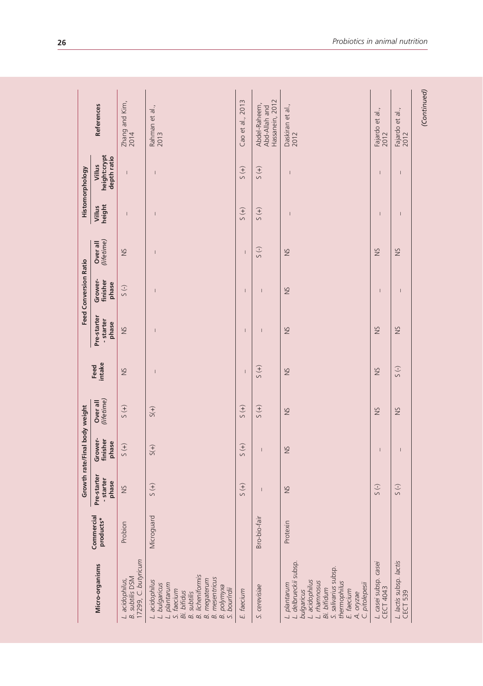| Micro-organisms<br>L. acidophilus,                                                                                                                                                                           |                         |                                   | Growth rate/Final body weight |                        |                                       |                                   | <b>Feed Conversion Ratio</b> |                          | Histomorphology                |                                       |                                                   |
|--------------------------------------------------------------------------------------------------------------------------------------------------------------------------------------------------------------|-------------------------|-----------------------------------|-------------------------------|------------------------|---------------------------------------|-----------------------------------|------------------------------|--------------------------|--------------------------------|---------------------------------------|---------------------------------------------------|
|                                                                                                                                                                                                              | Commercial<br>products* | Pre-starter<br>- starter<br>phase | Grower-<br>finisher<br>phase  | (lifetime)<br>Over all | Feed<br>intake                        | Pre-starter<br>- starter<br>phase | Grower-<br>finisher<br>phase | (lifetime)<br>Over all   | height<br>Villus               | height:crypt<br>depth ratio<br>Villus | References                                        |
| 17299, C. butyricum<br><b>B.</b> subtilis DSM                                                                                                                                                                | Probion                 | SN                                | $\left( +\right)$             | $\left( +\right) S$    | SN                                    | $\frac{5}{2}$                     | 5(                           | SN                       | $\begin{array}{c} \end{array}$ | $\mathsf I$                           | Zhang and Kim,<br>2014                            |
| <b>B.</b> licheniformis<br><b>B.</b> mesentricus<br><b>B.</b> megaterum<br>L. acidophilus<br>L. bulgaricus<br>L. plantarum<br>B. polymyxa<br>S. bourlrdii<br>S. faecium<br>Bi. bifidus<br><b>B.</b> subtilis | Microguard              | $\left( +\right)$                 | $S(+)$                        | $S(+)$                 | I                                     |                                   | I                            |                          |                                | I                                     | Rahman et al.,<br>2013                            |
| E. faecium                                                                                                                                                                                                   |                         | $5(+)$                            | $5(+)$                        | $\left( +\right)$      | $\begin{array}{c} \hline \end{array}$ | I                                 | I                            | $\overline{\phantom{a}}$ | $5(+)$                         | $5(+)$                                | Cao et al., 2013                                  |
| S. cerevisiae                                                                                                                                                                                                | Bro-bio-fair            | I                                 | I                             | $5(+)$                 | $(+)$                                 | ı                                 |                              | $(-)$                    | $(+)$                          | $5(+)$                                | Hassanein, 2012<br>Abdel-Raheem,<br>Abd-Allah and |
| L. delbrueckii subsp.<br>S. salivarius subsp.<br>L. acidophilus<br>thermophilus<br>L. rhamnosus<br>C. pitolepesii<br>L. plantarum<br>Bi. bifidum<br>E. faecium<br>bulgaricus<br>A. oryzae                    | Protexin                | <b>NS</b>                         | $\frac{5}{2}$                 | SN                     | <b>NS</b>                             | <b>SN</b>                         | <b>NS</b>                    | SN                       | I                              | I                                     | Daskiran et al.,<br>2012                          |
| L. casei subsp. casei<br>CECT 4043                                                                                                                                                                           |                         | $S(-)$                            | $\overline{1}$                | $\frac{5}{2}$          | SN                                    | $\frac{5}{2}$                     | $\overline{1}$               | SN                       | $\overline{\phantom{a}}$       | $\overline{\phantom{a}}$              | Fajardo et al.,<br>2012                           |
| L. lactis subsp. lactis<br>CECT 539                                                                                                                                                                          |                         | $5( - )$                          | $\mathsf{I}$                  | SN                     | $(-)$                                 | SN                                | $\overline{1}$               | SN                       | $\overline{1}$                 | I                                     | Fajardo et al.,<br>2012                           |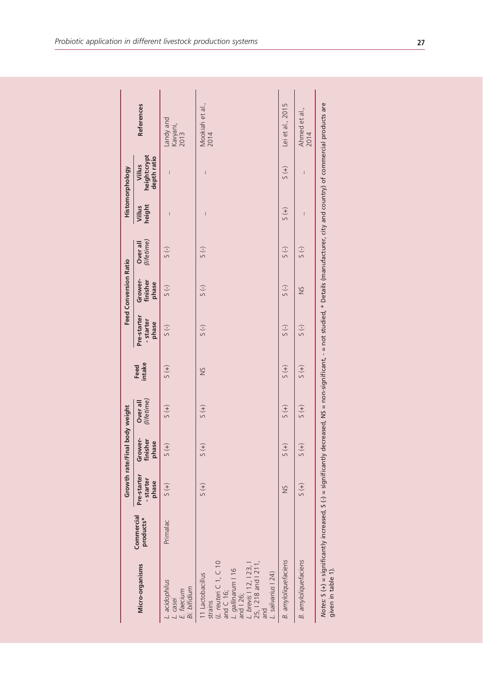|                                                                                                                                                                                                                             |                         |                                   | Growth rate/Final body weight |                            |                            |                                   | <b>Feed Conversion Ratio</b> |                        |                            | Histomorphology                       |                               |
|-----------------------------------------------------------------------------------------------------------------------------------------------------------------------------------------------------------------------------|-------------------------|-----------------------------------|-------------------------------|----------------------------|----------------------------|-----------------------------------|------------------------------|------------------------|----------------------------|---------------------------------------|-------------------------------|
| Micro-organisms                                                                                                                                                                                                             | Commercial<br>products* | Pre-starter<br>- starter<br>phase | Grower-<br>finisher<br>phase  | (lifetime)<br>Over all     | Feed<br>intake             | Pre-starter<br>- starter<br>phase | Grower-<br>finisher<br>phase | (lifetime)<br>Over all | height<br>Villus           | height:crypt<br>depth ratio<br>Villus | <b>References</b>             |
| L. acidophilus<br>Bi. bifidium<br>L. casei<br>E. faecium                                                                                                                                                                    | Primalac                | $5(+)$                            | $\widetilde{f}$               | $\left(\frac{1}{2}\right)$ | $\frac{1}{2}$              | 5(                                | 5(                           | $\overline{S}$ (-)     | $\overline{\phantom{a}}$   | $\overline{\phantom{a}}$              | Landy and<br>Kavyani,<br>2013 |
| (L. reuteri C 1, C 10<br>and C 16;<br><i>L. gallinarum</i>   16<br>and   26;<br><i>L. brevis</i>   12,   23,  <br><i>L. brevis</i>   12,   23,  <br>ang   218 and   211,<br>salivarius   24)<br>11 Lactobacillus<br>strains |                         | $(+)$                             | $\left(\frac{1}{2}\right)$    | $(+)$                      | ŠN                         | 5(                                | 5(                           | $5( - )$               | I                          | Ī                                     | Mookiah et al.,<br>2014       |
| <b>B.</b> amyloliquefaciens                                                                                                                                                                                                 |                         | $\frac{5}{2}$                     | $\left(\frac{1}{2}\right)$    | $(+)$                      | $(+)$                      | 5(                                | 5(                           | $5( - )$               | $\left(\frac{1}{2}\right)$ | $\left(\frac{1}{2}\right)$            | Lei et al., 2015              |
| <b>B.</b> amyloliquefaciens                                                                                                                                                                                                 |                         | $(+)$                             | $\left(\frac{1}{2}\right)$    | $\left(\frac{1}{2}\right)$ | $\left(\frac{1}{2}\right)$ | 5(                                | $\frac{5}{2}$                | 5()                    | $\overline{1}$             | $\mathbf{I}$                          | Ahmed et al.,<br>2014         |
| Notes: S (+) = significantly increased, S (-) = significantly decreased, NS = non-significant, - = not studied, * Details (manufacturer, city and country) of commercial products are<br>given in table 1).                 |                         |                                   |                               |                            |                            |                                   |                              |                        |                            |                                       |                               |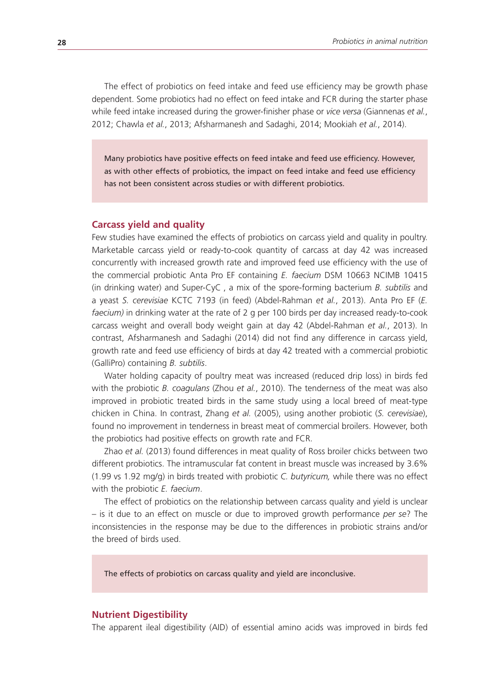The effect of probiotics on feed intake and feed use efficiency may be growth phase dependent. Some probiotics had no effect on feed intake and FCR during the starter phase while feed intake increased during the grower-finisher phase or *vice versa* (Giannenas *et al.*, 2012; Chawla *et al.*, 2013; Afsharmanesh and Sadaghi, 2014; Mookiah *et al.*, 2014).

Many probiotics have positive effects on feed intake and feed use efficiency. However, as with other effects of probiotics, the impact on feed intake and feed use efficiency has not been consistent across studies or with different probiotics.

#### **Carcass yield and quality**

Few studies have examined the effects of probiotics on carcass yield and quality in poultry. Marketable carcass yield or ready-to-cook quantity of carcass at day 42 was increased concurrently with increased growth rate and improved feed use efficiency with the use of the commercial probiotic Anta Pro EF containing *E. faecium* DSM 10663 NCIMB 10415 (in drinking water) and Super-CyC , a mix of the spore-forming bacterium *B. subtilis* and a yeast *S. cerevisiae* KCTC 7193 (in feed) (Abdel-Rahman *et al.*, 2013). Anta Pro EF (*E. faecium)* in drinking water at the rate of 2 g per 100 birds per day increased ready-to-cook carcass weight and overall body weight gain at day 42 (Abdel-Rahman *et al.*, 2013). In contrast, Afsharmanesh and Sadaghi (2014) did not find any difference in carcass yield, growth rate and feed use efficiency of birds at day 42 treated with a commercial probiotic (GalliPro) containing *B. subtilis*.

Water holding capacity of poultry meat was increased (reduced drip loss) in birds fed with the probiotic *B. coagulans* (Zhou *et al.*, 2010). The tenderness of the meat was also improved in probiotic treated birds in the same study using a local breed of meat-type chicken in China. In contrast, Zhang *et al.* (2005), using another probiotic (*S. cerevisiae*), found no improvement in tenderness in breast meat of commercial broilers. However, both the probiotics had positive effects on growth rate and FCR.

Zhao *et al.* (2013) found differences in meat quality of Ross broiler chicks between two different probiotics. The intramuscular fat content in breast muscle was increased by 3.6% (1.99 vs 1.92 mg/g) in birds treated with probiotic *C. butyricum,* while there was no effect with the probiotic *E. faecium*.

The effect of probiotics on the relationship between carcass quality and yield is unclear – is it due to an effect on muscle or due to improved growth performance *per se*? The inconsistencies in the response may be due to the differences in probiotic strains and/or the breed of birds used.

The effects of probiotics on carcass quality and yield are inconclusive.

#### **Nutrient Digestibility**

The apparent ileal digestibility (AID) of essential amino acids was improved in birds fed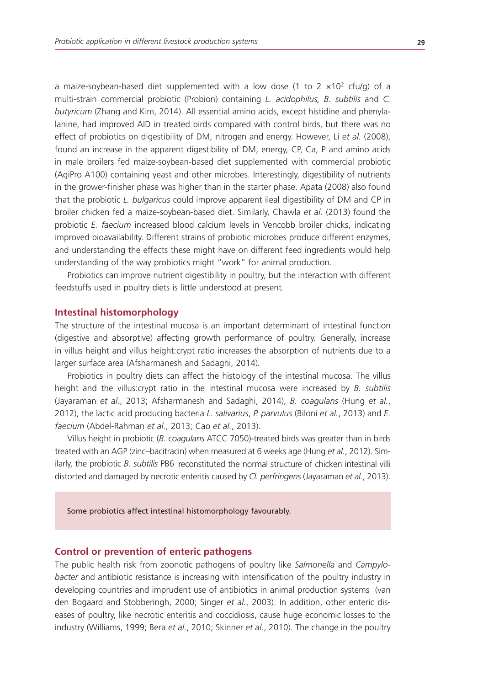a maize-soybean-based diet supplemented with a low dose (1 to 2  $\times$ 10<sup>2</sup> cfu/g) of a multi-strain commercial probiotic (Probion) containing *L. acidophilus, B. subtilis* and *C. butyricum* (Zhang and Kim, 2014). All essential amino acids, except histidine and phenylalanine, had improved AID in treated birds compared with control birds, but there was no effect of probiotics on digestibility of DM, nitrogen and energy. However, Li *et al.* (2008), found an increase in the apparent digestibility of DM, energy, CP, Ca, P and amino acids in male broilers fed maize-soybean-based diet supplemented with commercial probiotic (AgiPro A100) containing yeast and other microbes. Interestingly, digestibility of nutrients in the grower-finisher phase was higher than in the starter phase. Apata (2008) also found that the probiotic *L. bulgaricus* could improve apparent ileal digestibility of DM and CP in broiler chicken fed a maize-soybean-based diet. Similarly, Chawla *et al.* (2013) found the probiotic *E. faecium* increased blood calcium levels in Vencobb broiler chicks, indicating improved bioavailability. Different strains of probiotic microbes produce different enzymes, and understanding the effects these might have on different feed ingredients would help understanding of the way probiotics might "work" for animal production.

Probiotics can improve nutrient digestibility in poultry, but the interaction with different feedstuffs used in poultry diets is little understood at present.

#### **Intestinal histomorphology**

The structure of the intestinal mucosa is an important determinant of intestinal function (digestive and absorptive) affecting growth performance of poultry. Generally, increase in villus height and villus height:crypt ratio increases the absorption of nutrients due to a larger surface area (Afsharmanesh and Sadaghi, 2014)*.*

Probiotics in poultry diets can affect the histology of the intestinal mucosa. The villus height and the villus:crypt ratio in the intestinal mucosa were increased by *B. subtilis* (Jayaraman *et al.*, 2013; Afsharmanesh and Sadaghi, 2014), *B. coagulans* (Hung *et al.*, 2012), the lactic acid producing bacteria *L. salivarius*, *P. parvulus* (Biloni *et al.*, 2013) and *E. faecium* (Abdel-Rahman *et al.*, 2013; Cao *et al.*, 2013).

Villus height in probiotic (*B. coagulans* ATCC 7050)-treated birds was greater than in birds treated with an AGP (zinc–bacitracin) when measured at 6 weeks age (Hung *et al.*, 2012). Similarly, the probiotic *B. subtilis* PB6 reconstituted the normal structure of chicken intestinal villi distorted and damaged by necrotic enteritis caused by *Cl. perfringens* (Jayaraman *et al.*, 2013).

Some probiotics affect intestinal histomorphology favourably.

#### **Control or prevention of enteric pathogens**

The public health risk from zoonotic pathogens of poultry like *Salmonella* and *Campylobacter* and antibiotic resistance is increasing with intensification of the poultry industry in developing countries and imprudent use of antibiotics in animal production systems (van den Bogaard and Stobberingh, 2000; Singer *et al.*, 2003). In addition, other enteric diseases of poultry, like necrotic enteritis and coccidiosis, cause huge economic losses to the industry (Williams, 1999; Bera *et al.*, 2010; Skinner *et al.*, 2010). The change in the poultry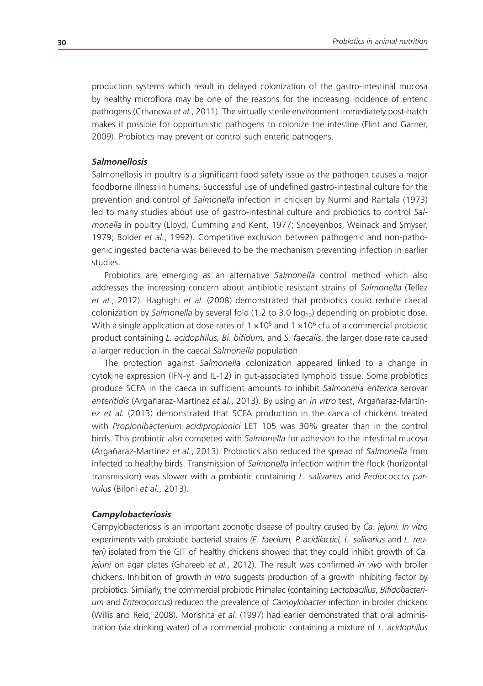production systems which result in delayed colonization of the gastro-intestinal mucosa by healthy microflora may be one of the reasons for the increasing incidence of enteric pathogens (Crhanova *et al.*, 2011). The virtually sterile environment immediately post-hatch makes it possible for opportunistic pathogens to colonize the intestine (Flint and Garner, 2009). Probiotics may prevent or control such enteric pathogens.

#### *Salmonellosis*

Salmonellosis in poultry is a significant food safety issue as the pathogen causes a major foodborne illness in humans. Successful use of undefined gastro-intestinal culture for the prevention and control of *Salmonella* infection in chicken by Nurmi and Rantala (1973) led to many studies about use of gastro-intestinal culture and probiotics to control *Salmonella* in poultry (Lloyd, Cumming and Kent, 1977; Snoeyenbos, Weinack and Smyser, 1979; Bolder *et al.*, 1992). Competitive exclusion between pathogenic and non-pathogenic ingested bacteria was believed to be the mechanism preventing infection in earlier studies.

Probiotics are emerging as an alternative *Salmonella* control method which also addresses the increasing concern about antibiotic resistant strains of *Salmonella* (Tellez *et al.*, 2012). Haghighi *et al.* (2008) demonstrated that probiotics could reduce caecal colonization by *Salmonella* by several fold (1.2 to 3.0 log<sub>10</sub>) depending on probiotic dose. With a single application at dose rates of  $1 \times 10^5$  and  $1 \times 10^6$  cfu of a commercial probiotic product containing *L. acidophilus, Bi. bifidum,* and *S. faecalis*, the larger dose rate caused a larger reduction in the caecal *Salmonella* population.

The protection against *Salmonella* colonization appeared linked to a change in cytokine expression (IFN-γ and IL-12) in gut-associated lymphoid tissue. Some probiotics produce SCFA in the caeca in sufficient amounts to inhibit *Salmonella enterica* serovar *enteritidis* (Argañaraz-Martínez *et al.*, 2013). By using an *in vitro* test, Argañaraz-Martínez *et al.* (2013) demonstrated that SCFA production in the caeca of chickens treated with *Propionibacterium acidipropionici* LET 105 was 30% greater than in the control birds. This probiotic also competed with *Salmonella* for adhesion to the intestinal mucosa (Argañaraz-Martínez *et al.*, 2013). Probiotics also reduced the spread of *Salmonella* from infected to healthy birds. Transmission of *Salmonella* infection within the flock (horizontal transmission) was slower with a probiotic containing *L. salivarius* and *Pediococcus parvulus* (Biloni *et al.*, 2013).

#### *Campylobacteriosis*

Campylobacteriosis is an important zoonotic disease of poultry caused by *Ca. jejuni. In vitro*  experiments with probiotic bacterial strains *(E. faecium, P. acidilactici, L. salivarius* and *L. reuteri)* isolated from the GIT of healthy chickens showed that they could inhibit growth of *Ca. jejuni* on agar plates (Ghareeb *et al.*, 2012). The result was confirmed *in vivo* with broiler chickens. Inhibition of growth *in vitro* suggests production of a growth inhibiting factor by probiotics. Similarly, the commercial probiotic Primalac (containing *Lactobacillus*, *Bifidobacterium* and *Enterococcus*) reduced the prevalence of *Campylobacter* infection in broiler chickens (Willis and Reid, 2008). Morishita *et al.* (1997) had earlier demonstrated that oral administration (via drinking water) of a commercial probiotic containing a mixture of *L. acidophilus*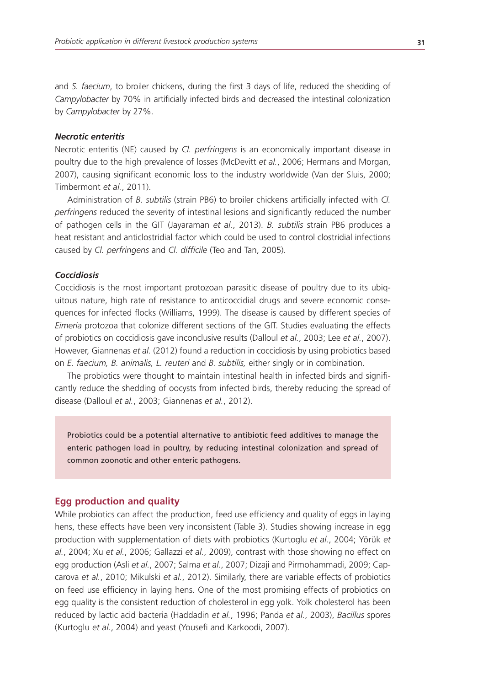and *S. faecium*, to broiler chickens, during the first 3 days of life, reduced the shedding of *Campylobacter* by 70% in artificially infected birds and decreased the intestinal colonization by *Campylobacter* by 27%.

#### *Necrotic enteritis*

Necrotic enteritis (NE) caused by *Cl. perfringens* is an economically important disease in poultry due to the high prevalence of losses (McDevitt *et al.*, 2006; Hermans and Morgan, 2007), causing significant economic loss to the industry worldwide (Van der Sluis, 2000; Timbermont *et al.*, 2011).

Administration of *B. subtilis* (strain PB6) to broiler chickens artificially infected with *Cl. perfringens* reduced the severity of intestinal lesions and significantly reduced the number of pathogen cells in the GIT (Jayaraman *et al.*, 2013). *B. subtilis* strain PB6 produces a heat resistant and anticlostridial factor which could be used to control clostridial infections caused by *Cl. perfringens* and *Cl. difficile* (Teo and Tan, 2005)*.*

#### *Coccidiosis*

Coccidiosis is the most important protozoan parasitic disease of poultry due to its ubiquitous nature, high rate of resistance to anticoccidial drugs and severe economic consequences for infected flocks (Williams, 1999). The disease is caused by different species of *Eimeria* protozoa that colonize different sections of the GIT. Studies evaluating the effects of probiotics on coccidiosis gave inconclusive results (Dalloul *et al.*, 2003; Lee *et al.*, 2007). However, Giannenas *et al.* (2012) found a reduction in coccidiosis by using probiotics based on *E. faecium, B. animalis, L. reuteri* and *B. subtilis,* either singly or in combination.

The probiotics were thought to maintain intestinal health in infected birds and significantly reduce the shedding of oocysts from infected birds, thereby reducing the spread of disease (Dalloul *et al.*, 2003; Giannenas *et al.*, 2012).

Probiotics could be a potential alternative to antibiotic feed additives to manage the enteric pathogen load in poultry, by reducing intestinal colonization and spread of common zoonotic and other enteric pathogens.

#### **Egg production and quality**

While probiotics can affect the production, feed use efficiency and quality of eggs in laying hens, these effects have been very inconsistent (Table 3). Studies showing increase in egg production with supplementation of diets with probiotics (Kurtoglu *et al.*, 2004; Yörük *et al.*, 2004; Xu *et al.*, 2006; Gallazzi *et al.*, 2009), contrast with those showing no effect on egg production (Asli *et al.*, 2007; Salma *et al.*, 2007; Dizaji and Pirmohammadi, 2009; Capcarova *et al.*, 2010; Mikulski *et al.*, 2012). Similarly, there are variable effects of probiotics on feed use efficiency in laying hens. One of the most promising effects of probiotics on egg quality is the consistent reduction of cholesterol in egg yolk. Yolk cholesterol has been reduced by lactic acid bacteria (Haddadin *et al.*, 1996; Panda *et al.*, 2003), *Bacillus* spores (Kurtoglu *et al.*, 2004) and yeast (Yousefi and Karkoodi, 2007).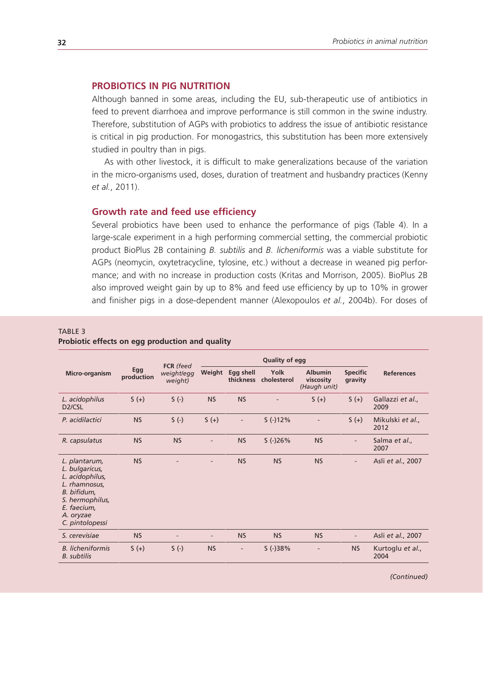# **PROBIOTICS IN PIG NUTRITION**

Although banned in some areas, including the EU, sub-therapeutic use of antibiotics in feed to prevent diarrhoea and improve performance is still common in the swine industry. Therefore, substitution of AGPs with probiotics to address the issue of antibiotic resistance is critical in pig production. For monogastrics, this substitution has been more extensively studied in poultry than in pigs.

As with other livestock, it is difficult to make generalizations because of the variation in the micro-organisms used, doses, duration of treatment and husbandry practices (Kenny *et al.*, 2011).

# **Growth rate and feed use efficiency**

Several probiotics have been used to enhance the performance of pigs (Table 4). In a large-scale experiment in a high performing commercial setting, the commercial probiotic product BioPlus 2B containing *B. subtilis* and *B. licheniformis* was a viable substitute for AGPs (neomycin, oxytetracycline, tylosine, etc.) without a decrease in weaned pig performance; and with no increase in production costs (Kritas and Morrison, 2005). BioPlus 2B also improved weight gain by up to 8% and feed use efficiency by up to 10% in grower and finisher pigs in a dose-dependent manner (Alexopoulos *et al.*, 2004b). For doses of

# TABLE 3

|  | Probiotic effects on egg production and quality |
|--|-------------------------------------------------|
|--|-------------------------------------------------|

|                                                                                                                                                      | FCR (feed<br>Egg<br>weight/egg<br>production<br>weight) |                              |                              | Quality of egg           |                     |                                             |                            |                          |
|------------------------------------------------------------------------------------------------------------------------------------------------------|---------------------------------------------------------|------------------------------|------------------------------|--------------------------|---------------------|---------------------------------------------|----------------------------|--------------------------|
| Micro-organism                                                                                                                                       |                                                         |                              | Weight                       | Egg shell<br>thickness   | Yolk<br>cholesterol | <b>Albumin</b><br>viscosity<br>(Haugh unit) | <b>Specific</b><br>gravity | <b>References</b>        |
| L. acidophilus<br>D <sub>2</sub> /CSL                                                                                                                | $5 (+)$                                                 | $S(-)$                       | <b>NS</b>                    | <b>NS</b>                |                     | $S(+)$                                      | $S (+)$                    | Gallazzi et al.,<br>2009 |
| P. acidilactici                                                                                                                                      | <b>NS</b>                                               | $S(-)$                       | $S(+)$                       | $\overline{\phantom{a}}$ | $S(-)12%$           |                                             | $5 (+)$                    | Mikulski et al.,<br>2012 |
| R. capsulatus                                                                                                                                        | <b>NS</b>                                               | <b>NS</b>                    |                              | <b>NS</b>                | $S(-)26%$           | <b>NS</b>                                   | $\overline{\phantom{a}}$   | Salma et al.,<br>2007    |
| L. plantarum,<br>L. bulgaricus,<br>L. acidophilus,<br>L. rhamnosus,<br>B. bifidum,<br>S. hermophilus,<br>E. faecium,<br>A. oryzae<br>C. pintolopessi | <b>NS</b>                                               |                              | $\qquad \qquad \blacksquare$ | <b>NS</b>                | <b>NS</b>           | <b>NS</b>                                   | $\overline{\phantom{a}}$   | Asli et al., 2007        |
| S. cerevisiae                                                                                                                                        | <b>NS</b>                                               | $\qquad \qquad \blacksquare$ | $\frac{1}{2}$                | <b>NS</b>                | <b>NS</b>           | <b>NS</b>                                   | $\overline{\phantom{a}}$   | Asli et al., 2007        |
| <b>B.</b> licheniformis<br><b>B.</b> subtilis                                                                                                        | $5 (+)$                                                 | $S(-)$                       | <b>NS</b>                    | $\overline{\phantom{a}}$ | $S(-)38%$           |                                             | <b>NS</b>                  | Kurtoglu et al.,<br>2004 |

*(Continued)*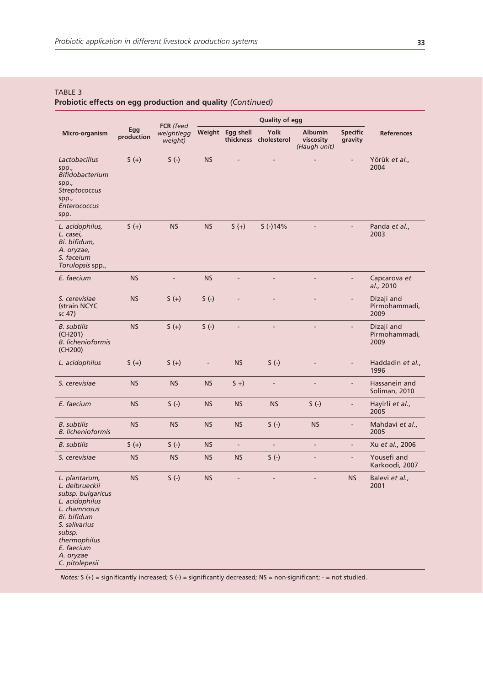#### TABLE 3

# **Probiotic effects on egg production and quality** *(Continued)*

|                                                                                                                                                                                               |                   | FCR (feed             |               |                          | <b>Quality of egg</b>         |                                             |                            |                                     |
|-----------------------------------------------------------------------------------------------------------------------------------------------------------------------------------------------|-------------------|-----------------------|---------------|--------------------------|-------------------------------|---------------------------------------------|----------------------------|-------------------------------------|
| Micro-organism                                                                                                                                                                                | Egg<br>production | weight/egg<br>weight) |               | Weight Egg shell         | Yolk<br>thickness cholesterol | <b>Albumin</b><br>viscosity<br>(Haugh unit) | <b>Specific</b><br>gravity | <b>References</b>                   |
| Lactobacillus<br>spp.,<br>Bifidobacterium<br>spp.,<br>Streptococcus<br>spp.,<br>Enterococcus<br>spp.                                                                                          | $S(+)$            | $S(-)$                | <b>NS</b>     | L.                       |                               |                                             |                            | Yörük et al.,<br>2004               |
| L. acidophilus,<br>L. casei,<br>Bi. bifidum,<br>A. oryzae,<br>S. faceium<br>Torulopsis spp.,                                                                                                  | $5 (+)$           | <b>NS</b>             | <b>NS</b>     | $S(+)$                   | $S(-)14%$                     |                                             |                            | Panda et al.,<br>2003               |
| E. faecium                                                                                                                                                                                    | <b>NS</b>         | L,                    | <b>NS</b>     | L.                       | L.                            | L.                                          | L.                         | Capcarova et<br>al., 2010           |
| S. cerevisiae<br>(strain NCYC<br>sc 47)                                                                                                                                                       | <b>NS</b>         | $S(+)$                | $S(-)$        | $\overline{\phantom{a}}$ | ÷,                            | L.                                          | $\blacksquare$             | Dizaji and<br>Pirmohammadi,<br>2009 |
| <b>B.</b> subtilis<br>(CH201)<br><b>B.</b> lichenioformis<br>(CH <sub>200</sub> )                                                                                                             | <b>NS</b>         | $S(+)$                | $S(-)$        | $\frac{1}{2}$            | L.                            | L,                                          | $\overline{a}$             | Dizaji and<br>Pirmohammadi,<br>2009 |
| L. acidophilus                                                                                                                                                                                | $S(+)$            | $S(+)$                | $\frac{1}{2}$ | <b>NS</b>                | $S(-)$                        | Ē,                                          | $\overline{a}$             | Haddadin et al.,<br>1996            |
| S. cerevisiae                                                                                                                                                                                 | <b>NS</b>         | <b>NS</b>             | <b>NS</b>     | $5 +$                    | $\frac{1}{2}$                 | $\overline{\phantom{a}}$                    | $\blacksquare$             | Hassanein and<br>Soliman, 2010      |
| E. faecium                                                                                                                                                                                    | <b>NS</b>         | $S(-)$                | <b>NS</b>     | <b>NS</b>                | <b>NS</b>                     | $S(-)$                                      | $\overline{\phantom{a}}$   | Hayirli et al.,<br>2005             |
| <b>B.</b> subtilis<br><b>B.</b> lichenioformis                                                                                                                                                | <b>NS</b>         | <b>NS</b>             | <b>NS</b>     | <b>NS</b>                | $S(-)$                        | <b>NS</b>                                   | $\overline{\phantom{a}}$   | Mahdavi et al.,<br>2005             |
| <b>B.</b> subtilis                                                                                                                                                                            | $S(+)$            | $S(-)$                | <b>NS</b>     | $\overline{\phantom{a}}$ | $\overline{\phantom{a}}$      | $\overline{\phantom{a}}$                    | $\overline{\phantom{a}}$   | Xu et al., 2006                     |
| S. cerevisiae                                                                                                                                                                                 | <b>NS</b>         | <b>NS</b>             | <b>NS</b>     | <b>NS</b>                | $S(-)$                        | ٠                                           | $\overline{\phantom{a}}$   | Yousefi and<br>Karkoodi, 2007       |
| L. plantarum,<br>L. delbrueckii<br>subsp. bulgaricus<br>L. acidophilus<br>L. rhamnosus<br>Bi. bifidum<br>S. salivarius<br>subsp.<br>thermophilus<br>E. faecium<br>A. oryzae<br>C. pitolepesii | <b>NS</b>         | $S(-)$                | <b>NS</b>     | ÷,                       |                               |                                             | <b>NS</b>                  | Balevi et al.,<br>2001              |

*Notes:* S (+) = significantly increased; S (-) = significantly decreased; NS = non-significant; - = not studied.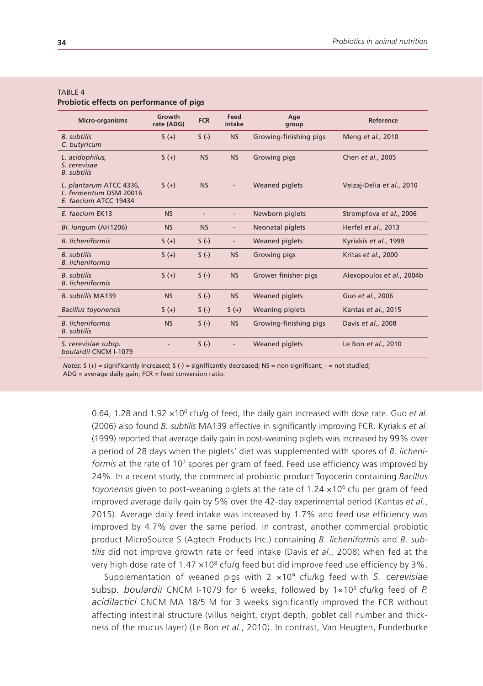#### TARI F 4

**Probiotic effects on performance of pigs**

| <b>Micro-organisms</b>                                                     | Growth<br>rate (ADG) | <b>FCR</b> | Feed<br>intake           | Age<br>group           | Reference                 |
|----------------------------------------------------------------------------|----------------------|------------|--------------------------|------------------------|---------------------------|
| <b>B.</b> subtilis<br>C. butyricum                                         | $S(+)$               | $S(-)$     | <b>NS</b>                | Growing-finishing pigs | Meng et al., 2010         |
| L. acidophilus,<br>S. cerevisae<br><b>B.</b> subtilis                      | $5 (+)$              | <b>NS</b>  | <b>NS</b>                | <b>Growing pigs</b>    | Chen et al., 2005         |
| L. plantarum ATCC 4336,<br>L. fermentum DSM 20016<br>E. faecium ATCC 19434 | $S(+)$               | <b>NS</b>  |                          | <b>Weaned piglets</b>  | Veizaj-Delia et al., 2010 |
| E. faecium EK13                                                            | <b>NS</b>            |            |                          | Newborn piglets        | Strompfova et al., 2006   |
| Bi. longum (AH1206)                                                        | <b>NS</b>            | <b>NS</b>  |                          | Neonatal piglets       | Herfel et al., 2013       |
| <b>B.</b> licheniformis                                                    | $S(+)$               | $S(-)$     |                          | <b>Weaned piglets</b>  | Kyriakis et al., 1999     |
| <b>B.</b> subtilis<br><b>B.</b> licheniformis                              | $S(+)$               | $S(-)$     | <b>NS</b>                | Growing pigs           | Kritas et al., 2000       |
| <b>B.</b> subtilis<br><b>B.</b> licheniformis                              | $5 (+)$              | $S(-)$     | <b>NS</b>                | Grower finisher pigs   | Alexopoulos et al., 2004b |
| <b>B.</b> subtilis MA139                                                   | <b>NS</b>            | $S(-)$     | <b>NS</b>                | <b>Weaned piglets</b>  | Guo et al., 2006          |
| <b>Bacillus toyonensis</b>                                                 | $S(+)$               | $S(-)$     | $S(+)$                   | Weaning piglets        | Kantas et al., 2015       |
| <b>B.</b> licheniformis<br><b>B.</b> subtilis                              | <b>NS</b>            | $S(-)$     | <b>NS</b>                | Growing-finishing pigs | Davis et al., 2008        |
| S. cerevisiae subsp.<br>boulardii CNCM I-1079                              |                      | $S(-)$     | $\overline{\phantom{0}}$ | <b>Weaned piglets</b>  | Le Bon et al., 2010       |

*Notes:* S (+) = significantly increased; S (-) = significantly decreased; NS = non-significant; - = not studied;  $ADG$  = average daily gain;  $FCR$  = feed conversion ratio.

0.64, 1.28 and 1.92 ×106 cfu/g of feed, the daily gain increased with dose rate. Guo *et al.*  (2006) also found *B. subtilis* MA139 effective in significantly improving FCR. Kyriakis *et al.*  (1999) reported that average daily gain in post-weaning piglets was increased by 99% over a period of 28 days when the piglets' diet was supplemented with spores of *B. licheniformis* at the rate of 107 spores per gram of feed. Feed use efficiency was improved by 24%. In a recent study, the commercial probiotic product Toyocerin containing *Bacillus toyonensis* given to post-weaning piglets at the rate of 1.24 ×106 cfu per gram of feed improved average daily gain by 5% over the 42-day experimental period (Kantas *et al.*, 2015). Average daily feed intake was increased by 1.7% and feed use efficiency was improved by 4.7% over the same period. In contrast, another commercial probiotic product MicroSource S (Agtech Products Inc.) containing *B. licheniformis* and *B. subtilis* did not improve growth rate or feed intake (Davis *et al.*, 2008) when fed at the very high dose rate of  $1.47 \times 10^8$  cfu/g feed but did improve feed use efficiency by 3%.

Supplementation of weaned pigs with 2 ×109 cfu/kg feed with *S. cerevisiae*  subsp*. boulardii* CNCM I-1079 for 6 weeks, followed by 1×109 cfu/kg feed of *P. acidilactici* CNCM MA 18/5 M for 3 weeks significantly improved the FCR without affecting intestinal structure (villus height, crypt depth, goblet cell number and thickness of the mucus layer) (Le Bon *et al.*, 2010). In contrast, Van Heugten, Funderburke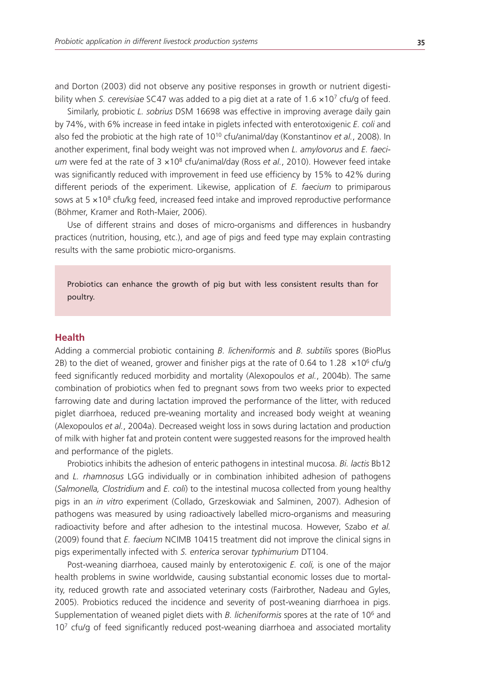and Dorton (2003) did not observe any positive responses in growth or nutrient digestibility when *S. cerevisiae* SC47 was added to a pig diet at a rate of 1.6 ×107 cfu/g of feed.

Similarly, probiotic *L. sobrius* DSM 16698 was effective in improving average daily gain by 74%, with 6% increase in feed intake in piglets infected with enterotoxigenic *E. coli* and also fed the probiotic at the high rate of 1010 cfu/animal/day (Konstantinov *et al.*, 2008). In another experiment, final body weight was not improved when *L. amylovorus* and *E. faecium* were fed at the rate of 3  $\times$ 10<sup>8</sup> cfu/animal/day (Ross et al., 2010). However feed intake was significantly reduced with improvement in feed use efficiency by 15% to 42% during different periods of the experiment. Likewise, application of *E. faecium* to primiparous sows at  $5 \times 10^8$  cfu/kg feed, increased feed intake and improved reproductive performance (Böhmer, Kramer and Roth-Maier, 2006).

Use of different strains and doses of micro-organisms and differences in husbandry practices (nutrition, housing, etc.), and age of pigs and feed type may explain contrasting results with the same probiotic micro-organisms.

Probiotics can enhance the growth of pig but with less consistent results than for poultry.

# **Health**

Adding a commercial probiotic containing *B. licheniformis* and *B. subtilis* spores (BioPlus 2B) to the diet of weaned, grower and finisher pigs at the rate of 0.64 to 1.28  $\times$ 10<sup>6</sup> cfu/g feed significantly reduced morbidity and mortality (Alexopoulos *et al.*, 2004b). The same combination of probiotics when fed to pregnant sows from two weeks prior to expected farrowing date and during lactation improved the performance of the litter, with reduced piglet diarrhoea, reduced pre-weaning mortality and increased body weight at weaning (Alexopoulos *et al.*, 2004a). Decreased weight loss in sows during lactation and production of milk with higher fat and protein content were suggested reasons for the improved health and performance of the piglets.

Probiotics inhibits the adhesion of enteric pathogens in intestinal mucosa. *Bi. lactis* Bb12 and *L. rhamnosus* LGG individually or in combination inhibited adhesion of pathogens (*Salmonella, Clostridium* and *E. coli*) to the intestinal mucosa collected from young healthy pigs in an *in vitro* experiment (Collado, Grzeskowiak and Salminen, 2007). Adhesion of pathogens was measured by using radioactively labelled micro-organisms and measuring radioactivity before and after adhesion to the intestinal mucosa. However, Szabo *et al.*  (2009) found that *E. faecium* NCIMB 10415 treatment did not improve the clinical signs in pigs experimentally infected with *S. enterica* serovar *typhimurium* DT104.

Post-weaning diarrhoea, caused mainly by enterotoxigenic *E. coli,* is one of the major health problems in swine worldwide, causing substantial economic losses due to mortality, reduced growth rate and associated veterinary costs (Fairbrother, Nadeau and Gyles, 2005). Probiotics reduced the incidence and severity of post-weaning diarrhoea in pigs. Supplementation of weaned piglet diets with *B. licheniformis* spores at the rate of 106 and  $10<sup>7</sup>$  cfu/g of feed significantly reduced post-weaning diarrhoea and associated mortality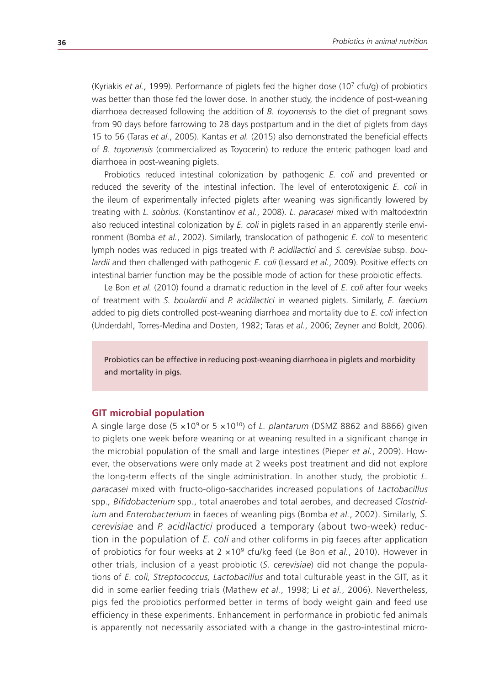(Kyriakis *et al.*, 1999). Performance of piglets fed the higher dose (107 cfu/g) of probiotics was better than those fed the lower dose. In another study, the incidence of post-weaning diarrhoea decreased following the addition of *B. toyonensis* to the diet of pregnant sows from 90 days before farrowing to 28 days postpartum and in the diet of piglets from days 15 to 56 (Taras *et al.*, 2005). Kantas *et al.* (2015) also demonstrated the beneficial effects of *B. toyonensis* (commercialized as Toyocerin) to reduce the enteric pathogen load and diarrhoea in post-weaning piglets.

Probiotics reduced intestinal colonization by pathogenic *E. coli* and prevented or reduced the severity of the intestinal infection. The level of enterotoxigenic *E. coli* in the ileum of experimentally infected piglets after weaning was significantly lowered by treating with *L. sobrius.* (Konstantinov *et al.*, 2008). *L. paracasei* mixed with maltodextrin also reduced intestinal colonization by *E. coli* in piglets raised in an apparently sterile environment (Bomba *et al.*, 2002). Similarly, translocation of pathogenic *E. coli* to mesenteric lymph nodes was reduced in pigs treated with *P. acidilactici* and *S. cerevisiae* subsp. *boulardii* and then challenged with pathogenic *E. coli* (Lessard *et al.*, 2009). Positive effects on intestinal barrier function may be the possible mode of action for these probiotic effects.

Le Bon *et al.* (2010) found a dramatic reduction in the level of *E. coli* after four weeks of treatment with *S. boulardii* and *P. acidilactici* in weaned piglets. Similarly, *E. faecium* added to pig diets controlled post-weaning diarrhoea and mortality due to *E. coli* infection (Underdahl, Torres-Medina and Dosten, 1982; Taras *et al.*, 2006; Zeyner and Boldt, 2006).

Probiotics can be effective in reducing post-weaning diarrhoea in piglets and morbidity and mortality in pigs.

#### **GIT microbial population**

A single large dose  $(5 \times 10^9)$  or  $5 \times 10^{10}$  of *L. plantarum* (DSMZ 8862 and 8866) given to piglets one week before weaning or at weaning resulted in a significant change in the microbial population of the small and large intestines (Pieper *et al.*, 2009). However, the observations were only made at 2 weeks post treatment and did not explore the long-term effects of the single administration. In another study, the probiotic *L. paracasei* mixed with fructo-oligo-saccharides increased populations of *Lactobacillus*  spp.*, Bifidobacterium* spp., total anaerobes and total aerobes, and decreased *Clostridium* and *Enterobacterium* in faeces of weanling pigs (Bomba *et al.*, 2002). Similarly, *S. cerevisiae* and *P. acidilactici* produced a temporary (about two-week) reduction in the population of *E. coli* and other coliforms in pig faeces after application of probiotics for four weeks at 2 ×109 cfu/kg feed (Le Bon *et al.*, 2010). However in other trials, inclusion of a yeast probiotic (*S. cerevisiae*) did not change the populations of *E. coli, Streptococcus, Lactobacillus* and total culturable yeast in the GIT, as it did in some earlier feeding trials (Mathew *et al.*, 1998; Li *et al.*, 2006). Nevertheless, pigs fed the probiotics performed better in terms of body weight gain and feed use efficiency in these experiments. Enhancement in performance in probiotic fed animals is apparently not necessarily associated with a change in the gastro-intestinal micro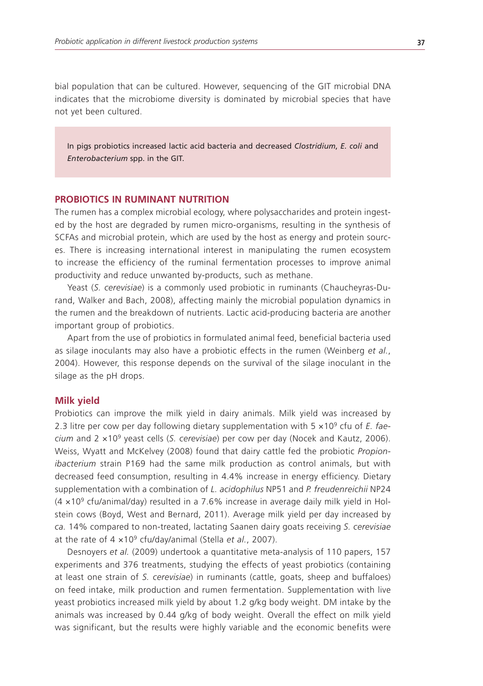bial population that can be cultured. However, sequencing of the GIT microbial DNA indicates that the microbiome diversity is dominated by microbial species that have not yet been cultured.

In pigs probiotics increased lactic acid bacteria and decreased *Clostridium*, *E. coli* and *Enterobacterium* spp. in the GIT.

## **PROBIOTICS IN RUMINANT NUTRITION**

The rumen has a complex microbial ecology, where polysaccharides and protein ingested by the host are degraded by rumen micro-organisms, resulting in the synthesis of SCFAs and microbial protein, which are used by the host as energy and protein sources. There is increasing international interest in manipulating the rumen ecosystem to increase the efficiency of the ruminal fermentation processes to improve animal productivity and reduce unwanted by-products, such as methane.

Yeast (*S. cerevisiae*) is a commonly used probiotic in ruminants (Chaucheyras-Durand, Walker and Bach, 2008), affecting mainly the microbial population dynamics in the rumen and the breakdown of nutrients. Lactic acid-producing bacteria are another important group of probiotics.

Apart from the use of probiotics in formulated animal feed, beneficial bacteria used as silage inoculants may also have a probiotic effects in the rumen (Weinberg *et al.*, 2004). However, this response depends on the survival of the silage inoculant in the silage as the pH drops.

#### **Milk yield**

Probiotics can improve the milk yield in dairy animals. Milk yield was increased by 2.3 litre per cow per day following dietary supplementation with 5 ×109 cfu of *E. faecium* and 2 ×109 yeast cells (*S. cerevisiae*) per cow per day (Nocek and Kautz, 2006). Weiss, Wyatt and McKelvey (2008) found that dairy cattle fed the probiotic *Propionibacterium* strain P169 had the same milk production as control animals, but with decreased feed consumption, resulting in 4.4% increase in energy efficiency. Dietary supplementation with a combination of *L. acidophilus* NP51 and *P. freudenreichii* NP24  $(4 \times 10^9 \text{ c}$  fu/animal/day) resulted in a 7.6% increase in average daily milk yield in Holstein cows (Boyd, West and Bernard, 2011). Average milk yield per day increased by *ca.* 14% compared to non-treated, lactating Saanen dairy goats receiving *S. cerevisiae*  at the rate of 4 ×109 cfu/day/animal (Stella *et al.*, 2007).

Desnoyers *et al.* (2009) undertook a quantitative meta-analysis of 110 papers, 157 experiments and 376 treatments, studying the effects of yeast probiotics (containing at least one strain of *S. cerevisiae*) in ruminants (cattle, goats, sheep and buffaloes) on feed intake, milk production and rumen fermentation. Supplementation with live yeast probiotics increased milk yield by about 1.2 g/kg body weight. DM intake by the animals was increased by 0.44 g/kg of body weight. Overall the effect on milk yield was significant, but the results were highly variable and the economic benefits were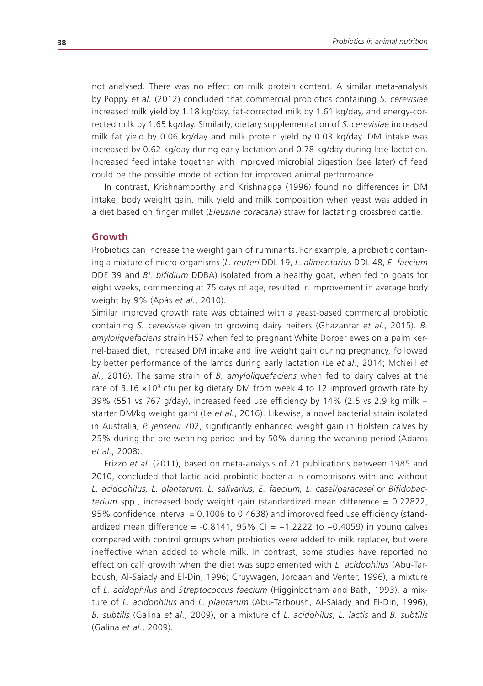not analysed. There was no effect on milk protein content. A similar meta-analysis by Poppy *et al.* (2012) concluded that commercial probiotics containing *S. cerevisiae* increased milk yield by 1.18 kg/day, fat-corrected milk by 1.61 kg/day, and energy-corrected milk by 1.65 kg/day. Similarly, dietary supplementation of *S. cerevisiae* increased milk fat yield by 0.06 kg/day and milk protein yield by 0.03 kg/day. DM intake was increased by 0.62 kg/day during early lactation and 0.78 kg/day during late lactation. Increased feed intake together with improved microbial digestion (see later) of feed could be the possible mode of action for improved animal performance.

In contrast, Krishnamoorthy and Krishnappa (1996) found no differences in DM intake, body weight gain, milk yield and milk composition when yeast was added in a diet based on finger millet (*Eleusine coracana*) straw for lactating crossbred cattle.

#### **Growth**

Probiotics can increase the weight gain of ruminants. For example, a probiotic containing a mixture of micro-organisms (*L. reuteri* DDL 19, *L. alimentarius* DDL 48, *E. faecium* DDE 39 and *Bi. bifidium* DDBA) isolated from a healthy goat, when fed to goats for eight weeks, commencing at 75 days of age, resulted in improvement in average body weight by 9% (Apás *et al.*, 2010).

Similar improved growth rate was obtained with a yeast-based commercial probiotic containing *S. cerevisiae* given to growing dairy heifers (Ghazanfar *et al.*, 2015). *B. amyloliquefaciens* strain H57 when fed to pregnant White Dorper ewes on a palm kernel-based diet, increased DM intake and live weight gain during pregnancy, followed by better performance of the lambs during early lactation (Le *et al.*, 2014; McNeill *et al.*, 2016). The same strain of *B. amyloliquefaciens* when fed to dairy calves at the rate of  $3.16 \times 10^8$  cfu per kg dietary DM from week 4 to 12 improved growth rate by 39% (551 vs 767 g/day), increased feed use efficiency by 14% (2.5 vs 2.9 kg milk + starter DM/kg weight gain) (Le *et al.*, 2016). Likewise, a novel bacterial strain isolated in Australia, *P. jensenii* 702, significantly enhanced weight gain in Holstein calves by 25% during the pre-weaning period and by 50% during the weaning period (Adams *et al.*, 2008).

Frizzo *et al.* (2011), based on meta-analysis of 21 publications between 1985 and 2010, concluded that lactic acid probiotic bacteria in comparisons with and without *L. acidophilus, L. plantarum, L. salivarius, E. faecium, L. casei/paracasei* or *Bifidobacterium* spp., increased body weight gain (standardized mean difference = 0.22822, 95% confidence interval = 0.1006 to 0.4638) and improved feed use efficiency (standardized mean difference =  $-0.8141$ , 95% CI =  $-1.2222$  to  $-0.4059$ ) in young calves compared with control groups when probiotics were added to milk replacer, but were ineffective when added to whole milk. In contrast, some studies have reported no effect on calf growth when the diet was supplemented with *L. acidophilus* (Abu-Tarboush, Al-Saiady and El-Din, 1996; Cruywagen, Jordaan and Venter, 1996), a mixture of *L. acidophilus* and *Streptococcus faecium* (Higginbotham and Bath, 1993), a mixture of *L. acidophilus* and *L. plantarum* (Abu-Tarboush, Al-Saiady and El-Din, 1996), *B. subtilis* (Galina *et al*., 2009), or a mixture of *L. acidohilus*, *L. lactis* and *B. subtilis* (Galina *et al*., 2009).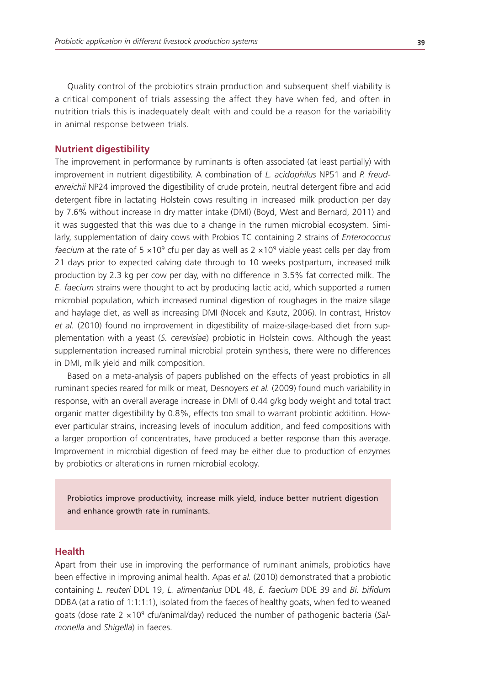Quality control of the probiotics strain production and subsequent shelf viability is a critical component of trials assessing the affect they have when fed, and often in nutrition trials this is inadequately dealt with and could be a reason for the variability in animal response between trials.

### **Nutrient digestibility**

The improvement in performance by ruminants is often associated (at least partially) with improvement in nutrient digestibility. A combination of *L. acidophilus* NP51 and *P. freudenreichii* NP24 improved the digestibility of crude protein, neutral detergent fibre and acid detergent fibre in lactating Holstein cows resulting in increased milk production per day by 7.6% without increase in dry matter intake (DMI) (Boyd, West and Bernard, 2011) and it was suggested that this was due to a change in the rumen microbial ecosystem. Similarly, supplementation of dairy cows with Probios TC containing 2 strains of *Enterococcus faecium* at the rate of  $5 \times 10^9$  cfu per day as well as  $2 \times 10^9$  viable yeast cells per day from 21 days prior to expected calving date through to 10 weeks postpartum, increased milk production by 2.3 kg per cow per day, with no difference in 3.5% fat corrected milk. The *E. faecium* strains were thought to act by producing lactic acid, which supported a rumen microbial population, which increased ruminal digestion of roughages in the maize silage and haylage diet, as well as increasing DMI (Nocek and Kautz, 2006). In contrast, Hristov *et al.* (2010) found no improvement in digestibility of maize-silage-based diet from supplementation with a yeast (*S. cerevisiae*) probiotic in Holstein cows. Although the yeast supplementation increased ruminal microbial protein synthesis, there were no differences in DMI, milk yield and milk composition.

Based on a meta-analysis of papers published on the effects of yeast probiotics in all ruminant species reared for milk or meat, Desnoyers *et al.* (2009) found much variability in response, with an overall average increase in DMI of 0.44 g/kg body weight and total tract organic matter digestibility by 0.8%, effects too small to warrant probiotic addition. However particular strains, increasing levels of inoculum addition, and feed compositions with a larger proportion of concentrates, have produced a better response than this average. Improvement in microbial digestion of feed may be either due to production of enzymes by probiotics or alterations in rumen microbial ecology.

Probiotics improve productivity, increase milk yield, induce better nutrient digestion and enhance growth rate in ruminants.

#### **Health**

Apart from their use in improving the performance of ruminant animals, probiotics have been effective in improving animal health. Apas *et al.* (2010) demonstrated that a probiotic containing *L. reuteri* DDL 19, *L. alimentarius* DDL 48, *E. faecium* DDE 39 and *Bi. bifidum* DDBA (at a ratio of 1:1:1:1), isolated from the faeces of healthy goats, when fed to weaned goats (dose rate 2 ×109 cfu/animal/day) reduced the number of pathogenic bacteria (*Salmonella* and *Shigella*) in faeces.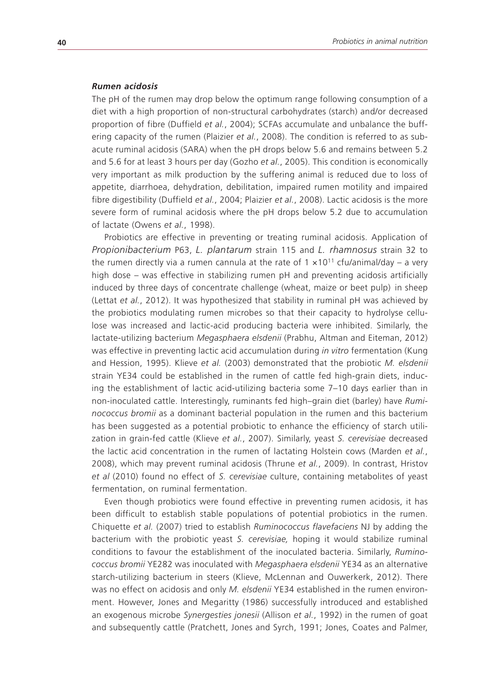#### *Rumen acidosis*

The pH of the rumen may drop below the optimum range following consumption of a diet with a high proportion of non-structural carbohydrates (starch) and/or decreased proportion of fibre (Duffield *et al.*, 2004); SCFAs accumulate and unbalance the buffering capacity of the rumen (Plaizier *et al.*, 2008). The condition is referred to as subacute ruminal acidosis (SARA) when the pH drops below 5.6 and remains between 5.2 and 5.6 for at least 3 hours per day (Gozho *et al.*, 2005). This condition is economically very important as milk production by the suffering animal is reduced due to loss of appetite, diarrhoea, dehydration, debilitation, impaired rumen motility and impaired fibre digestibility (Duffield *et al.*, 2004; Plaizier *et al.*, 2008). Lactic acidosis is the more severe form of ruminal acidosis where the pH drops below 5.2 due to accumulation of lactate (Owens *et al.*, 1998).

Probiotics are effective in preventing or treating ruminal acidosis. Application of *Propionibacterium* P63, *L. plantarum* strain 115 and *L. rhamnosus* strain 32 to the rumen directly via a rumen cannula at the rate of  $1 \times 10^{11}$  cfu/animal/day – a very high dose – was effective in stabilizing rumen pH and preventing acidosis artificially induced by three days of concentrate challenge (wheat, maize or beet pulp) in sheep (Lettat *et al.*, 2012). It was hypothesized that stability in ruminal pH was achieved by the probiotics modulating rumen microbes so that their capacity to hydrolyse cellulose was increased and lactic-acid producing bacteria were inhibited. Similarly, the lactate-utilizing bacterium *Megasphaera elsdenii* (Prabhu, Altman and Eiteman, 2012) was effective in preventing lactic acid accumulation during *in vitro* fermentation (Kung and Hession, 1995). Klieve *et al.* (2003) demonstrated that the probiotic *M. elsdenii* strain YE34 could be established in the rumen of cattle fed high-grain diets, inducing the establishment of lactic acid-utilizing bacteria some 7–10 days earlier than in non-inoculated cattle. Interestingly, ruminants fed high–grain diet (barley) have *Ruminococcus bromii* as a dominant bacterial population in the rumen and this bacterium has been suggested as a potential probiotic to enhance the efficiency of starch utilization in grain-fed cattle (Klieve *et al.*, 2007). Similarly, yeast *S. cerevisiae* decreased the lactic acid concentration in the rumen of lactating Holstein cows (Marden *et al.*, 2008), which may prevent ruminal acidosis (Thrune *et al.*, 2009). In contrast, Hristov *et al* (2010) found no effect of *S. cerevisiae* culture, containing metabolites of yeast fermentation, on ruminal fermentation.

Even though probiotics were found effective in preventing rumen acidosis, it has been difficult to establish stable populations of potential probiotics in the rumen. Chiquette *et al.* (2007) tried to establish *Ruminococcus flavefaciens* NJ by adding the bacterium with the probiotic yeast *S. cerevisiae,* hoping it would stabilize ruminal conditions to favour the establishment of the inoculated bacteria. Similarly, *Ruminococcus bromii* YE282 was inoculated with *Megasphaera elsdenii* YE34 as an alternative starch-utilizing bacterium in steers (Klieve, McLennan and Ouwerkerk, 2012). There was no effect on acidosis and only *M. elsdenii* YE34 established in the rumen environment. However, Jones and Megaritty (1986) successfully introduced and established an exogenous microbe *Synergesties jonesii* (Allison *et al.*, 1992) in the rumen of goat and subsequently cattle (Pratchett, Jones and Syrch, 1991; Jones, Coates and Palmer,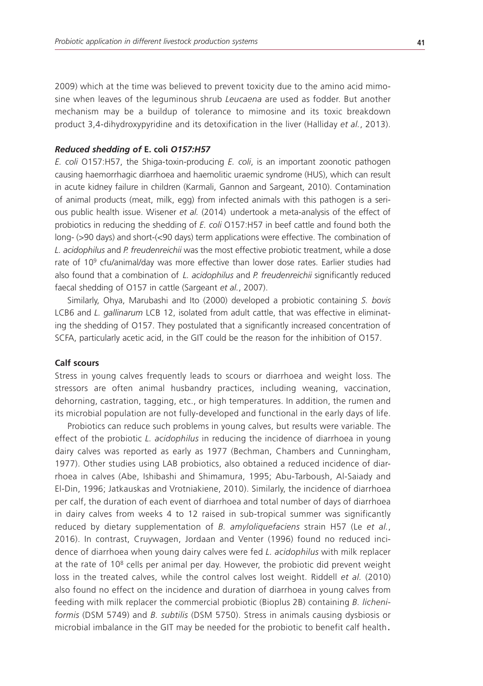2009) which at the time was believed to prevent toxicity due to the amino acid mimosine when leaves of the leguminous shrub *Leucaena* are used as fodder. But another mechanism may be a buildup of tolerance to mimosine and its toxic breakdown product 3,4-dihydroxypyridine and its detoxification in the liver (Halliday *et al.*, 2013).

### *Reduced shedding of* **E. coli** *O157:H57*

*E. coli* O157:H57, the Shiga-toxin-producing *E. coli*, is an important zoonotic pathogen causing haemorrhagic diarrhoea and haemolitic uraemic syndrome (HUS), which can result in acute kidney failure in children (Karmali, Gannon and Sargeant, 2010). Contamination of animal products (meat, milk, egg) from infected animals with this pathogen is a serious public health issue. Wisener *et al.* (2014) undertook a meta-analysis of the effect of probiotics in reducing the shedding of *E. coli* O157:H57 in beef cattle and found both the long- (>90 days) and short-(<90 days) term applications were effective. The combination of *L. acidophilus* and *P. freudenreichii* was the most effective probiotic treatment, while a dose rate of 10<sup>9</sup> cfu/animal/day was more effective than lower dose rates. Earlier studies had also found that a combination of *L. acidophilus* and *P. freudenreichii* significantly reduced faecal shedding of O157 in cattle (Sargeant *et al.*, 2007).

Similarly, Ohya, Marubashi and Ito (2000) developed a probiotic containing *S. bovis* LCB6 and *L. gallinarum* LCB 12, isolated from adult cattle, that was effective in eliminating the shedding of O157. They postulated that a significantly increased concentration of SCFA, particularly acetic acid, in the GIT could be the reason for the inhibition of O157.

#### **Calf scours**

Stress in young calves frequently leads to scours or diarrhoea and weight loss. The stressors are often animal husbandry practices, including weaning, vaccination, dehorning, castration, tagging, etc., or high temperatures. In addition, the rumen and its microbial population are not fully-developed and functional in the early days of life.

Probiotics can reduce such problems in young calves, but results were variable. The effect of the probiotic *L. acidophilus* in reducing the incidence of diarrhoea in young dairy calves was reported as early as 1977 (Bechman, Chambers and Cunningham, 1977). Other studies using LAB probiotics, also obtained a reduced incidence of diarrhoea in calves (Abe, Ishibashi and Shimamura, 1995; Abu-Tarboush, Al-Saiady and El-Din, 1996; Jatkauskas and Vrotniakiene, 2010). Similarly, the incidence of diarrhoea per calf, the duration of each event of diarrhoea and total number of days of diarrhoea in dairy calves from weeks 4 to 12 raised in sub-tropical summer was significantly reduced by dietary supplementation of *B. amyloliquefaciens* strain H57 (Le *et al.*, 2016). In contrast, Cruywagen, Jordaan and Venter (1996) found no reduced incidence of diarrhoea when young dairy calves were fed *L. acidophilus* with milk replacer at the rate of  $10<sup>8</sup>$  cells per animal per day. However, the probiotic did prevent weight loss in the treated calves, while the control calves lost weight. Riddell *et al.* (2010) also found no effect on the incidence and duration of diarrhoea in young calves from feeding with milk replacer the commercial probiotic (Bioplus 2B) containing *B. licheniformis* (DSM 5749) and *B. subtilis* (DSM 5750). Stress in animals causing dysbiosis or microbial imbalance in the GIT may be needed for the probiotic to benefit calf health.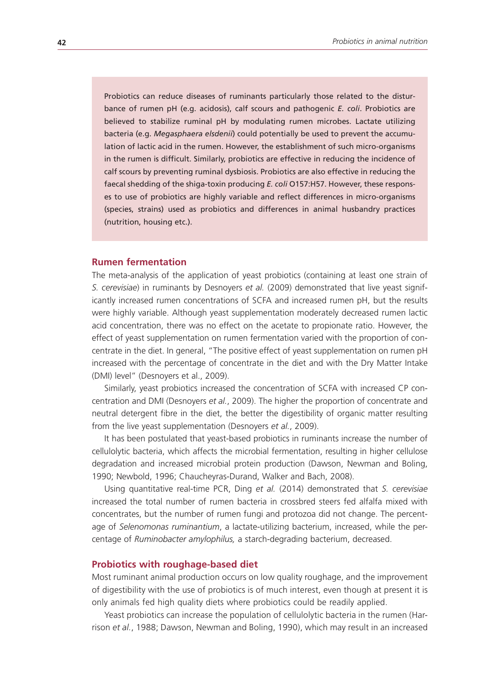Probiotics can reduce diseases of ruminants particularly those related to the disturbance of rumen pH (e.g. acidosis), calf scours and pathogenic *E. coli*. Probiotics are believed to stabilize ruminal pH by modulating rumen microbes. Lactate utilizing bacteria (e.g. *Megasphaera elsdenii*) could potentially be used to prevent the accumulation of lactic acid in the rumen. However, the establishment of such micro-organisms in the rumen is difficult. Similarly, probiotics are effective in reducing the incidence of calf scours by preventing ruminal dysbiosis. Probiotics are also effective in reducing the faecal shedding of the shiga-toxin producing *E. coli* O157:H57. However, these responses to use of probiotics are highly variable and reflect differences in micro-organisms (species, strains) used as probiotics and differences in animal husbandry practices (nutrition, housing etc.).

# **Rumen fermentation**

The meta-analysis of the application of yeast probiotics (containing at least one strain of *S. cerevisiae*) in ruminants by Desnoyers *et al.* (2009) demonstrated that live yeast significantly increased rumen concentrations of SCFA and increased rumen pH, but the results were highly variable. Although yeast supplementation moderately decreased rumen lactic acid concentration, there was no effect on the acetate to propionate ratio. However, the effect of yeast supplementation on rumen fermentation varied with the proportion of concentrate in the diet. In general, "The positive effect of yeast supplementation on rumen pH increased with the percentage of concentrate in the diet and with the Dry Matter Intake (DMI) level" (Desnoyers et al., 2009).

Similarly, yeast probiotics increased the concentration of SCFA with increased CP concentration and DMI (Desnoyers *et al.*, 2009). The higher the proportion of concentrate and neutral detergent fibre in the diet, the better the digestibility of organic matter resulting from the live yeast supplementation (Desnoyers *et al.*, 2009).

It has been postulated that yeast-based probiotics in ruminants increase the number of cellulolytic bacteria, which affects the microbial fermentation, resulting in higher cellulose degradation and increased microbial protein production (Dawson, Newman and Boling, 1990; Newbold, 1996; Chaucheyras-Durand, Walker and Bach, 2008).

Using quantitative real-time PCR, Ding *et al.* (2014) demonstrated that *S. cerevisiae* increased the total number of rumen bacteria in crossbred steers fed alfalfa mixed with concentrates, but the number of rumen fungi and protozoa did not change. The percentage of *Selenomonas ruminantium*, a lactate-utilizing bacterium, increased, while the percentage of *Ruminobacter amylophilus,* a starch-degrading bacterium, decreased.

#### **Probiotics with roughage-based diet**

Most ruminant animal production occurs on low quality roughage, and the improvement of digestibility with the use of probiotics is of much interest, even though at present it is only animals fed high quality diets where probiotics could be readily applied.

Yeast probiotics can increase the population of cellulolytic bacteria in the rumen (Harrison *et al.*, 1988; Dawson, Newman and Boling, 1990), which may result in an increased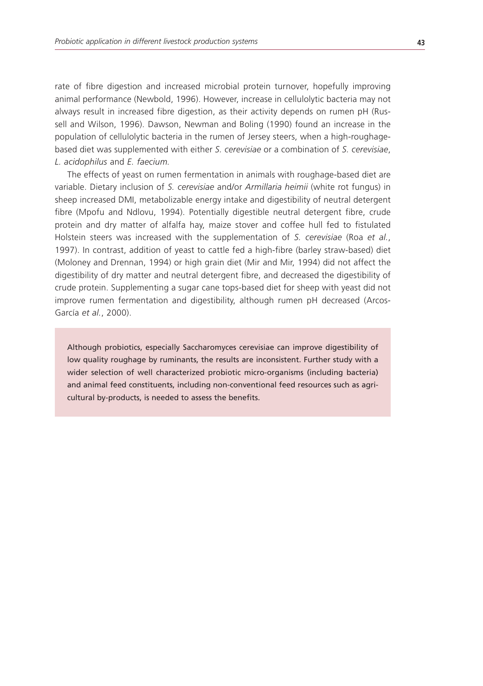rate of fibre digestion and increased microbial protein turnover, hopefully improving animal performance (Newbold, 1996). However, increase in cellulolytic bacteria may not always result in increased fibre digestion, as their activity depends on rumen pH (Russell and Wilson, 1996). Dawson, Newman and Boling (1990) found an increase in the population of cellulolytic bacteria in the rumen of Jersey steers, when a high-roughagebased diet was supplemented with either *S. cerevisiae* or a combination of *S. cerevisiae*, *L. acidophilus* and *E. faecium.* 

The effects of yeast on rumen fermentation in animals with roughage-based diet are variable. Dietary inclusion of *S. cerevisiae* and/or *Armillaria heimii* (white rot fungus) in sheep increased DMI, metabolizable energy intake and digestibility of neutral detergent fibre (Mpofu and Ndlovu, 1994). Potentially digestible neutral detergent fibre, crude protein and dry matter of alfalfa hay, maize stover and coffee hull fed to fistulated Holstein steers was increased with the supplementation of *S. cerevisiae* (Roa *et al.*, 1997). In contrast, addition of yeast to cattle fed a high-fibre (barley straw-based) diet (Moloney and Drennan, 1994) or high grain diet (Mir and Mir, 1994) did not affect the digestibility of dry matter and neutral detergent fibre, and decreased the digestibility of crude protein. Supplementing a sugar cane tops-based diet for sheep with yeast did not improve rumen fermentation and digestibility, although rumen pH decreased (Arcos-García *et al.*, 2000).

Although probiotics, especially Saccharomyces cerevisiae can improve digestibility of low quality roughage by ruminants, the results are inconsistent. Further study with a wider selection of well characterized probiotic micro-organisms (including bacteria) and animal feed constituents, including non-conventional feed resources such as agricultural by-products, is needed to assess the benefits.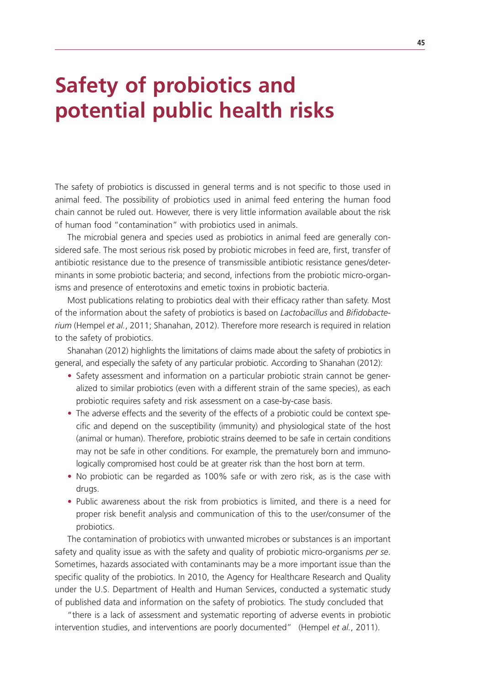# **Safety of probiotics and potential public health risks**

The safety of probiotics is discussed in general terms and is not specific to those used in animal feed. The possibility of probiotics used in animal feed entering the human food chain cannot be ruled out. However, there is very little information available about the risk of human food "contamination" with probiotics used in animals.

The microbial genera and species used as probiotics in animal feed are generally considered safe. The most serious risk posed by probiotic microbes in feed are, first, transfer of antibiotic resistance due to the presence of transmissible antibiotic resistance genes/determinants in some probiotic bacteria; and second, infections from the probiotic micro-organisms and presence of enterotoxins and emetic toxins in probiotic bacteria.

Most publications relating to probiotics deal with their efficacy rather than safety. Most of the information about the safety of probiotics is based on *Lactobacillus* and *Bifidobacterium* (Hempel *et al.*, 2011; Shanahan, 2012). Therefore more research is required in relation to the safety of probiotics.

Shanahan (2012) highlights the limitations of claims made about the safety of probiotics in general, and especially the safety of any particular probiotic. According to Shanahan (2012):

- Safety assessment and information on a particular probiotic strain cannot be generalized to similar probiotics (even with a different strain of the same species), as each probiotic requires safety and risk assessment on a case-by-case basis.
- The adverse effects and the severity of the effects of a probiotic could be context specific and depend on the susceptibility (immunity) and physiological state of the host (animal or human). Therefore, probiotic strains deemed to be safe in certain conditions may not be safe in other conditions. For example, the prematurely born and immunologically compromised host could be at greater risk than the host born at term.
- No probiotic can be regarded as 100% safe or with zero risk, as is the case with drugs.
- Public awareness about the risk from probiotics is limited, and there is a need for proper risk benefit analysis and communication of this to the user/consumer of the probiotics.

The contamination of probiotics with unwanted microbes or substances is an important safety and quality issue as with the safety and quality of probiotic micro-organisms *per se*. Sometimes, hazards associated with contaminants may be a more important issue than the specific quality of the probiotics. In 2010, the Agency for Healthcare Research and Quality under the U.S. Department of Health and Human Services, conducted a systematic study of published data and information on the safety of probiotics. The study concluded that

"there is a lack of assessment and systematic reporting of adverse events in probiotic intervention studies, and interventions are poorly documented" (Hempel *et al.*, 2011).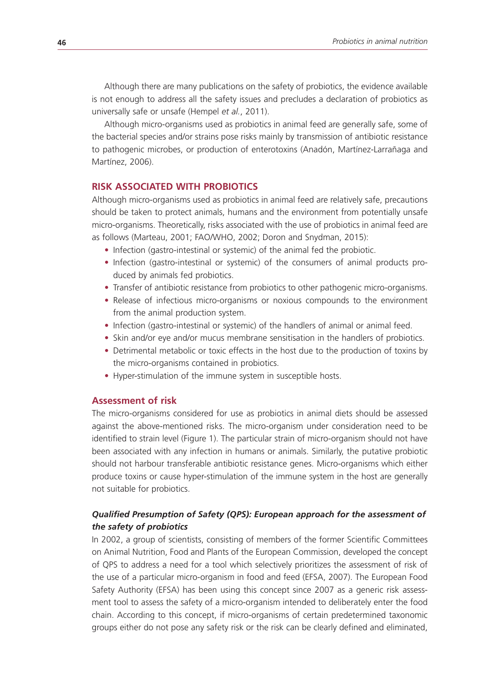Although there are many publications on the safety of probiotics, the evidence available is not enough to address all the safety issues and precludes a declaration of probiotics as universally safe or unsafe (Hempel *et al.*, 2011).

Although micro-organisms used as probiotics in animal feed are generally safe, some of the bacterial species and/or strains pose risks mainly by transmission of antibiotic resistance to pathogenic microbes, or production of enterotoxins (Anadón, Martínez-Larrañaga and Martínez, 2006).

# **RISK ASSOCIATED WITH PROBIOTICS**

Although micro-organisms used as probiotics in animal feed are relatively safe, precautions should be taken to protect animals, humans and the environment from potentially unsafe micro-organisms. Theoretically, risks associated with the use of probiotics in animal feed are as follows (Marteau, 2001; FAO/WHO, 2002; Doron and Snydman, 2015):

- Infection (gastro-intestinal or systemic) of the animal fed the probiotic.
- Infection (gastro-intestinal or systemic) of the consumers of animal products produced by animals fed probiotics.
- Transfer of antibiotic resistance from probiotics to other pathogenic micro-organisms.
- Release of infectious micro-organisms or noxious compounds to the environment from the animal production system.
- Infection (gastro-intestinal or systemic) of the handlers of animal or animal feed.
- Skin and/or eye and/or mucus membrane sensitisation in the handlers of probiotics.
- Detrimental metabolic or toxic effects in the host due to the production of toxins by the micro-organisms contained in probiotics.
- Hyper-stimulation of the immune system in susceptible hosts.

#### **Assessment of risk**

The micro-organisms considered for use as probiotics in animal diets should be assessed against the above-mentioned risks. The micro-organism under consideration need to be identified to strain level (Figure 1). The particular strain of micro-organism should not have been associated with any infection in humans or animals. Similarly, the putative probiotic should not harbour transferable antibiotic resistance genes. Micro-organisms which either produce toxins or cause hyper-stimulation of the immune system in the host are generally not suitable for probiotics.

# *Qualified Presumption of Safety (QPS): European approach for the assessment of the safety of probiotics*

In 2002, a group of scientists, consisting of members of the former Scientific Committees on Animal Nutrition, Food and Plants of the European Commission, developed the concept of QPS to address a need for a tool which selectively prioritizes the assessment of risk of the use of a particular micro-organism in food and feed (EFSA, 2007). The European Food Safety Authority (EFSA) has been using this concept since 2007 as a generic risk assessment tool to assess the safety of a micro-organism intended to deliberately enter the food chain. According to this concept, if micro-organisms of certain predetermined taxonomic groups either do not pose any safety risk or the risk can be clearly defined and eliminated,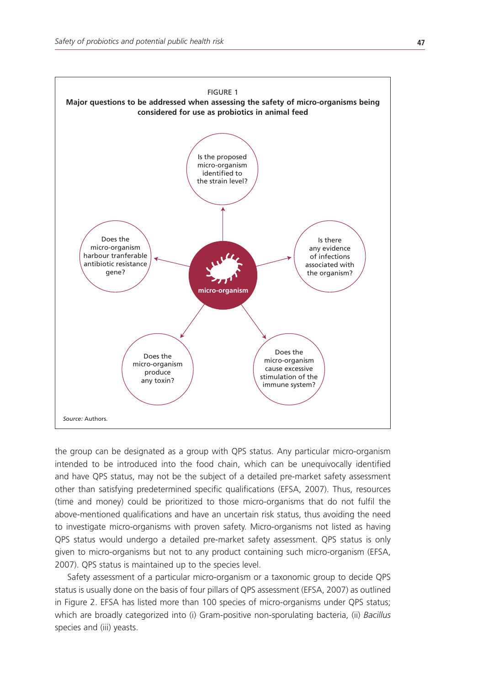

the group can be designated as a group with QPS status. Any particular micro-organism intended to be introduced into the food chain, which can be unequivocally identified and have QPS status, may not be the subject of a detailed pre-market safety assessment other than satisfying predetermined specific qualifications (EFSA, 2007). Thus, resources (time and money) could be prioritized to those micro-organisms that do not fulfil the above-mentioned qualifications and have an uncertain risk status, thus avoiding the need to investigate micro-organisms with proven safety. Micro-organisms not listed as having QPS status would undergo a detailed pre-market safety assessment. QPS status is only given to micro-organisms but not to any product containing such micro-organism (EFSA, 2007). QPS status is maintained up to the species level.

Safety assessment of a particular micro-organism or a taxonomic group to decide QPS status is usually done on the basis of four pillars of QPS assessment (EFSA, 2007) as outlined in Figure 2. EFSA has listed more than 100 species of micro-organisms under QPS status; which are broadly categorized into (i) Gram-positive non-sporulating bacteria, (ii) *Bacillus* species and (iii) yeasts.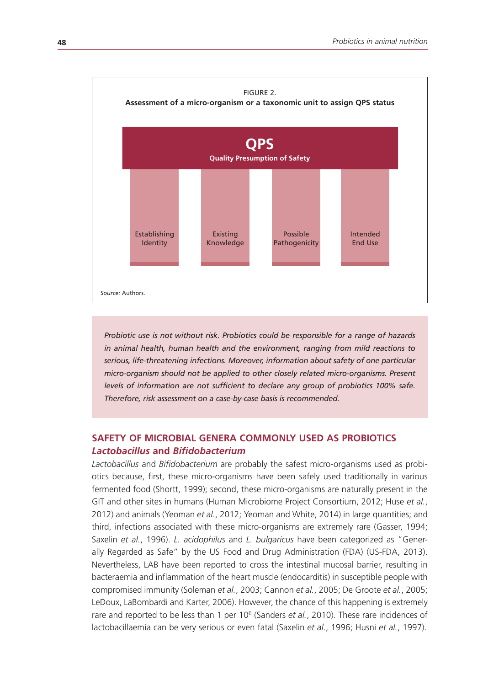

*Probiotic use is not without risk. Probiotics could be responsible for a range of hazards in animal health, human health and the environment, ranging from mild reactions to serious, life-threatening infections. Moreover, information about safety of one particular micro-organism should not be applied to other closely related micro-organisms. Present levels of information are not sufficient to declare any group of probiotics 100% safe. Therefore, risk assessment on a case-by-case basis is recommended.* 

# **SAFETY OF MICROBIAL GENERA COMMONLY USED AS PROBIOTICS** *Lactobacillus* **and** *Bifidobacterium*

*Lactobacillus* and *Bifidobacterium* are probably the safest micro-organisms used as probiotics because, first, these micro-organisms have been safely used traditionally in various fermented food (Shortt, 1999); second, these micro-organisms are naturally present in the GIT and other sites in humans (Human Microbiome Project Consortium, 2012; Huse *et al.*, 2012) and animals (Yeoman *et al.*, 2012; Yeoman and White, 2014) in large quantities; and third, infections associated with these micro-organisms are extremely rare (Gasser, 1994; Saxelin *et al.*, 1996). *L. acidophilus* and *L. bulgaricus* have been categorized as "Generally Regarded as Safe" by the US Food and Drug Administration (FDA) (US-FDA, 2013). Nevertheless, LAB have been reported to cross the intestinal mucosal barrier, resulting in bacteraemia and inflammation of the heart muscle (endocarditis) in susceptible people with compromised immunity (Soleman *et al.*, 2003; Cannon *et al.*, 2005; De Groote *et al.*, 2005; LeDoux, LaBombardi and Karter, 2006). However, the chance of this happening is extremely rare and reported to be less than 1 per 10<sup>6</sup> (Sanders et al., 2010). These rare incidences of lactobacillaemia can be very serious or even fatal (Saxelin *et al.*, 1996; Husni *et al.*, 1997).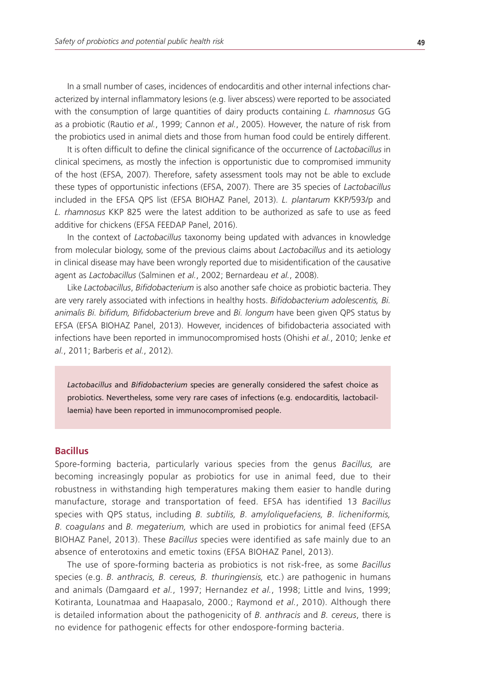In a small number of cases, incidences of endocarditis and other internal infections characterized by internal inflammatory lesions (e.g. liver abscess) were reported to be associated with the consumption of large quantities of dairy products containing *L. rhamnosus* GG as a probiotic (Rautio *et al.*, 1999; Cannon *et al.*, 2005). However, the nature of risk from the probiotics used in animal diets and those from human food could be entirely different.

It is often difficult to define the clinical significance of the occurrence of *Lactobacillus* in clinical specimens, as mostly the infection is opportunistic due to compromised immunity of the host (EFSA, 2007). Therefore, safety assessment tools may not be able to exclude these types of opportunistic infections (EFSA, 2007). There are 35 species of *Lactobacillus* included in the EFSA QPS list (EFSA BIOHAZ Panel, 2013). *L. plantarum* KKP/593/p and *L. rhamnosus* KKP 825 were the latest addition to be authorized as safe to use as feed additive for chickens (EFSA FEEDAP Panel, 2016).

In the context of *Lactobacillus* taxonomy being updated with advances in knowledge from molecular biology, some of the previous claims about *Lactobacillus* and its aetiology in clinical disease may have been wrongly reported due to misidentification of the causative agent as *Lactobacillus* (Salminen *et al.*, 2002; Bernardeau *et al.*, 2008).

Like *Lactobacillus*, *Bifidobacterium* is also another safe choice as probiotic bacteria. They are very rarely associated with infections in healthy hosts. *Bifidobacterium adolescentis, Bi. animalis Bi. bifidum, Bifidobacterium breve* and *Bi. longum* have been given QPS status by EFSA (EFSA BIOHAZ Panel, 2013). However, incidences of bifidobacteria associated with infections have been reported in immunocompromised hosts (Ohishi *et al.*, 2010; Jenke *et al.*, 2011; Barberis *et al.*, 2012).

*Lactobacillus* and *Bifidobacterium* species are generally considered the safest choice as probiotics. Nevertheless, some very rare cases of infections (e.g. endocarditis, lactobacillaemia) have been reported in immunocompromised people.

# **Bacillus**

Spore-forming bacteria, particularly various species from the genus *Bacillus,* are becoming increasingly popular as probiotics for use in animal feed, due to their robustness in withstanding high temperatures making them easier to handle during manufacture, storage and transportation of feed. EFSA has identified 13 *Bacillus* species with QPS status, including *B. subtilis, B. amyloliquefaciens, B. licheniformis, B. coagulans* and *B. megaterium,* which are used in probiotics for animal feed (EFSA BIOHAZ Panel, 2013). These *Bacillus* species were identified as safe mainly due to an absence of enterotoxins and emetic toxins (EFSA BIOHAZ Panel, 2013).

The use of spore-forming bacteria as probiotics is not risk-free, as some *Bacillus* species (e.g. *B. anthracis, B. cereus, B. thuringiensis,* etc*.*) are pathogenic in humans and animals (Damgaard *et al.*, 1997; Hernandez *et al.*, 1998; Little and Ivins, 1999; Kotiranta, Lounatmaa and Haapasalo, 2000.; Raymond *et al.*, 2010). Although there is detailed information about the pathogenicity of *B. anthracis* and *B. cereus*, there is no evidence for pathogenic effects for other endospore-forming bacteria.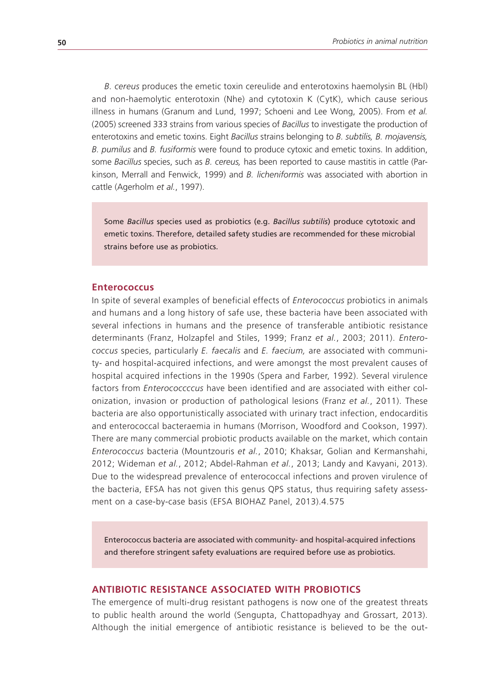*B. cereus* produces the emetic toxin cereulide and enterotoxins haemolysin BL (Hbl) and non-haemolytic enterotoxin (Nhe) and cytotoxin K (CytK), which cause serious illness in humans (Granum and Lund, 1997; Schoeni and Lee Wong, 2005). From *et al.*  (2005) screened 333 strains from various species of *Bacillus* to investigate the production of enterotoxins and emetic toxins. Eight *Bacillus* strains belonging to *B. subtilis, B. mojavensis, B. pumilus* and *B. fusiformis* were found to produce cytoxic and emetic toxins. In addition, some *Bacillus* species, such as *B. cereus,* has been reported to cause mastitis in cattle (Parkinson, Merrall and Fenwick, 1999) and *B. licheniformis* was associated with abortion in cattle (Agerholm *et al.*, 1997).

Some *Bacillus* species used as probiotics (e.g. *Bacillus subtilis*) produce cytotoxic and emetic toxins. Therefore, detailed safety studies are recommended for these microbial strains before use as probiotics.

#### **Enterococcus**

In spite of several examples of beneficial effects of *Enterococcus* probiotics in animals and humans and a long history of safe use, these bacteria have been associated with several infections in humans and the presence of transferable antibiotic resistance determinants (Franz, Holzapfel and Stiles, 1999; Franz *et al.*, 2003; 2011). *Enterococcus* species, particularly *E. faecalis* and *E. faecium,* are associated with community- and hospital-acquired infections, and were amongst the most prevalent causes of hospital acquired infections in the 1990s (Spera and Farber, 1992). Several virulence factors from *Enterococcccus* have been identified and are associated with either colonization, invasion or production of pathological lesions (Franz *et al.*, 2011). These bacteria are also opportunistically associated with urinary tract infection, endocarditis and enterococcal bacteraemia in humans (Morrison, Woodford and Cookson, 1997). There are many commercial probiotic products available on the market, which contain *Enterococcus* bacteria (Mountzouris *et al.*, 2010; Khaksar, Golian and Kermanshahi, 2012; Wideman *et al.*, 2012; Abdel-Rahman *et al.*, 2013; Landy and Kavyani, 2013). Due to the widespread prevalence of enterococcal infections and proven virulence of the bacteria, EFSA has not given this genus QPS status, thus requiring safety assessment on a case-by-case basis (EFSA BIOHAZ Panel, 2013).4.575

Enterococcus bacteria are associated with community- and hospital-acquired infections and therefore stringent safety evaluations are required before use as probiotics.

# **ANTIBIOTIC RESISTANCE ASSOCIATED WITH PROBIOTICS**

The emergence of multi-drug resistant pathogens is now one of the greatest threats to public health around the world (Sengupta, Chattopadhyay and Grossart, 2013). Although the initial emergence of antibiotic resistance is believed to be the out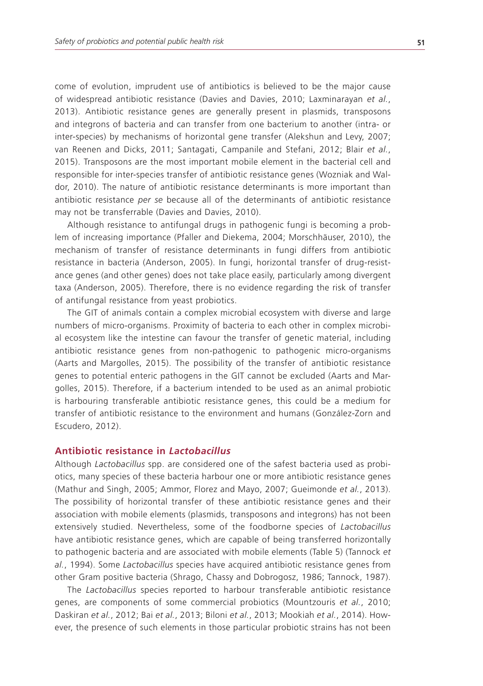come of evolution, imprudent use of antibiotics is believed to be the major cause of widespread antibiotic resistance (Davies and Davies, 2010; Laxminarayan *et al.*, 2013). Antibiotic resistance genes are generally present in plasmids, transposons and integrons of bacteria and can transfer from one bacterium to another (intra- or inter-species) by mechanisms of horizontal gene transfer (Alekshun and Levy, 2007; van Reenen and Dicks, 2011; Santagati, Campanile and Stefani, 2012; Blair *et al.*, 2015). Transposons are the most important mobile element in the bacterial cell and responsible for inter-species transfer of antibiotic resistance genes (Wozniak and Waldor, 2010). The nature of antibiotic resistance determinants is more important than antibiotic resistance *per se* because all of the determinants of antibiotic resistance may not be transferrable (Davies and Davies, 2010).

Although resistance to antifungal drugs in pathogenic fungi is becoming a problem of increasing importance (Pfaller and Diekema, 2004; Morschhäuser, 2010), the mechanism of transfer of resistance determinants in fungi differs from antibiotic resistance in bacteria (Anderson, 2005). In fungi, horizontal transfer of drug-resistance genes (and other genes) does not take place easily, particularly among divergent taxa (Anderson, 2005). Therefore, there is no evidence regarding the risk of transfer of antifungal resistance from yeast probiotics.

The GIT of animals contain a complex microbial ecosystem with diverse and large numbers of micro-organisms. Proximity of bacteria to each other in complex microbial ecosystem like the intestine can favour the transfer of genetic material, including antibiotic resistance genes from non-pathogenic to pathogenic micro-organisms (Aarts and Margolles, 2015). The possibility of the transfer of antibiotic resistance genes to potential enteric pathogens in the GIT cannot be excluded (Aarts and Margolles, 2015). Therefore, if a bacterium intended to be used as an animal probiotic is harbouring transferable antibiotic resistance genes, this could be a medium for transfer of antibiotic resistance to the environment and humans (González-Zorn and Escudero, 2012).

# **Antibiotic resistance in** *Lactobacillus*

Although *Lactobacillus* spp. are considered one of the safest bacteria used as probiotics, many species of these bacteria harbour one or more antibiotic resistance genes (Mathur and Singh, 2005; Ammor, Florez and Mayo, 2007; Gueimonde *et al.*, 2013). The possibility of horizontal transfer of these antibiotic resistance genes and their association with mobile elements (plasmids, transposons and integrons) has not been extensively studied. Nevertheless, some of the foodborne species of *Lactobacillus* have antibiotic resistance genes, which are capable of being transferred horizontally to pathogenic bacteria and are associated with mobile elements (Table 5) (Tannock *et al.*, 1994). Some *Lactobacillus* species have acquired antibiotic resistance genes from other Gram positive bacteria (Shrago, Chassy and Dobrogosz, 1986; Tannock, 1987).

The *Lactobacillus* species reported to harbour transferable antibiotic resistance genes, are components of some commercial probiotics (Mountzouris *et al.*, 2010; Daskiran *et al.*, 2012; Bai *et al.*, 2013; Biloni *et al.*, 2013; Mookiah *et al.*, 2014). However, the presence of such elements in those particular probiotic strains has not been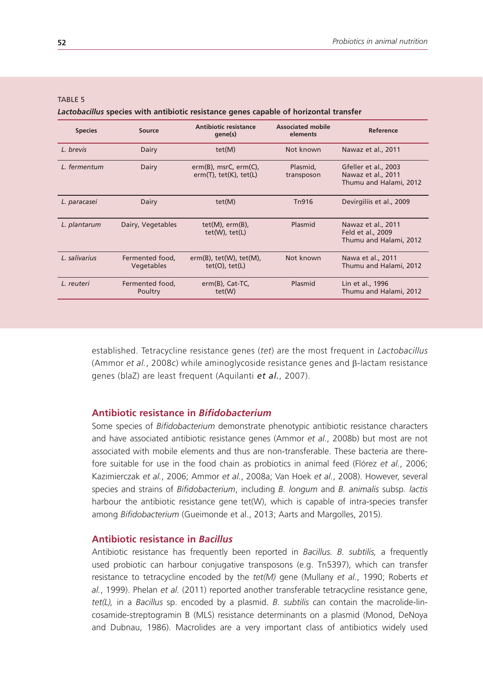| <b>Species</b> | Source                        | Antibiotic resistance<br>gene(s)                                | <b>Associated mobile</b><br>elements | Reference                                                            |
|----------------|-------------------------------|-----------------------------------------------------------------|--------------------------------------|----------------------------------------------------------------------|
| L. brevis      | Dairy                         | tet(M)                                                          | Not known                            | Nawaz et al., 2011                                                   |
| L. fermentum   | Dairy                         | $erm(B)$ , msrC, $erm(C)$ ,<br>$erm(T)$ , tet $(K)$ , tet $(L)$ | Plasmid,<br>transposon               | Gfeller et al., 2003<br>Nawaz et al., 2011<br>Thumu and Halami, 2012 |
| L. paracasei   | Dairy                         | tet(M)                                                          | Tn916                                | Devirgiliis et al., 2009                                             |
| L. plantarum   | Dairy, Vegetables             | $tet(M)$ , $erm(B)$ ,<br>$tet(W)$ , $tet(L)$                    | Plasmid                              | Nawaz et al., 2011<br>Feld et al., 2009<br>Thumu and Halami, 2012    |
| L. salivarius  | Fermented food,<br>Vegetables | $erm(B)$ , tet $(W)$ , tet $(M)$ ,<br>$tet(O)$ , $tet(L)$       | Not known                            | Nawa et al., 2011<br>Thumu and Halami, 2012                          |
| L. reuteri     | Fermented food,<br>Poultry    | $erm(B)$ , Cat-TC,<br>tet(W)                                    | Plasmid                              | Lin et al., 1996<br>Thumu and Halami, 2012                           |
|                |                               |                                                                 |                                      |                                                                      |

#### TABLE 5

*Lactobacillus* **species with antibiotic resistance genes capable of horizontal transfer**

established. Tetracycline resistance genes (*tet*) are the most frequent in *Lactobacillus* (Ammor *et al.*, 2008c) while aminoglycoside resistance genes and β-lactam resistance genes (blaZ) are least frequent (Aquilanti *et al.*, 2007).

# **Antibiotic resistance in** *Bifidobacterium*

Some species of *Bifidobacterium* demonstrate phenotypic antibiotic resistance characters and have associated antibiotic resistance genes (Ammor *et al.*, 2008b) but most are not associated with mobile elements and thus are non-transferable. These bacteria are therefore suitable for use in the food chain as probiotics in animal feed (Flórez *et al.*, 2006; Kazimierczak *et al.*, 2006; Ammor *et al.*, 2008a; Van Hoek *et al.*, 2008). However, several species and strains of *Bifidobacterium*, including *B. longum* and *B. animalis* subsp*. lactis* harbour the antibiotic resistance gene tet(W), which is capable of intra-species transfer among *Bifidobacterium* (Gueimonde et al., 2013; Aarts and Margolles, 2015).

# **Antibiotic resistance in** *Bacillus*

Antibiotic resistance has frequently been reported in *Bacillus. B. subtilis,* a frequently used probiotic can harbour conjugative transposons (e.g. Tn5397), which can transfer resistance to tetracycline encoded by the *tet(M)* gene (Mullany *et al.*, 1990; Roberts *et al.*, 1999). Phelan *et al.* (2011) reported another transferable tetracycline resistance gene, *tet(L),* in a *Bacillus* sp. encoded by a plasmid. *B. subtilis* can contain the macrolide-lincosamide-streptogramin B (MLS) resistance determinants on a plasmid (Monod, DeNoya and Dubnau, 1986). Macrolides are a very important class of antibiotics widely used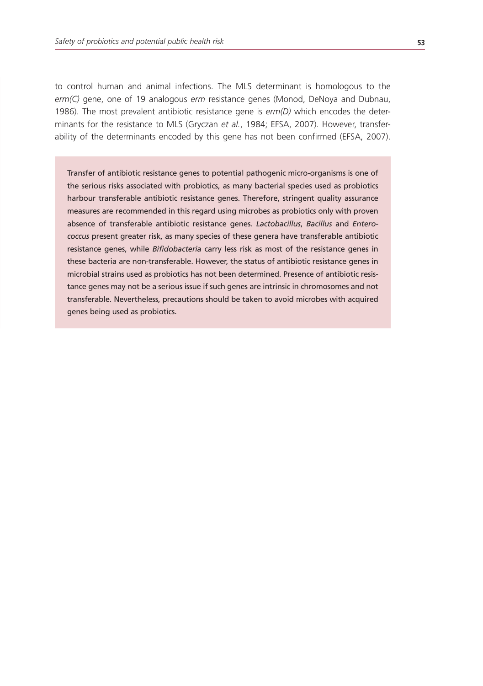to control human and animal infections. The MLS determinant is homologous to the *erm(C)* gene, one of 19 analogous *erm* resistance genes (Monod, DeNoya and Dubnau, 1986). The most prevalent antibiotic resistance gene is *erm(D)* which encodes the determinants for the resistance to MLS (Gryczan *et al.*, 1984; EFSA, 2007). However, transferability of the determinants encoded by this gene has not been confirmed (EFSA, 2007).

Transfer of antibiotic resistance genes to potential pathogenic micro-organisms is one of the serious risks associated with probiotics, as many bacterial species used as probiotics harbour transferable antibiotic resistance genes. Therefore, stringent quality assurance measures are recommended in this regard using microbes as probiotics only with proven absence of transferable antibiotic resistance genes. *Lactobacillus*, *Bacillus* and *Enterococcus* present greater risk, as many species of these genera have transferable antibiotic resistance genes, while *Bifidobacteria* carry less risk as most of the resistance genes in these bacteria are non-transferable. However, the status of antibiotic resistance genes in microbial strains used as probiotics has not been determined. Presence of antibiotic resistance genes may not be a serious issue if such genes are intrinsic in chromosomes and not transferable. Nevertheless, precautions should be taken to avoid microbes with acquired genes being used as probiotics.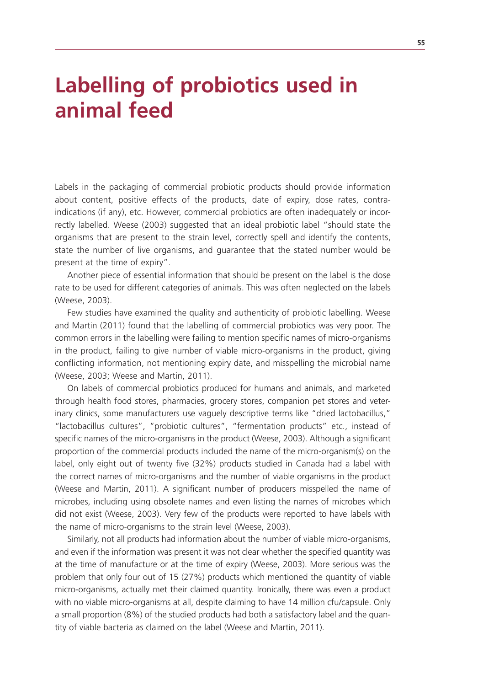# **Labelling of probiotics used in animal feed**

Labels in the packaging of commercial probiotic products should provide information about content, positive effects of the products, date of expiry, dose rates, contraindications (if any), etc. However, commercial probiotics are often inadequately or incorrectly labelled. Weese (2003) suggested that an ideal probiotic label "should state the organisms that are present to the strain level, correctly spell and identify the contents, state the number of live organisms, and guarantee that the stated number would be present at the time of expiry".

Another piece of essential information that should be present on the label is the dose rate to be used for different categories of animals. This was often neglected on the labels (Weese, 2003).

Few studies have examined the quality and authenticity of probiotic labelling. Weese and Martin (2011) found that the labelling of commercial probiotics was very poor. The common errors in the labelling were failing to mention specific names of micro-organisms in the product, failing to give number of viable micro-organisms in the product, giving conflicting information, not mentioning expiry date, and misspelling the microbial name (Weese, 2003; Weese and Martin, 2011).

On labels of commercial probiotics produced for humans and animals, and marketed through health food stores, pharmacies, grocery stores, companion pet stores and veterinary clinics, some manufacturers use vaguely descriptive terms like "dried lactobacillus," "lactobacillus cultures", "probiotic cultures", "fermentation products" etc., instead of specific names of the micro-organisms in the product (Weese, 2003). Although a significant proportion of the commercial products included the name of the micro-organism(s) on the label, only eight out of twenty five (32%) products studied in Canada had a label with the correct names of micro-organisms and the number of viable organisms in the product (Weese and Martin, 2011). A significant number of producers misspelled the name of microbes, including using obsolete names and even listing the names of microbes which did not exist (Weese, 2003). Very few of the products were reported to have labels with the name of micro-organisms to the strain level (Weese, 2003).

Similarly, not all products had information about the number of viable micro-organisms, and even if the information was present it was not clear whether the specified quantity was at the time of manufacture or at the time of expiry (Weese, 2003). More serious was the problem that only four out of 15 (27%) products which mentioned the quantity of viable micro-organisms, actually met their claimed quantity. Ironically, there was even a product with no viable micro-organisms at all, despite claiming to have 14 million cfu/capsule. Only a small proportion (8%) of the studied products had both a satisfactory label and the quantity of viable bacteria as claimed on the label (Weese and Martin, 2011).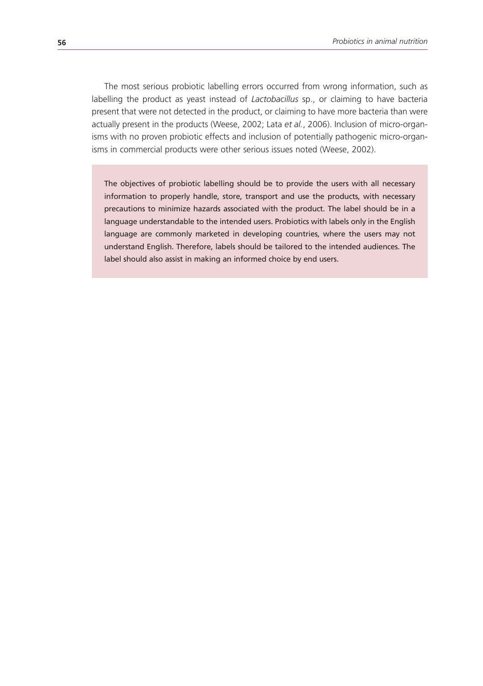The most serious probiotic labelling errors occurred from wrong information, such as labelling the product as yeast instead of *Lactobacillus* sp., or claiming to have bacteria present that were not detected in the product, or claiming to have more bacteria than were actually present in the products (Weese, 2002; Lata *et al.*, 2006). Inclusion of micro-organisms with no proven probiotic effects and inclusion of potentially pathogenic micro-organisms in commercial products were other serious issues noted (Weese, 2002).

The objectives of probiotic labelling should be to provide the users with all necessary information to properly handle, store, transport and use the products, with necessary precautions to minimize hazards associated with the product. The label should be in a language understandable to the intended users. Probiotics with labels only in the English language are commonly marketed in developing countries, where the users may not understand English. Therefore, labels should be tailored to the intended audiences. The label should also assist in making an informed choice by end users.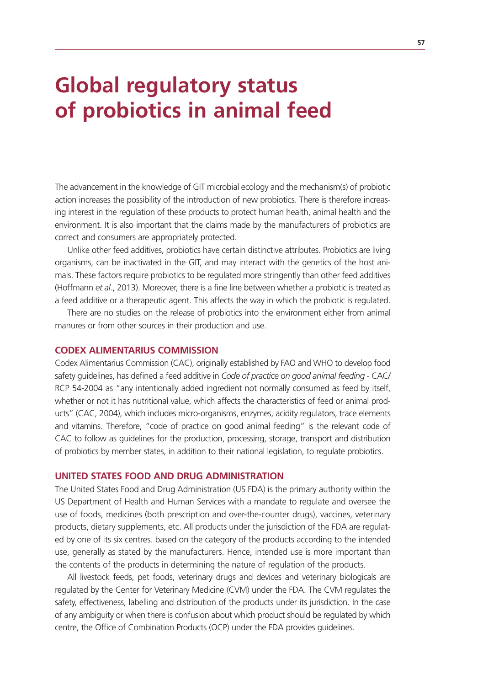# **Global regulatory status of probiotics in animal feed**

The advancement in the knowledge of GIT microbial ecology and the mechanism(s) of probiotic action increases the possibility of the introduction of new probiotics. There is therefore increasing interest in the regulation of these products to protect human health, animal health and the environment. It is also important that the claims made by the manufacturers of probiotics are correct and consumers are appropriately protected.

Unlike other feed additives, probiotics have certain distinctive attributes. Probiotics are living organisms, can be inactivated in the GIT, and may interact with the genetics of the host animals. These factors require probiotics to be regulated more stringently than other feed additives (Hoffmann *et al.*, 2013). Moreover, there is a fine line between whether a probiotic is treated as a feed additive or a therapeutic agent. This affects the way in which the probiotic is regulated.

There are no studies on the release of probiotics into the environment either from animal manures or from other sources in their production and use.

#### **CODEX ALIMENTARIUS COMMISSION**

Codex Alimentarius Commission (CAC), originally established by FAO and WHO to develop food safety guidelines, has defined a feed additive in *Code of practice on good animal feeding* - CAC/ RCP 54-2004 as "any intentionally added ingredient not normally consumed as feed by itself, whether or not it has nutritional value, which affects the characteristics of feed or animal products" (CAC, 2004), which includes micro-organisms, enzymes, acidity regulators, trace elements and vitamins. Therefore, "code of practice on good animal feeding" is the relevant code of CAC to follow as guidelines for the production, processing, storage, transport and distribution of probiotics by member states, in addition to their national legislation, to regulate probiotics.

### **UNITED STATES FOOD AND DRUG ADMINISTRATION**

The United States Food and Drug Administration (US FDA) is the primary authority within the US Department of Health and Human Services with a mandate to regulate and oversee the use of foods, medicines (both prescription and over-the-counter drugs), vaccines, veterinary products, dietary supplements, etc. All products under the jurisdiction of the FDA are regulated by one of its six centres. based on the category of the products according to the intended use, generally as stated by the manufacturers. Hence, intended use is more important than the contents of the products in determining the nature of regulation of the products.

All livestock feeds, pet foods, veterinary drugs and devices and veterinary biologicals are regulated by the Center for Veterinary Medicine (CVM) under the FDA. The CVM regulates the safety, effectiveness, labelling and distribution of the products under its jurisdiction. In the case of any ambiguity or when there is confusion about which product should be regulated by which centre, the Office of Combination Products (OCP) under the FDA provides guidelines.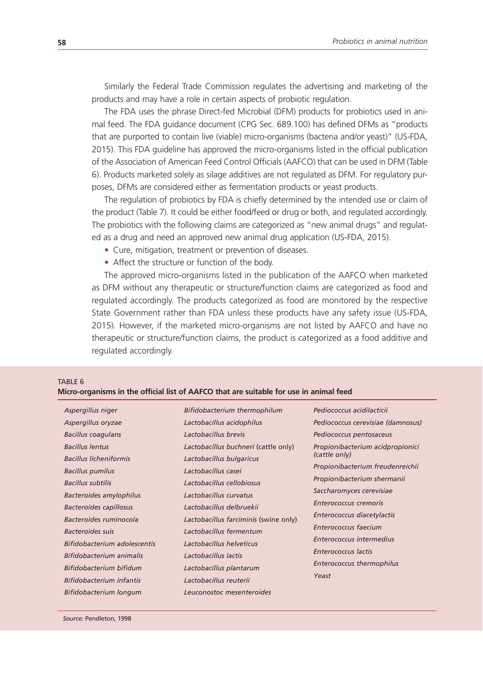Similarly the Federal Trade Commission regulates the advertising and marketing of the products and may have a role in certain aspects of probiotic regulation.

The FDA uses the phrase Direct-fed Microbial (DFM) products for probiotics used in animal feed. The FDA guidance document (CPG Sec. 689.100) has defined DFMs as "products that are purported to contain live (viable) micro-organisms (bacteria and/or yeast)" (US-FDA, 2015). This FDA guideline has approved the micro-organisms listed in the official publication of the Association of American Feed Control Officials (AAFCO) that can be used in DFM (Table 6). Products marketed solely as silage additives are not regulated as DFM. For regulatory purposes, DFMs are considered either as fermentation products or yeast products.

The regulation of probiotics by FDA is chiefly determined by the intended use or claim of the product (Table 7). It could be either food/feed or drug or both, and regulated accordingly. The probiotics with the following claims are categorized as "new animal drugs" and regulated as a drug and need an approved new animal drug application (US-FDA, 2015).

- Cure, mitigation, treatment or prevention of diseases.
- Affect the structure or function of the body.

The approved micro-organisms listed in the publication of the AAFCO when marketed as DFM without any therapeutic or structure/function claims are categorized as food and regulated accordingly. The products categorized as food are monitored by the respective State Government rather than FDA unless these products have any safety issue (US-FDA, 2015). However, if the marketed micro-organisms are not listed by AAFCO and have no therapeutic or structure/function claims, the product is categorized as a food additive and regulated accordingly.

#### TABLE 6

#### **Micro-organisms in the official list of AAFCO that are suitable for use in animal feed**

*Aspergillus niger Aspergillus oryzae Bacillus coagulans Bacillus lentus Bacillus licheniformis Bacillus pumilus Bacillus subtilis Bacteroides amylophilus Bacteroides capillosus Bacteroides ruminocola Bacteroides suis Bifidobacterium adolescentis Bifidobacterium animalis Bifidobacterium bifidum Bifidobacterium infantis Bifidobacterium longum* 

*Bifidobacterium thermophilum Lactobacillus acidophilus Lactobacillus brevis Lactobacillus buchneri* (cattle only) *Lactobacillus bulgaricus Lactobacillus casei Lactobacillus cellobiosus Lactobacillus curvatus Lactobacillus delbruekii Lactobacillus farciminis* (swine only) *Lactobacillus fermentum Lactobacillus helveticus Lactobacillus lactis Lactobacillus plantarum Lactobacillus reuterii Leuconostoc mesenteroides* 

*Pediococcus acidilacticii Pediococcus cerevisiae (damnosus) Pediococcus pentosaceus Propionibacterium acidpropionici (cattle only) Propionibacterium freudenreichii Propionibacterium shermanii Saccharomyces cerevisiae Enterococcus cremoris Enterococcus diacetylactis Enterococcus faecium Enterococcus intermedius Enterococcus lactis Enterococcus thermophilus Yeast*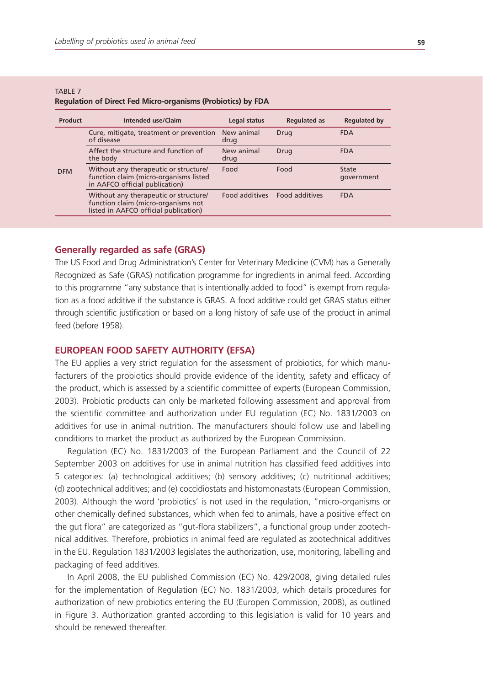| Product    | Intended use/Claim                                                                                                    | Legal status       | <b>Regulated as</b>   | <b>Regulated by</b> |
|------------|-----------------------------------------------------------------------------------------------------------------------|--------------------|-----------------------|---------------------|
|            | Cure, mitigate, treatment or prevention<br>of disease                                                                 | New animal<br>drug | Drug                  | <b>FDA</b>          |
| <b>DFM</b> | Affect the structure and function of<br>the body                                                                      | New animal<br>drug | Drug                  | <b>FDA</b>          |
|            | Without any therapeutic or structure/<br>function claim (micro-organisms listed<br>in AAFCO official publication)     | Food               | Food                  | State<br>qovernment |
|            | Without any therapeutic or structure/<br>function claim (micro-organisms not<br>listed in AAFCO official publication) | Food additives     | <b>Food additives</b> | <b>FDA</b>          |
|            |                                                                                                                       |                    |                       |                     |

#### TARI F 7 **Regulation of Direct Fed Micro-organisms (Probiotics) by FDA**

# **Generally regarded as safe (GRAS)**

The US Food and Drug Administration's Center for Veterinary Medicine (CVM) has a Generally Recognized as Safe (GRAS) notification programme for ingredients in animal feed. According to this programme "any substance that is intentionally added to food" is exempt from regulation as a food additive if the substance is GRAS. A food additive could get GRAS status either through scientific justification or based on a long history of safe use of the product in animal feed (before 1958).

### **EUROPEAN FOOD SAFETY AUTHORITY (EFSA)**

The EU applies a very strict regulation for the assessment of probiotics, for which manufacturers of the probiotics should provide evidence of the identity, safety and efficacy of the product, which is assessed by a scientific committee of experts (European Commission, 2003). Probiotic products can only be marketed following assessment and approval from the scientific committee and authorization under EU regulation (EC) No. 1831/2003 on additives for use in animal nutrition. The manufacturers should follow use and labelling conditions to market the product as authorized by the European Commission.

Regulation (EC) No. 1831/2003 of the European Parliament and the Council of 22 September 2003 on additives for use in animal nutrition has classified feed additives into 5 categories: (a) technological additives; (b) sensory additives; (c) nutritional additives; (d) zootechnical additives; and (e) coccidiostats and histomonastats (European Commission, 2003). Although the word 'probiotics' is not used in the regulation, "micro-organisms or other chemically defined substances, which when fed to animals, have a positive effect on the gut flora" are categorized as "gut-flora stabilizers", a functional group under zootechnical additives. Therefore, probiotics in animal feed are regulated as zootechnical additives in the EU. Regulation 1831/2003 legislates the authorization, use, monitoring, labelling and packaging of feed additives.

In April 2008, the EU published Commission (EC) No. 429/2008, giving detailed rules for the implementation of Regulation (EC) No. 1831/2003, which details procedures for authorization of new probiotics entering the EU (Europen Commission, 2008), as outlined in Figure 3. Authorization granted according to this legislation is valid for 10 years and should be renewed thereafter.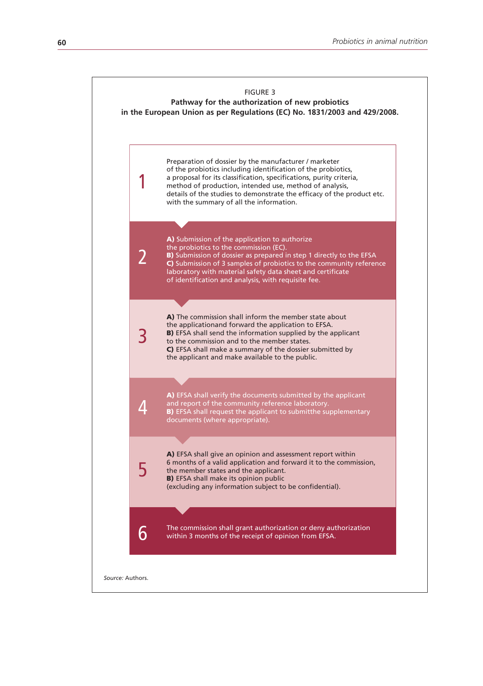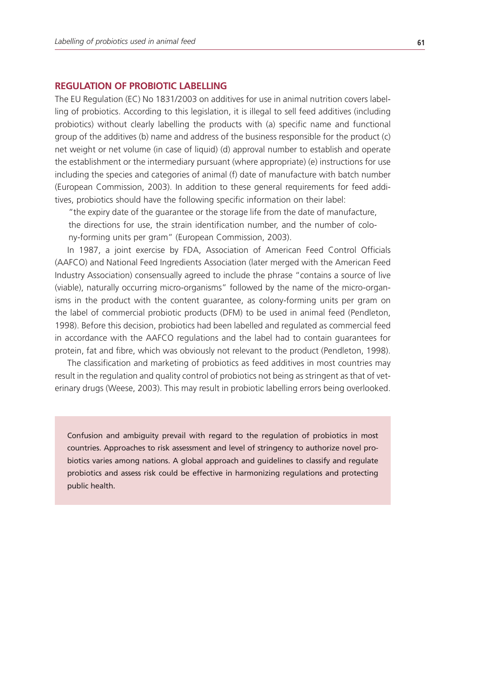# **REGULATION OF PROBIOTIC LABELLING**

The EU Regulation (EC) No 1831/2003 on additives for use in animal nutrition covers labelling of probiotics. According to this legislation, it is illegal to sell feed additives (including probiotics) without clearly labelling the products with (a) specific name and functional group of the additives (b) name and address of the business responsible for the product (c) net weight or net volume (in case of liquid) (d) approval number to establish and operate the establishment or the intermediary pursuant (where appropriate) (e) instructions for use including the species and categories of animal (f) date of manufacture with batch number (European Commission, 2003). In addition to these general requirements for feed additives, probiotics should have the following specific information on their label:

"the expiry date of the guarantee or the storage life from the date of manufacture, the directions for use, the strain identification number, and the number of colony-forming units per gram" (European Commission, 2003).

In 1987, a joint exercise by FDA, Association of American Feed Control Officials (AAFCO) and National Feed Ingredients Association (later merged with the American Feed Industry Association) consensually agreed to include the phrase "contains a source of live (viable), naturally occurring micro-organisms" followed by the name of the micro-organisms in the product with the content guarantee, as colony-forming units per gram on the label of commercial probiotic products (DFM) to be used in animal feed (Pendleton, 1998). Before this decision, probiotics had been labelled and regulated as commercial feed in accordance with the AAFCO regulations and the label had to contain guarantees for protein, fat and fibre, which was obviously not relevant to the product (Pendleton, 1998).

The classification and marketing of probiotics as feed additives in most countries may result in the regulation and quality control of probiotics not being as stringent as that of veterinary drugs (Weese, 2003). This may result in probiotic labelling errors being overlooked.

Confusion and ambiguity prevail with regard to the regulation of probiotics in most countries. Approaches to risk assessment and level of stringency to authorize novel probiotics varies among nations. A global approach and guidelines to classify and regulate probiotics and assess risk could be effective in harmonizing regulations and protecting public health.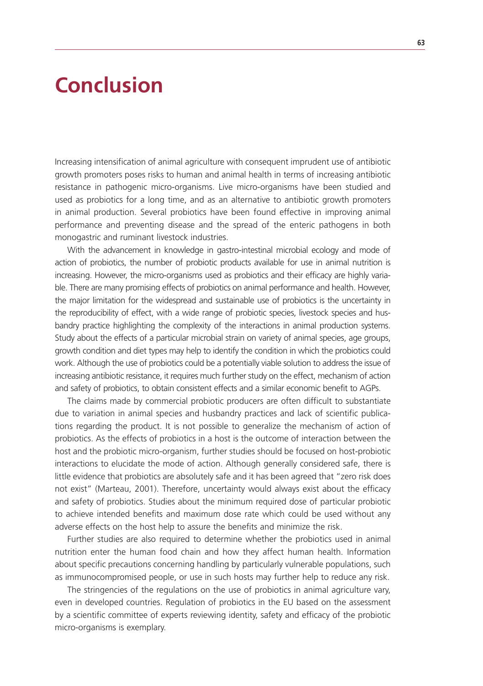## **Conclusion**

Increasing intensification of animal agriculture with consequent imprudent use of antibiotic growth promoters poses risks to human and animal health in terms of increasing antibiotic resistance in pathogenic micro-organisms. Live micro-organisms have been studied and used as probiotics for a long time, and as an alternative to antibiotic growth promoters in animal production. Several probiotics have been found effective in improving animal performance and preventing disease and the spread of the enteric pathogens in both monogastric and ruminant livestock industries.

With the advancement in knowledge in gastro-intestinal microbial ecology and mode of action of probiotics, the number of probiotic products available for use in animal nutrition is increasing. However, the micro-organisms used as probiotics and their efficacy are highly variable. There are many promising effects of probiotics on animal performance and health. However, the major limitation for the widespread and sustainable use of probiotics is the uncertainty in the reproducibility of effect, with a wide range of probiotic species, livestock species and husbandry practice highlighting the complexity of the interactions in animal production systems. Study about the effects of a particular microbial strain on variety of animal species, age groups, growth condition and diet types may help to identify the condition in which the probiotics could work. Although the use of probiotics could be a potentially viable solution to address the issue of increasing antibiotic resistance, it requires much further study on the effect, mechanism of action and safety of probiotics, to obtain consistent effects and a similar economic benefit to AGPs.

The claims made by commercial probiotic producers are often difficult to substantiate due to variation in animal species and husbandry practices and lack of scientific publications regarding the product. It is not possible to generalize the mechanism of action of probiotics. As the effects of probiotics in a host is the outcome of interaction between the host and the probiotic micro-organism, further studies should be focused on host-probiotic interactions to elucidate the mode of action. Although generally considered safe, there is little evidence that probiotics are absolutely safe and it has been agreed that "zero risk does not exist" (Marteau, 2001). Therefore, uncertainty would always exist about the efficacy and safety of probiotics. Studies about the minimum required dose of particular probiotic to achieve intended benefits and maximum dose rate which could be used without any adverse effects on the host help to assure the benefits and minimize the risk.

Further studies are also required to determine whether the probiotics used in animal nutrition enter the human food chain and how they affect human health. Information about specific precautions concerning handling by particularly vulnerable populations, such as immunocompromised people, or use in such hosts may further help to reduce any risk.

The stringencies of the regulations on the use of probiotics in animal agriculture vary, even in developed countries. Regulation of probiotics in the EU based on the assessment by a scientific committee of experts reviewing identity, safety and efficacy of the probiotic micro-organisms is exemplary.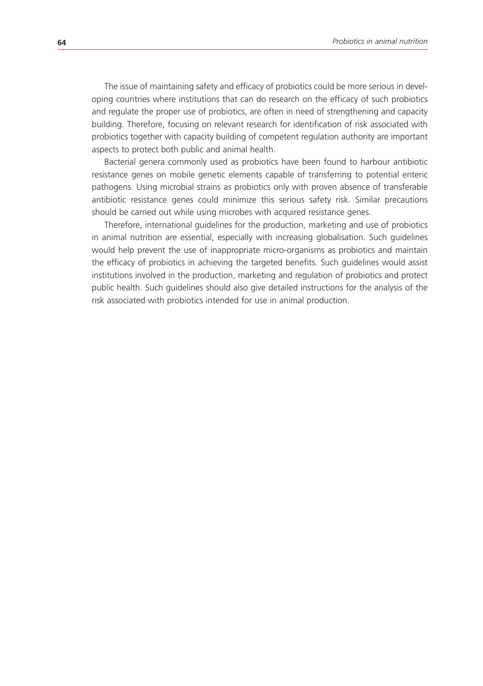The issue of maintaining safety and efficacy of probiotics could be more serious in developing countries where institutions that can do research on the efficacy of such probiotics and regulate the proper use of probiotics, are often in need of strengthening and capacity building. Therefore, focusing on relevant research for identification of risk associated with probiotics together with capacity building of competent regulation authority are important aspects to protect both public and animal health.

Bacterial genera commonly used as probiotics have been found to harbour antibiotic resistance genes on mobile genetic elements capable of transferring to potential enteric pathogens. Using microbial strains as probiotics only with proven absence of transferable antibiotic resistance genes could minimize this serious safety risk. Similar precautions should be carried out while using microbes with acquired resistance genes.

Therefore, international guidelines for the production, marketing and use of probiotics in animal nutrition are essential, especially with increasing globalisation. Such guidelines would help prevent the use of inappropriate micro-organisms as probiotics and maintain the efficacy of probiotics in achieving the targeted benefits. Such guidelines would assist institutions involved in the production, marketing and regulation of probiotics and protect public health. Such guidelines should also give detailed instructions for the analysis of the risk associated with probiotics intended for use in animal production.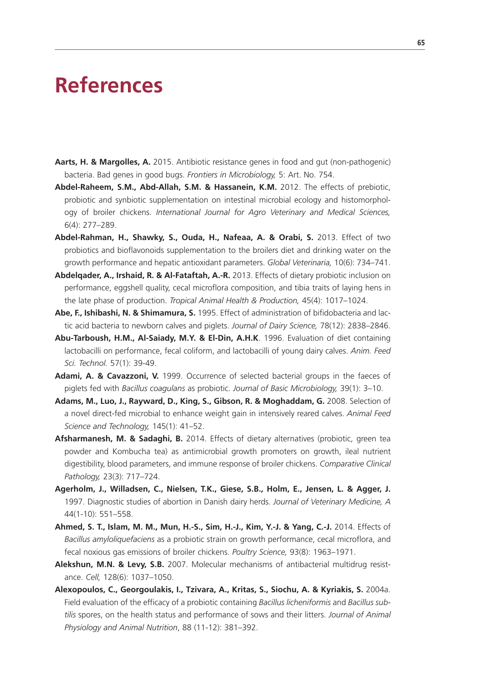## **References**

- **Aarts, H. & Margolles, A.** 2015. Antibiotic resistance genes in food and gut (non-pathogenic) bacteria. Bad genes in good bugs. *Frontiers in Microbiology,* 5: Art. No. 754.
- **Abdel-Raheem, S.M., Abd-Allah, S.M. & Hassanein, K.M.** 2012. The effects of prebiotic, probiotic and synbiotic supplementation on intestinal microbial ecology and histomorphology of broiler chickens. *International Journal for Agro Veterinary and Medical Sciences,* 6(4): 277–289.
- **Abdel-Rahman, H., Shawky, S., Ouda, H., Nafeaa, A. & Orabi, S.** 2013. Effect of two probiotics and bioflavonoids supplementation to the broilers diet and drinking water on the growth performance and hepatic antioxidant parameters. *Global Veterinaria,* 10(6): 734–741.
- **Abdelqader, A., Irshaid, R. & Al-Fataftah, A.-R.** 2013. Effects of dietary probiotic inclusion on performance, eggshell quality, cecal microflora composition, and tibia traits of laying hens in the late phase of production. *Tropical Animal Health & Production,* 45(4): 1017–1024.
- **Abe, F., Ishibashi, N. & Shimamura, S.** 1995. Effect of administration of bifidobacteria and lactic acid bacteria to newborn calves and piglets. *Journal of Dairy Science,* 78(12): 2838–2846.
- **Abu-Tarboush, H.M., Al-Saiady, M.Y. & El-Din, A.H.K**. 1996. Evaluation of diet containing lactobacilli on performance, fecal coliform, and lactobacilli of young dairy calves. *Anim. Feed Sci. Technol.* 57(1): 39-49.
- Adami, A. & Cavazzoni, V. 1999. Occurrence of selected bacterial groups in the faeces of piglets fed with *Bacillus coagulans* as probiotic. *Journal of Basic Microbiology,* 39(1): 3–10.
- **Adams, M., Luo, J., Rayward, D., King, S., Gibson, R. & Moghaddam, G.** 2008. Selection of a novel direct-fed microbial to enhance weight gain in intensively reared calves. *Animal Feed Science and Technology,* 145(1): 41–52.
- **Afsharmanesh, M. & Sadaghi, B.** 2014. Effects of dietary alternatives (probiotic, green tea powder and Kombucha tea) as antimicrobial growth promoters on growth, ileal nutrient digestibility, blood parameters, and immune response of broiler chickens. *Comparative Clinical Pathology,* 23(3): 717–724.
- **Agerholm, J., Willadsen, C., Nielsen, T.K., Giese, S.B., Holm, E., Jensen, L. & Agger, J.**  1997. Diagnostic studies of abortion in Danish dairy herds. *Journal of Veterinary Medicine, A* 44(1-10): 551–558.
- **Ahmed, S. T., Islam, M. M., Mun, H.-S., Sim, H.-J., Kim, Y.-J. & Yang, C.-J.** 2014. Effects of *Bacillus amyloliquefaciens* as a probiotic strain on growth performance, cecal microflora, and fecal noxious gas emissions of broiler chickens. *Poultry Science,* 93(8): 1963–1971.
- **Alekshun, M.N. & Levy, S.B.** 2007. Molecular mechanisms of antibacterial multidrug resistance. *Cell,* 128(6): 1037–1050.
- **Alexopoulos, C., Georgoulakis, I., Tzivara, A., Kritas, S., Siochu, A. & Kyriakis, S.** 2004a. Field evaluation of the efficacy of a probiotic containing *Bacillus licheniformis* and *Bacillus subtilis* spores, on the health status and performance of sows and their litters. *Journal of Animal Physiology and Animal Nutrition*, 88 (11-12): 381–392.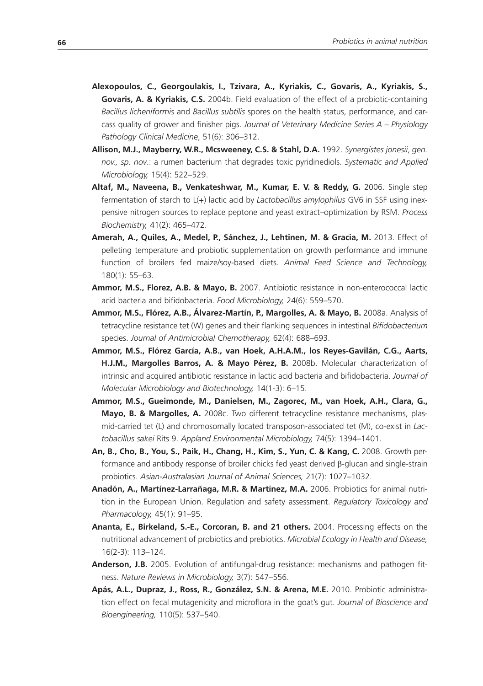- **Alexopoulos, C., Georgoulakis, I., Tzivara, A., Kyriakis, C., Govaris, A., Kyriakis, S., Govaris, A. & Kyriakis, C.S.** 2004b. Field evaluation of the effect of a probiotic-containing *Bacillus licheniformis* and *Bacillus subtilis* spores on the health status, performance, and carcass quality of grower and finisher pigs. *Journal of Veterinary Medicine Series A – Physiology Pathology Clinical Medicine*, 51(6): 306–312.
- **Allison, M.J., Mayberry, W.R., Mcsweeney, C.S. & Stahl, D.A.** 1992. *Synergistes jonesii*, *gen. nov., sp. nov*.: a rumen bacterium that degrades toxic pyridinediols. *Systematic and Applied Microbiology,* 15(4): 522–529.
- Altaf, M., Naveena, B., Venkateshwar, M., Kumar, E. V. & Reddy, G. 2006. Single step fermentation of starch to L(+) lactic acid by *Lactobacillus amylophilus* GV6 in SSF using inexpensive nitrogen sources to replace peptone and yeast extract–optimization by RSM. *Process Biochemistry,* 41(2): 465–472.
- **Amerah, A., Quiles, A., Medel, P., Sánchez, J., Lehtinen, M. & Gracia, M.** 2013. Effect of pelleting temperature and probiotic supplementation on growth performance and immune function of broilers fed maize/soy-based diets. *Animal Feed Science and Technology,* 180(1): 55–63.
- **Ammor, M.S., Florez, A.B. & Mayo, B.** 2007. Antibiotic resistance in non-enterococcal lactic acid bacteria and bifidobacteria. *Food Microbiology,* 24(6): 559–570.
- **Ammor, M.S., Flórez, A.B., Álvarez-Martín, P., Margolles, A. & Mayo, B.** 2008a. Analysis of tetracycline resistance tet (W) genes and their flanking sequences in intestinal *Bifidobacterium*  species. *Journal of Antimicrobial Chemotherapy,* 62(4): 688–693.
- **Ammor, M.S., Flórez García, A.B., van Hoek, A.H.A.M., los Reyes-Gavilán, C.G., Aarts, H.J.M., Margolles Barros, A. & Mayo Pérez, B.** 2008b. Molecular characterization of intrinsic and acquired antibiotic resistance in lactic acid bacteria and bifidobacteria. *Journal of Molecular Microbiology and Biotechnology,* 14(1-3): 6–15.
- **Ammor, M.S., Gueimonde, M., Danielsen, M., Zagorec, M., van Hoek, A.H., Clara, G., Mayo, B. & Margolles, A.** 2008c. Two different tetracycline resistance mechanisms, plasmid-carried tet (L) and chromosomally located transposon-associated tet (M), co-exist in *Lactobacillus sakei* Rits 9. *Appland Environmental Microbiology,* 74(5): 1394–1401.
- **An, B., Cho, B., You, S., Paik, H., Chang, H., Kim, S., Yun, C. & Kang, C.** 2008. Growth performance and antibody response of broiler chicks fed yeast derived β-glucan and single-strain probiotics. *Asian-Australasian Journal of Animal Sciences,* 21(7): 1027–1032.
- **Anadón, A., Martínez-Larrañaga, M.R. & Martínez, M.A.** 2006. Probiotics for animal nutrition in the European Union. Regulation and safety assessment. *Regulatory Toxicology and Pharmacology,* 45(1): 91–95.
- **Ananta, E., Birkeland, S.-E., Corcoran, B. and 21 others.** 2004. Processing effects on the nutritional advancement of probiotics and prebiotics. *Microbial Ecology in Health and Disease,* 16(2-3): 113–124.
- **Anderson, J.B.** 2005. Evolution of antifungal-drug resistance: mechanisms and pathogen fitness. *Nature Reviews in Microbiology,* 3(7): 547–556.
- **Apás, A.L., Dupraz, J., Ross, R., González, S.N. & Arena, M.E.** 2010. Probiotic administration effect on fecal mutagenicity and microflora in the goat's gut. *Journal of Bioscience and Bioengineering,* 110(5): 537–540.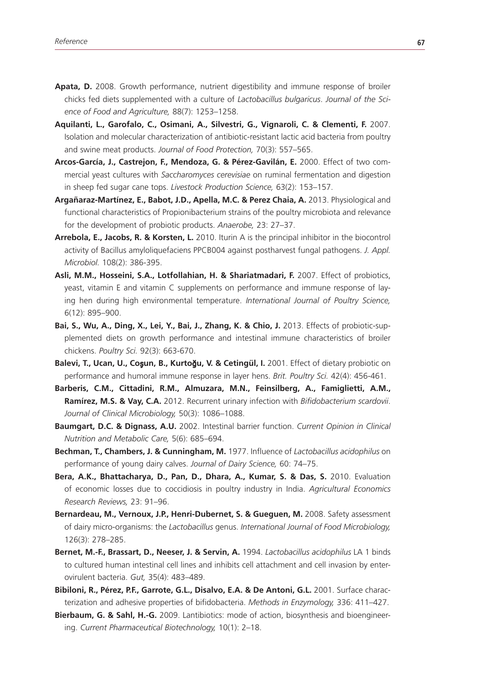- **Apata, D.** 2008. Growth performance, nutrient digestibility and immune response of broiler chicks fed diets supplemented with a culture of *Lactobacillus bulgaricus*. *Journal of the Science of Food and Agriculture,* 88(7): 1253–1258.
- **Aquilanti, L., Garofalo, C., Osimani, A., Silvestri, G., Vignaroli, C. & Clementi, F.** 2007. Isolation and molecular characterization of antibiotic-resistant lactic acid bacteria from poultry and swine meat products. *Journal of Food Protection,* 70(3): 557–565.
- **Arcos-García, J., Castrejon, F., Mendoza, G. & Pérez-Gavilán, E.** 2000. Effect of two commercial yeast cultures with *Saccharomyces cerevisiae* on ruminal fermentation and digestion in sheep fed sugar cane tops. *Livestock Production Science,* 63(2): 153–157.
- **Argañaraz-Martínez, E., Babot, J.D., Apella, M.C. & Perez Chaia, A.** 2013. Physiological and functional characteristics of Propionibacterium strains of the poultry microbiota and relevance for the development of probiotic products. *Anaerobe,* 23: 27–37.
- **Arrebola, E., Jacobs, R. & Korsten, L.** 2010. Iturin A is the principal inhibitor in the biocontrol activity of Bacillus amyloliquefaciens PPCB004 against postharvest fungal pathogens. *J. Appl. Microbiol.* 108(2): 386-395.
- **Asli, M.M., Hosseini, S.A., Lotfollahian, H. & Shariatmadari, F.** 2007. Effect of probiotics, yeast, vitamin E and vitamin C supplements on performance and immune response of laying hen during high environmental temperature. *International Journal of Poultry Science,* 6(12): 895–900.
- **Bai, S., Wu, A., Ding, X., Lei, Y., Bai, J., Zhang, K. & Chio, J.** 2013. Effects of probiotic-supplemented diets on growth performance and intestinal immune characteristics of broiler chickens. *Poultry Sci.* 92(3): 663-670.
- **Balevi, T., Ucan, U., Co**ş**un, B., Kurto**ğ**u, V. & Cetingül, I.** 2001. Effect of dietary probiotic on performance and humoral immune response in layer hens. *Brit. Poultry Sci.* 42(4): 456-461.
- **Barberis, C.M., Cittadini, R.M., Almuzara, M.N., Feinsilberg, A., Famiglietti, A.M., Ramírez, M.S. & Vay, C.A.** 2012. Recurrent urinary infection with *Bifidobacterium scardovii*. *Journal of Clinical Microbiology,* 50(3): 1086–1088.
- **Baumgart, D.C. & Dignass, A.U.** 2002. Intestinal barrier function. *Current Opinion in Clinical Nutrition and Metabolic Care,* 5(6): 685–694.
- **Bechman, T., Chambers, J. & Cunningham, M.** 1977. Influence of *Lactobacillus acidophilus* on performance of young dairy calves. *Journal of Dairy Science,* 60: 74–75.
- **Bera, A.K., Bhattacharya, D., Pan, D., Dhara, A., Kumar, S. & Das, S.** 2010. Evaluation of economic losses due to coccidiosis in poultry industry in India. *Agricultural Economics Research Reviews,* 23: 91–96.
- Bernardeau, M., Vernoux, J.P., Henri-Dubernet, S. & Gueguen, M. 2008. Safety assessment of dairy micro-organisms: the *Lactobacillus* genus. *International Journal of Food Microbiology,* 126(3): 278–285.
- **Bernet, M.-F., Brassart, D., Neeser, J. & Servin, A.** 1994. *Lactobacillus acidophilus* LA 1 binds to cultured human intestinal cell lines and inhibits cell attachment and cell invasion by enterovirulent bacteria. *Gut,* 35(4): 483–489.
- **Bibiloni, R., Pérez, P.F., Garrote, G.L., Disalvo, E.A. & De Antoni, G.L.** 2001. Surface characterization and adhesive properties of bifidobacteria. *Methods in Enzymology,* 336: 411–427.
- **Bierbaum, G. & Sahl, H.-G.** 2009. Lantibiotics: mode of action, biosynthesis and bioengineering. *Current Pharmaceutical Biotechnology,* 10(1): 2–18.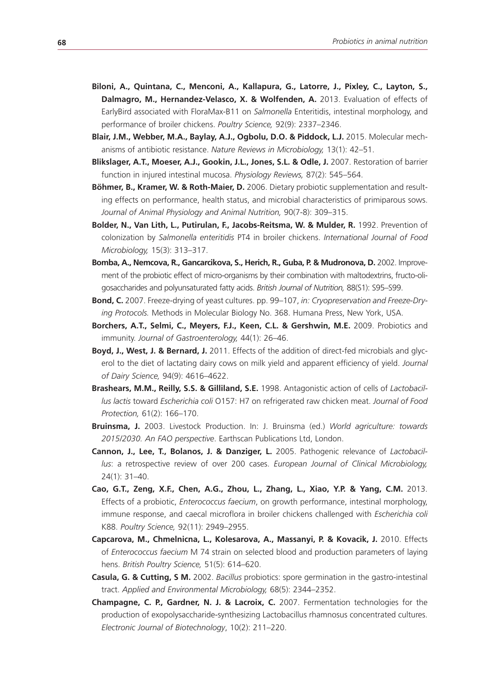- **Biloni, A., Quintana, C., Menconi, A., Kallapura, G., Latorre, J., Pixley, C., Layton, S.,**  Dalmagro, M., Hernandez-Velasco, X. & Wolfenden, A. 2013. Evaluation of effects of EarlyBird associated with FloraMax-B11 on *Salmonella* Enteritidis, intestinal morphology, and performance of broiler chickens. *Poultry Science,* 92(9): 2337–2346.
- **Blair, J.M., Webber, M.A., Baylay, A.J., Ogbolu, D.O. & Piddock, L.J.** 2015. Molecular mechanisms of antibiotic resistance. *Nature Reviews in Microbiology,* 13(1): 42–51.
- **Blikslager, A.T., Moeser, A.J., Gookin, J.L., Jones, S.L. & Odle, J.** 2007. Restoration of barrier function in injured intestinal mucosa. *Physiology Reviews,* 87(2): 545–564.
- **Böhmer, B., Kramer, W. & Roth-Maier, D.** 2006. Dietary probiotic supplementation and resulting effects on performance, health status, and microbial characteristics of primiparous sows. *Journal of Animal Physiology and Animal Nutrition,* 90(7-8): 309–315.
- **Bolder, N., Van Lith, L., Putirulan, F., Jacobs-Reitsma, W. & Mulder, R.** 1992. Prevention of colonization by *Salmonella enteritidis* PT4 in broiler chickens. *International Journal of Food Microbiology,* 15(3): 313–317.
- Bomba, A., Nemcova, R., Gancarcikova, S., Herich, R., Guba, P. & Mudronova, D. 2002. Improvement of the probiotic effect of micro-organisms by their combination with maltodextrins, fructo-oligosaccharides and polyunsaturated fatty acids. *British Journal of Nutrition,* 88(S1): S95–S99.
- **Bond, C.** 2007. Freeze-drying of yeast cultures. pp. 99–107, *in: Cryopreservation and Freeze-Drying Protocols.* Methods in Molecular Biology No. 368. Humana Press, New York, USA.
- **Borchers, A.T., Selmi, C., Meyers, F.J., Keen, C.L. & Gershwin, M.E.** 2009. Probiotics and immunity. *Journal of Gastroenterology,* 44(1): 26–46.
- **Boyd, J., West, J. & Bernard, J.** 2011. Effects of the addition of direct-fed microbials and glycerol to the diet of lactating dairy cows on milk yield and apparent efficiency of yield. *Journal of Dairy Science,* 94(9): 4616–4622.
- **Brashears, M.M., Reilly, S.S. & Gilliland, S.E.** 1998. Antagonistic action of cells of *Lactobacillus lactis* toward *Escherichia coli* O157: H7 on refrigerated raw chicken meat. *Journal of Food Protection,* 61(2): 166–170.
- **Bruinsma, J.** 2003. Livestock Production. In: J. Bruinsma (ed.) *World agriculture: towards 2015/2030. An FAO perspective*. Earthscan Publications Ltd, London.
- **Cannon, J., Lee, T., Bolanos, J. & Danziger, L.** 2005. Pathogenic relevance of *Lactobacillus*: a retrospective review of over 200 cases. *European Journal of Clinical Microbiology,* 24(1): 31–40.
- **Cao, G.T., Zeng, X.F., Chen, A.G., Zhou, L., Zhang, L., Xiao, Y.P. & Yang, C.M.** 2013. Effects of a probiotic, *Enterococcus faecium*, on growth performance, intestinal morphology, immune response, and caecal microflora in broiler chickens challenged with *Escherichia coli*  K88. *Poultry Science,* 92(11): 2949–2955.
- Capcarova, M., Chmelnicna, L., Kolesarova, A., Massanyi, P. & Kovacik, J. 2010. Effects of *Enterococcus faecium* M 74 strain on selected blood and production parameters of laying hens. *British Poultry Science,* 51(5): 614–620.
- **Casula, G. & Cutting, S M.** 2002. *Bacillus* probiotics: spore germination in the gastro-intestinal tract. *Applied and Environmental Microbiology,* 68(5): 2344–2352.
- **Champagne, C. P., Gardner, N. J. & Lacroix, C.** 2007. Fermentation technologies for the production of exopolysaccharide-synthesizing Lactobacillus rhamnosus concentrated cultures. *Electronic Journal of Biotechnology*, 10(2): 211–220.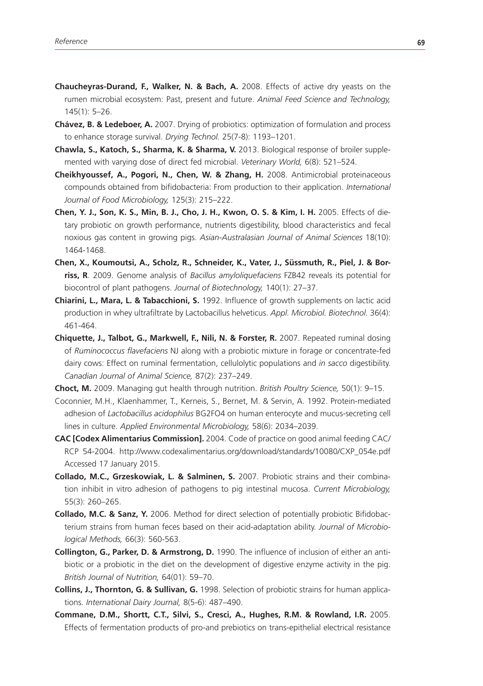- **Chaucheyras-Durand, F., Walker, N. & Bach, A.** 2008. Effects of active dry yeasts on the rumen microbial ecosystem: Past, present and future. *Animal Feed Science and Technology,* 145(1): 5–26.
- **Chávez, B. & Ledeboer, A.** 2007. Drying of probiotics: optimization of formulation and process to enhance storage survival. *Drying Technol.* 25(7-8): 1193–1201.
- **Chawla, S., Katoch, S., Sharma, K. & Sharma, V.** 2013. Biological response of broiler supplemented with varying dose of direct fed microbial. *Veterinary World,* 6(8): 521–524.
- **Cheikhyoussef, A., Pogori, N., Chen, W. & Zhang, H.** 2008. Antimicrobial proteinaceous compounds obtained from bifidobacteria: From production to their application. *International Journal of Food Microbiology,* 125(3): 215–222.
- **Chen, Y. J., Son, K. S., Min, B. J., Cho, J. H., Kwon, O. S. & Kim, I. H.** 2005. Effects of dietary probiotic on growth performance, nutrients digestibility, blood characteristics and fecal noxious gas content in growing pigs. *Asian-Australasian Journal of Animal Sciences* 18(10): 1464-1468.
- **Chen, X., Koumoutsi, A., Scholz, R., Schneider, K., Vater, J., Süssmuth, R., Piel, J. & Borriss, R**. 2009. Genome analysis of *Bacillus amyloliquefaciens* FZB42 reveals its potential for biocontrol of plant pathogens. *Journal of Biotechnology,* 140(1): 27–37.
- **Chiarini, L., Mara, L. & Tabacchioni, S.** 1992. Influence of growth supplements on lactic acid production in whey ultrafiltrate by Lactobacillus helveticus. *Appl. Microbiol. Biotechnol.* 36(4): 461-464.
- **Chiquette, J., Talbot, G., Markwell, F., Nili, N. & Forster, R.** 2007. Repeated ruminal dosing of *Ruminococcus flavefaciens* NJ along with a probiotic mixture in forage or concentrate-fed dairy cows: Effect on ruminal fermentation, cellulolytic populations and *in sacco* digestibility. *Canadian Journal of Animal Science,* 87(2): 237–249.

**Choct, M.** 2009. Managing gut health through nutrition. *British Poultry Science,* 50(1): 9–15.

- Coconnier, M.H., Klaenhammer, T., Kerneis, S., Bernet, M. & Servin, A. 1992. Protein-mediated adhesion of *Lactobacillus acidophilus* BG2FO4 on human enterocyte and mucus-secreting cell lines in culture. *Applied Environmental Microbiology,* 58(6): 2034–2039.
- **CAC [Codex Alimentarius Commission].** 2004. Code of practice on good animal feeding CAC/ RCP 54-2004. http://www.codexalimentarius.org/download/standards/10080/CXP\_054e.pdf Accessed 17 January 2015.
- **Collado, M.C., Grzeskowiak, L. & Salminen, S.** 2007. Probiotic strains and their combination inhibit in vitro adhesion of pathogens to pig intestinal mucosa. *Current Microbiology,* 55(3): 260–265.
- **Collado, M.C. & Sanz, Y.** 2006. Method for direct selection of potentially probiotic Bifidobacterium strains from human feces based on their acid-adaptation ability. *Journal of Microbiological Methods,* 66(3): 560-563.
- **Collington, G., Parker, D. & Armstrong, D.** 1990. The influence of inclusion of either an antibiotic or a probiotic in the diet on the development of digestive enzyme activity in the pig. *British Journal of Nutrition,* 64(01): 59–70.
- **Collins, J., Thornton, G. & Sullivan, G.** 1998. Selection of probiotic strains for human applications. *International Dairy Journal,* 8(5-6): 487–490.
- **Commane, D.M., Shortt, C.T., Silvi, S., Cresci, A., Hughes, R.M. & Rowland, I.R.** 2005. Effects of fermentation products of pro-and prebiotics on trans-epithelial electrical resistance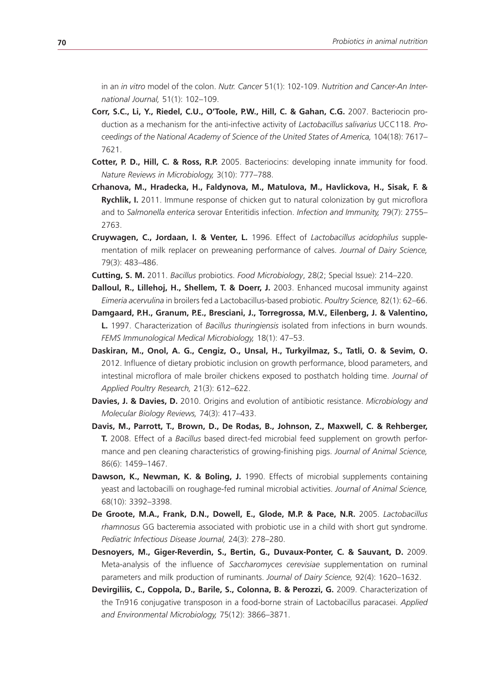in an *in vitro* model of the colon. *Nutr. Cancer* 51(1): 102-109. *Nutrition and Cancer-An International Journal,* 51(1): 102–109.

- **Corr, S.C., Li, Y., Riedel, C.U., O'Toole, P.W., Hill, C. & Gahan, C.G.** 2007. Bacteriocin production as a mechanism for the anti-infective activity of *Lactobacillus salivarius* UCC118. *Proceedings of the National Academy of Science of the United States of America,* 104(18): 7617– 7621.
- **Cotter, P. D., Hill, C. & Ross, R.P.** 2005. Bacteriocins: developing innate immunity for food. *Nature Reviews in Microbiology,* 3(10): 777–788.
- **Crhanova, M., Hradecka, H., Faldynova, M., Matulova, M., Havlickova, H., Sisak, F. & Rychlik, I.** 2011. Immune response of chicken gut to natural colonization by gut microflora and to *Salmonella enterica* serovar Enteritidis infection. *Infection and Immunity,* 79(7): 2755– 2763.
- **Cruywagen, C., Jordaan, I. & Venter, L.** 1996. Effect of *Lactobacillus acidophilus* supplementation of milk replacer on preweaning performance of calves. *Journal of Dairy Science,* 79(3): 483–486.
- **Cutting, S. M.** 2011. *Bacillus* probiotics. *Food Microbiology*, 28(2; Special Issue): 214–220.
- **Dalloul, R., Lillehoj, H., Shellem, T. & Doerr, J.** 2003. Enhanced mucosal immunity against *Eimeria acervulina* in broilers fed a Lactobacillus-based probiotic. *Poultry Science,* 82(1): 62–66.
- **Damgaard, P.H., Granum, P.E., Bresciani, J., Torregrossa, M.V., Eilenberg, J. & Valentino, L.** 1997. Characterization of *Bacillus thuringiensis* isolated from infections in burn wounds. *FEMS Immunological Medical Microbiology,* 18(1): 47–53.
- **Daskiran, M., Onol, A. G., Cengiz, O., Unsal, H., Turkyilmaz, S., Tatli, O. & Sevim, O.**  2012. Influence of dietary probiotic inclusion on growth performance, blood parameters, and intestinal microflora of male broiler chickens exposed to posthatch holding time. *Journal of Applied Poultry Research,* 21(3): 612–622.
- **Davies, J. & Davies, D.** 2010. Origins and evolution of antibiotic resistance. *Microbiology and Molecular Biology Reviews,* 74(3): 417–433.
- **Davis, M., Parrott, T., Brown, D., De Rodas, B., Johnson, Z., Maxwell, C. & Rehberger, T.** 2008. Effect of a *Bacillus* based direct-fed microbial feed supplement on growth performance and pen cleaning characteristics of growing-finishing pigs. *Journal of Animal Science,* 86(6): 1459–1467.
- **Dawson, K., Newman, K. & Boling, J.** 1990. Effects of microbial supplements containing yeast and lactobacilli on roughage-fed ruminal microbial activities. *Journal of Animal Science,* 68(10): 3392–3398.
- **De Groote, M.A., Frank, D.N., Dowell, E., Glode, M.P. & Pace, N.R.** 2005. *Lactobacillus rhamnosus* GG bacteremia associated with probiotic use in a child with short gut syndrome. *Pediatric Infectious Disease Journal,* 24(3): 278–280.
- **Desnoyers, M., Giger-Reverdin, S., Bertin, G., Duvaux-Ponter, C. & Sauvant, D.** 2009. Meta-analysis of the influence of *Saccharomyces cerevisiae* supplementation on ruminal parameters and milk production of ruminants. *Journal of Dairy Science,* 92(4): 1620–1632.
- **Devirgiliis, C., Coppola, D., Barile, S., Colonna, B. & Perozzi, G.** 2009. Characterization of the Tn916 conjugative transposon in a food-borne strain of Lactobacillus paracasei. *Applied and Environmental Microbiology,* 75(12): 3866–3871.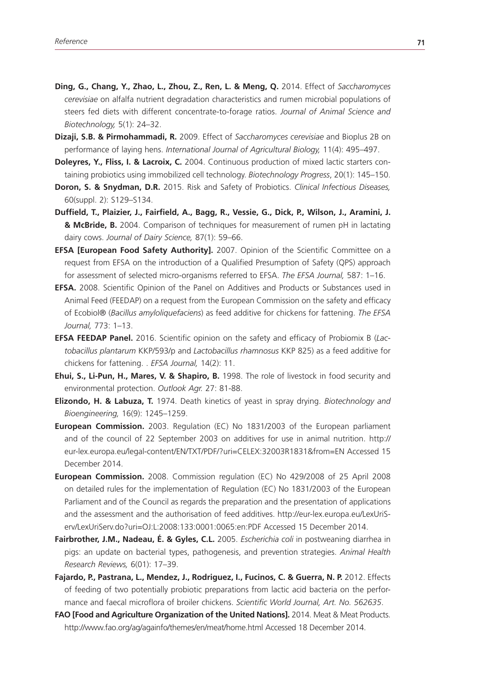- **Ding, G., Chang, Y., Zhao, L., Zhou, Z., Ren, L. & Meng, Q.** 2014. Effect of *Saccharomyces cerevisiae* on alfalfa nutrient degradation characteristics and rumen microbial populations of steers fed diets with different concentrate-to-forage ratios. *Journal of Animal Science and Biotechnology,* 5(1): 24–32.
- **Dizaji, S.B. & Pirmohammadi, R.** 2009. Effect of *Saccharomyces cerevisiae* and Bioplus 2B on performance of laying hens. *International Journal of Agricultural Biology,* 11(4): 495–497.
- **Doleyres, Y., Fliss, I. & Lacroix, C.** 2004. Continuous production of mixed lactic starters containing probiotics using immobilized cell technology. *Biotechnology Progress*, 20(1): 145–150.
- **Doron, S. & Snydman, D.R.** 2015. Risk and Safety of Probiotics. *Clinical Infectious Diseases,* 60(suppl. 2): S129–S134.
- **Duffield, T., Plaizier, J., Fairfield, A., Bagg, R., Vessie, G., Dick, P., Wilson, J., Aramini, J. & McBride, B.** 2004. Comparison of techniques for measurement of rumen pH in lactating dairy cows. *Journal of Dairy Science,* 87(1): 59–66.
- **EFSA [European Food Safety Authority].** 2007. Opinion of the Scientific Committee on a request from EFSA on the introduction of a Qualified Presumption of Safety (QPS) approach for assessment of selected micro-organisms referred to EFSA. *The EFSA Journal,* 587: 1–16.
- **EFSA.** 2008. Scientific Opinion of the Panel on Additives and Products or Substances used in Animal Feed (FEEDAP) on a request from the European Commission on the safety and efficacy of Ecobiol® (*Bacillus amyloliquefaciens*) as feed additive for chickens for fattening. *The EFSA Journal,* 773: 1–13.
- **EFSA FEEDAP Panel.** 2016. Scientific opinion on the safety and efficacy of Probiomix B (*Lactobacillus plantarum* KKP/593/p and *Lactobacillus rhamnosus* KKP 825) as a feed additive for chickens for fattening. . *EFSA Journal,* 14(2): 11.
- **Ehui, S., Li-Pun, H., Mares, V. & Shapiro, B.** 1998. The role of livestock in food security and environmental protection. *Outlook Agr.* 27: 81-88.
- **Elizondo, H. & Labuza, T.** 1974. Death kinetics of yeast in spray drying. *Biotechnology and Bioengineering,* 16(9): 1245–1259.
- **European Commission.** 2003. Regulation (EC) No 1831/2003 of the European parliament and of the council of 22 September 2003 on additives for use in animal nutrition. http:// eur-lex.europa.eu/legal-content/EN/TXT/PDF/?uri=CELEX:32003R1831&from=EN Accessed 15 December 2014.
- **European Commission.** 2008. Commission regulation (EC) No 429/2008 of 25 April 2008 on detailed rules for the implementation of Regulation (EC) No 1831/2003 of the European Parliament and of the Council as regards the preparation and the presentation of applications and the assessment and the authorisation of feed additives. http://eur-lex.europa.eu/LexUriServ/LexUriServ.do?uri=OJ:L:2008:133:0001:0065:en:PDF Accessed 15 December 2014.
- **Fairbrother, J.M., Nadeau, É. & Gyles, C.L.** 2005. *Escherichia coli* in postweaning diarrhea in pigs: an update on bacterial types, pathogenesis, and prevention strategies. *Animal Health Research Reviews,* 6(01): 17–39.
- Fajardo, P., Pastrana, L., Mendez, J., Rodriguez, I., Fucinos, C. & Guerra, N. P. 2012. Effects of feeding of two potentially probiotic preparations from lactic acid bacteria on the performance and faecal microflora of broiler chickens. *Scientific World Journal, Art. No. 562635*.
- FAO [Food and Agriculture Organization of the United Nations]. 2014. Meat & Meat Products. http://www.fao.org/ag/againfo/themes/en/meat/home.html Accessed 18 December 2014.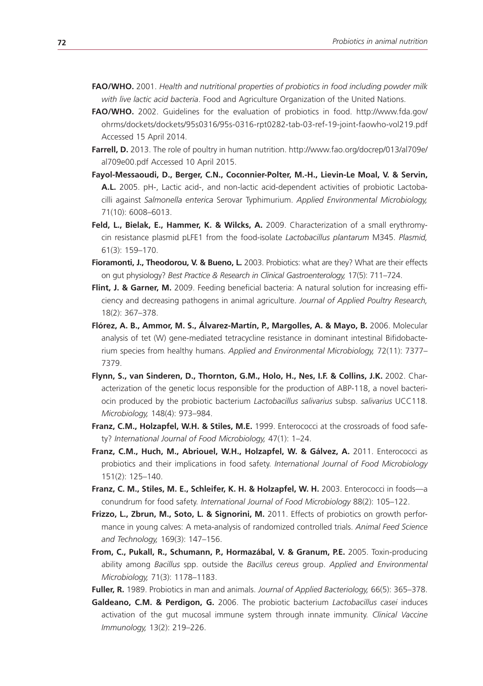- **FAO/WHO.** 2001. *Health and nutritional properties of probiotics in food including powder milk with live lactic acid bacteria*. Food and Agriculture Organization of the United Nations.
- **FAO/WHO.** 2002. Guidelines for the evaluation of probiotics in food. http://www.fda.gov/ ohrms/dockets/dockets/95s0316/95s-0316-rpt0282-tab-03-ref-19-joint-faowho-vol219.pdf Accessed 15 April 2014.
- **Farrell, D.** 2013. The role of poultry in human nutrition. http://www.fao.org/docrep/013/al709e/ al709e00.pdf Accessed 10 April 2015.
- **Fayol-Messaoudi, D., Berger, C.N., Coconnier-Polter, M.-H., Lievin-Le Moal, V. & Servin, A.L.** 2005. pH-, Lactic acid-, and non-lactic acid-dependent activities of probiotic Lactobacilli against *Salmonella enterica* Serovar Typhimurium. *Applied Environmental Microbiology,* 71(10): 6008–6013.
- **Feld, L., Bielak, E., Hammer, K. & Wilcks, A.** 2009. Characterization of a small erythromycin resistance plasmid pLFE1 from the food-isolate *Lactobacillus plantarum* M345. *Plasmid,* 61(3): 159–170.
- **Fioramonti, J., Theodorou, V. & Bueno, L.** 2003. Probiotics: what are they? What are their effects on gut physiology? *Best Practice & Research in Clinical Gastroenterology,* 17(5): 711–724.
- **Flint, J. & Garner, M.** 2009. Feeding beneficial bacteria: A natural solution for increasing efficiency and decreasing pathogens in animal agriculture. *Journal of Applied Poultry Research,* 18(2): 367–378.
- **Flórez, A. B., Ammor, M. S., Álvarez-Martín, P., Margolles, A. & Mayo, B.** 2006. Molecular analysis of tet (W) gene-mediated tetracycline resistance in dominant intestinal Bifidobacterium species from healthy humans. *Applied and Environmental Microbiology,* 72(11): 7377– 7379.
- **Flynn, S., van Sinderen, D., Thornton, G.M., Holo, H., Nes, I.F. & Collins, J.K.** 2002. Characterization of the genetic locus responsible for the production of ABP-118, a novel bacteriocin produced by the probiotic bacterium *Lactobacillus salivarius* subsp. *salivarius* UCC118. *Microbiology,* 148(4): 973–984.
- **Franz, C.M., Holzapfel, W.H. & Stiles, M.E.** 1999. Enterococci at the crossroads of food safety? *International Journal of Food Microbiology,* 47(1): 1–24.
- **Franz, C.M., Huch, M., Abriouel, W.H., Holzapfel, W. & Gálvez, A.** 2011. Enterococci as probiotics and their implications in food safety. *International Journal of Food Microbiology* 151(2): 125–140.
- **Franz, C. M., Stiles, M. E., Schleifer, K. H. & Holzapfel, W. H.** 2003. Enterococci in foods—a conundrum for food safety. *International Journal of Food Microbiology* 88(2): 105–122.
- **Frizzo, L., Zbrun, M., Soto, L. & Signorini, M.** 2011. Effects of probiotics on growth performance in young calves: A meta-analysis of randomized controlled trials. *Animal Feed Science and Technology,* 169(3): 147–156.
- **From, C., Pukall, R., Schumann, P., Hormazábal, V. & Granum, P.E.** 2005. Toxin-producing ability among *Bacillus* spp. outside the *Bacillus cereus* group. *Applied and Environmental Microbiology,* 71(3): 1178–1183.
- **Fuller, R.** 1989. Probiotics in man and animals. *Journal of Applied Bacteriology,* 66(5): 365–378.
- **Galdeano, C.M. & Perdigon, G.** 2006. The probiotic bacterium *Lactobacillus casei* induces activation of the gut mucosal immune system through innate immunity. *Clinical Vaccine Immunology,* 13(2): 219–226.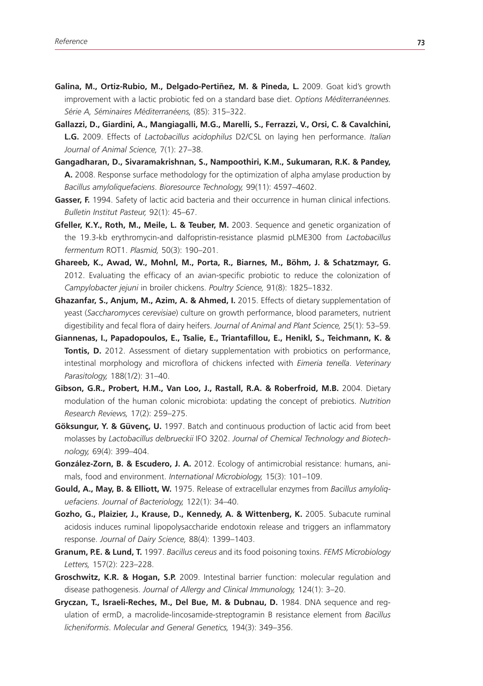- Galina, M., Ortiz-Rubio, M., Delgado-Pertiñez, M. & Pineda, L. 2009. Goat kid's growth improvement with a lactic probiotic fed on a standard base diet. *Options Méditerranéennes. Série A, Séminaires Méditerranéens,* (85): 315–322.
- **Gallazzi, D., Giardini, A., Mangiagalli, M.G., Marelli, S., Ferrazzi, V., Orsi, C. & Cavalchini, L.G.** 2009. Effects of *Lactobacillus acidophilus* D2/CSL on laying hen performance. *Italian Journal of Animal Science,* 7(1): 27–38.
- **Gangadharan, D., Sivaramakrishnan, S., Nampoothiri, K.M., Sukumaran, R.K. & Pandey, A.** 2008. Response surface methodology for the optimization of alpha amylase production by *Bacillus amyloliquefaciens*. *Bioresource Technology,* 99(11): 4597–4602.
- **Gasser, F.** 1994. Safety of lactic acid bacteria and their occurrence in human clinical infections. *Bulletin Institut Pasteur,* 92(1): 45–67.
- Gfeller, K.Y., Roth, M., Meile, L. & Teuber, M. 2003. Sequence and genetic organization of the 19.3-kb erythromycin-and dalfopristin-resistance plasmid pLME300 from *Lactobacillus fermentum* ROT1. *Plasmid,* 50(3): 190–201.
- **Ghareeb, K., Awad, W., Mohnl, M., Porta, R., Biarnes, M., Böhm, J. & Schatzmayr, G.**  2012. Evaluating the efficacy of an avian-specific probiotic to reduce the colonization of *Campylobacter jejuni* in broiler chickens. *Poultry Science,* 91(8): 1825–1832.
- **Ghazanfar, S., Anjum, M., Azim, A. & Ahmed, I.** 2015. Effects of dietary supplementation of yeast (*Saccharomyces cerevisiae*) culture on growth performance, blood parameters, nutrient digestibility and fecal flora of dairy heifers. *Journal of Animal and Plant Science,* 25(1): 53–59.
- **Giannenas, I., Papadopoulos, E., Tsalie, E., Triantafillou, E., Henikl, S., Teichmann, K. & Tontis, D.** 2012. Assessment of dietary supplementation with probiotics on performance, intestinal morphology and microflora of chickens infected with *Eimeria tenella*. *Veterinary Parasitology,* 188(1/2): 31–40.
- **Gibson, G.R., Probert, H.M., Van Loo, J., Rastall, R.A. & Roberfroid, M.B.** 2004. Dietary modulation of the human colonic microbiota: updating the concept of prebiotics. *Nutrition Research Reviews,* 17(2): 259–275.
- **Göksungur, Y. & Güvenç, U.** 1997. Batch and continuous production of lactic acid from beet molasses by *Lactobacillus delbrueckii* IFO 3202. *Journal of Chemical Technology and Biotechnology,* 69(4): 399–404.
- **González-Zorn, B. & Escudero, J. A.** 2012. Ecology of antimicrobial resistance: humans, animals, food and environment. *International Microbiology,* 15(3): 101–109.
- **Gould, A., May, B. & Elliott, W.** 1975. Release of extracellular enzymes from *Bacillus amyloliquefaciens*. *Journal of Bacteriology,* 122(1): 34–40.
- **Gozho, G., Plaizier, J., Krause, D., Kennedy, A. & Wittenberg, K.** 2005. Subacute ruminal acidosis induces ruminal lipopolysaccharide endotoxin release and triggers an inflammatory response. *Journal of Dairy Science,* 88(4): 1399–1403.
- **Granum, P.E. & Lund, T.** 1997. *Bacillus cereus* and its food poisoning toxins. *FEMS Microbiology Letters,* 157(2): 223–228.
- **Groschwitz, K.R. & Hogan, S.P.** 2009. Intestinal barrier function: molecular regulation and disease pathogenesis. *Journal of Allergy and Clinical Immunology,* 124(1): 3–20.
- Gryczan, T., Israeli-Reches, M., Del Bue, M. & Dubnau, D. 1984. DNA sequence and regulation of ermD, a macrolide-lincosamide-streptogramin B resistance element from *Bacillus licheniformis*. *Molecular and General Genetics,* 194(3): 349–356.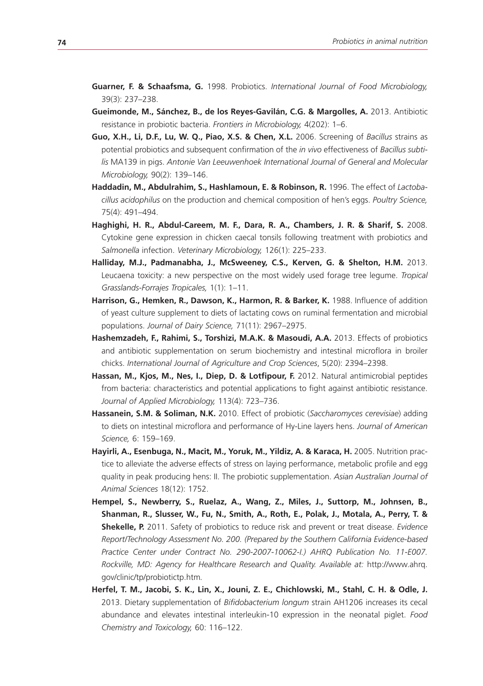- **Guarner, F. & Schaafsma, G.** 1998. Probiotics. *International Journal of Food Microbiology,* 39(3): 237–238.
- **Gueimonde, M., Sánchez, B., de los Reyes-Gavilán, C.G. & Margolles, A.** 2013. Antibiotic resistance in probiotic bacteria. *Frontiers in Microbiology,* 4(202): 1–6.
- **Guo, X.H., Li, D.F., Lu, W. Q., Piao, X.S. & Chen, X.L.** 2006. Screening of *Bacillus* strains as potential probiotics and subsequent confirmation of the *in vivo* effectiveness of *Bacillus subtilis* MA139 in pigs. *Antonie Van Leeuwenhoek International Journal of General and Molecular Microbiology,* 90(2): 139–146.
- **Haddadin, M., Abdulrahim, S., Hashlamoun, E. & Robinson, R.** 1996. The effect of *Lactobacillus acidophilus* on the production and chemical composition of hen's eggs. *Poultry Science,* 75(4): 491–494.
- **Haghighi, H. R., Abdul-Careem, M. F., Dara, R. A., Chambers, J. R. & Sharif, S.** 2008. Cytokine gene expression in chicken caecal tonsils following treatment with probiotics and *Salmonella* infection. *Veterinary Microbiology,* 126(1): 225–233.
- **Halliday, M.J., Padmanabha, J., McSweeney, C.S., Kerven, G. & Shelton, H.M.** 2013. Leucaena toxicity: a new perspective on the most widely used forage tree legume. *Tropical Grasslands-Forrajes Tropicales,* 1(1): 1–11.
- **Harrison, G., Hemken, R., Dawson, K., Harmon, R. & Barker, K.** 1988. Influence of addition of yeast culture supplement to diets of lactating cows on ruminal fermentation and microbial populations. *Journal of Dairy Science,* 71(11): 2967–2975.
- **Hashemzadeh, F., Rahimi, S., Torshizi, M.A.K. & Masoudi, A.A.** 2013. Effects of probiotics and antibiotic supplementation on serum biochemistry and intestinal microflora in broiler chicks. *International Journal of Agriculture and Crop Sciences*, 5(20): 2394–2398.
- Hassan, M., Kjos, M., Nes, I., Diep, D. & Lotfipour, F. 2012. Natural antimicrobial peptides from bacteria: characteristics and potential applications to fight against antibiotic resistance. *Journal of Applied Microbiology,* 113(4): 723–736.
- **Hassanein, S.M. & Soliman, N.K.** 2010. Effect of probiotic (*Saccharomyces cerevisiae*) adding to diets on intestinal microflora and performance of Hy-Line layers hens. *Journal of American Science,* 6: 159–169.
- Hayirli, A., Esenbuga, N., Macit, M., Yoruk, M., Yildiz, A. & Karaca, H. 2005. Nutrition practice to alleviate the adverse effects of stress on laying performance, metabolic profile and egg quality in peak producing hens: II. The probiotic supplementation. *Asian Australian Journal of Animal Sciences* 18(12): 1752.
- **Hempel, S., Newberry, S., Ruelaz, A., Wang, Z., Miles, J., Suttorp, M., Johnsen, B., Shanman, R., Slusser, W., Fu, N., Smith, A., Roth, E., Polak, J., Motala, A., Perry, T. & Shekelle, P.** 2011. Safety of probiotics to reduce risk and prevent or treat disease. *Evidence Report/Technology Assessment No. 200. (Prepared by the Southern California Evidence-based*  Practice Center under Contract No. 290-2007-10062-I.) AHRQ Publication No. 11-E007. *Rockville, MD: Agency for Healthcare Research and Quality. Available at:* http://www.ahrq. gov/clinic/tp/probiotictp.htm*.*
- **Herfel, T. M., Jacobi, S. K., Lin, X., Jouni, Z. E., Chichlowski, M., Stahl, C. H. & Odle, J.**  2013. Dietary supplementation of *Bifidobacterium longum* strain AH1206 increases its cecal abundance and elevates intestinal interleukin-10 expression in the neonatal piglet. *Food Chemistry and Toxicology,* 60: 116–122.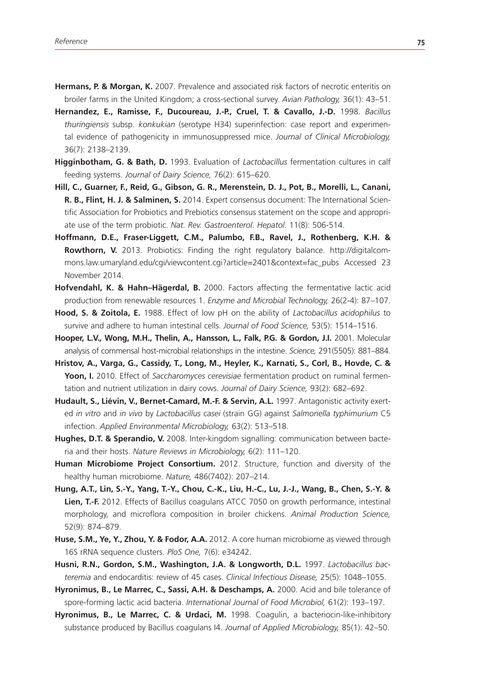- **Hermans, P. & Morgan, K.** 2007. Prevalence and associated risk factors of necrotic enteritis on broiler farms in the United Kingdom; a cross-sectional survey. *Avian Pathology,* 36(1): 43–51.
- **Hernandez, E., Ramisse, F., Ducoureau, J.-P., Cruel, T. & Cavallo, J.-D.** 1998. *Bacillus thuringiensis* subsp. *konkukian* (serotype H34) superinfection: case report and experimental evidence of pathogenicity in immunosuppressed mice. *Journal of Clinical Microbiology,* 36(7): 2138–2139.
- **Higginbotham, G. & Bath, D.** 1993. Evaluation of *Lactobacillus* fermentation cultures in calf feeding systems. *Journal of Dairy Science,* 76(2): 615–620.
- **Hill, C., Guarner, F., Reid, G., Gibson, G. R., Merenstein, D. J., Pot, B., Morelli, L., Canani, R. B., Flint, H. J. & Salminen, S.** 2014. Expert consensus document: The International Scientific Association for Probiotics and Prebiotics consensus statement on the scope and appropriate use of the term probiotic. *Nat. Rev. Gastroenterol. Hepatol.* 11(8): 506-514.
- **Hoffmann, D.E., Fraser-Liggett, C.M., Palumbo, F.B., Ravel, J., Rothenberg, K.H. & Rowthorn, V.** 2013. Probiotics: Finding the right regulatory balance. http://digitalcommons.law.umaryland.edu/cgi/viewcontent.cgi?article=2401&context=fac\_pubs Accessed 23 November 2014.
- **Hofvendahl, K. & Hahn–Hägerdal, B.** 2000. Factors affecting the fermentative lactic acid production from renewable resources 1. *Enzyme and Microbial Technology,* 26(2-4): 87–107.
- **Hood, S. & Zoitola, E.** 1988. Effect of low pH on the ability of *Lactobacillus acidophilus* to survive and adhere to human intestinal cells. *Journal of Food Science,* 53(5): 1514–1516.
- **Hooper, L.V., Wong, M.H., Thelin, A., Hansson, L., Falk, P.G. & Gordon, J.I.** 2001. Molecular analysis of commensal host-microbial relationships in the intestine. *Science,* 291(5505): 881–884.
- **Hristov, A., Varga, G., Cassidy, T., Long, M., Heyler, K., Karnati, S., Corl, B., Hovde, C. & Yoon, I.** 2010. Effect of *Saccharomyces cerevisiae* fermentation product on ruminal fermentation and nutrient utilization in dairy cows. *Journal of Dairy Science,* 93(2): 682–692.
- **Hudault, S., Liévin, V., Bernet-Camard, M.-F. & Servin, A.L.** 1997. Antagonistic activity exerted *in vitro* and *in vivo* by *Lactobacillus casei* (strain GG) against *Salmonella typhimurium* C5 infection. *Applied Environmental Microbiology,* 63(2): 513–518.
- **Hughes, D.T. & Sperandio, V.** 2008. Inter-kingdom signalling: communication between bacteria and their hosts. *Nature Reviews in Microbiology,* 6(2): 111–120.
- **Human Microbiome Project Consortium.** 2012. Structure, function and diversity of the healthy human microbiome. *Nature,* 486(7402): 207–214.
- **Hung, A.T., Lin, S.-Y., Yang, T.-Y., Chou, C.-K., Liu, H.-C., Lu, J.-J., Wang, B., Chen, S.-Y. & Lien, T.-F.** 2012. Effects of Bacillus coagulans ATCC 7050 on growth performance, intestinal morphology, and microflora composition in broiler chickens. *Animal Production Science,* 52(9): 874–879.
- **Huse, S.M., Ye, Y., Zhou, Y. & Fodor, A.A.** 2012. A core human microbiome as viewed through 16S rRNA sequence clusters. *PloS One,* 7(6): e34242.
- **Husni, R.N., Gordon, S.M., Washington, J.A. & Longworth, D.L.** 1997. *Lactobacillus bacteremia* and endocarditis: review of 45 cases. *Clinical Infectious Disease,* 25(5): 1048–1055.
- **Hyronimus, B., Le Marrec, C., Sassi, A.H. & Deschamps, A.** 2000. Acid and bile tolerance of spore-forming lactic acid bacteria. *International Journal of Food Microbiol,* 61(2): 193–197.
- **Hyronimus, B., Le Marrec, C. & Urdaci, M.** 1998. Coagulin, a bacteriocin-like-inhibitory substance produced by Bacillus coagulans I4. *Journal of Applied Microbiology,* 85(1): 42–50.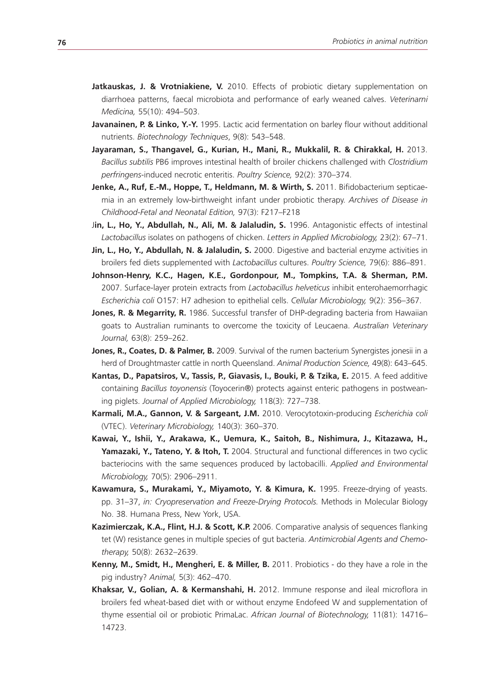- Jatkauskas, J. & Vrotniakiene, V. 2010. Effects of probiotic dietary supplementation on diarrhoea patterns, faecal microbiota and performance of early weaned calves. *Veterinarni Medicina,* 55(10): 494–503.
- **Javanainen, P. & Linko, Y.-Y.** 1995. Lactic acid fermentation on barley flour without additional nutrients. *Biotechnology Techniques*, 9(8): 543–548.
- Jayaraman, S., Thangavel, G., Kurian, H., Mani, R., Mukkalil, R. & Chirakkal, H. 2013. *Bacillus subtilis* PB6 improves intestinal health of broiler chickens challenged with *Clostridium perfringens*-induced necrotic enteritis. *Poultry Science,* 92(2): 370–374.
- Jenke, A., Ruf, E.-M., Hoppe, T., Heldmann, M. & Wirth, S. 2011. Bifidobacterium septicaemia in an extremely low-birthweight infant under probiotic therapy. *Archives of Disease in Childhood-Fetal and Neonatal Edition,* 97(3): F217–F218
- Jin, L., Ho, Y., Abdullah, N., Ali, M. & Jalaludin, S. 1996. Antagonistic effects of intestinal *Lactobacillus* isolates on pathogens of chicken. *Letters in Applied Microbiology,* 23(2): 67–71.
- **Jin, L., Ho, Y., Abdullah, N. & Jalaludin, S.** 2000. Digestive and bacterial enzyme activities in broilers fed diets supplemented with *Lactobacillus* cultures. *Poultry Science,* 79(6): 886–891.
- **Johnson-Henry, K.C., Hagen, K.E., Gordonpour, M., Tompkins, T.A. & Sherman, P.M.**  2007. Surface-layer protein extracts from *Lactobacillus helveticus* inhibit enterohaemorrhagic *Escherichia coli* O157: H7 adhesion to epithelial cells. *Cellular Microbiology,* 9(2): 356–367.
- Jones, R. & Megarrity, R. 1986. Successful transfer of DHP-degrading bacteria from Hawaiian goats to Australian ruminants to overcome the toxicity of Leucaena. *Australian Veterinary Journal,* 63(8): 259–262.
- Jones, R., Coates, D. & Palmer, B. 2009. Survival of the rumen bacterium Synergistes jonesii in a herd of Droughtmaster cattle in north Queensland. *Animal Production Science,* 49(8): 643–645.
- Kantas, D., Papatsiros, V., Tassis, P., Giavasis, I., Bouki, P. & Tzika, E. 2015. A feed additive containing *Bacillus toyonensis* (Toyocerin®) protects against enteric pathogens in postweaning piglets. *Journal of Applied Microbiology,* 118(3): 727–738.
- **Karmali, M.A., Gannon, V. & Sargeant, J.M.** 2010. Verocytotoxin-producing *Escherichia coli* (VTEC). *Veterinary Microbiology,* 140(3): 360–370.
- **Kawai, Y., Ishii, Y., Arakawa, K., Uemura, K., Saitoh, B., Nishimura, J., Kitazawa, H., Yamazaki, Y., Tateno, Y. & Itoh, T.** 2004. Structural and functional differences in two cyclic bacteriocins with the same sequences produced by lactobacilli. *Applied and Environmental Microbiology,* 70(5): 2906–2911.
- **Kawamura, S., Murakami, Y., Miyamoto, Y. & Kimura, K.** 1995. Freeze-drying of yeasts. pp. 31–37, *in: Cryopreservation and Freeze-Drying Protocols.* Methods in Molecular Biology No. 38. Humana Press, New York, USA.
- **Kazimierczak, K.A., Flint, H.J. & Scott, K.P.** 2006. Comparative analysis of sequences flanking tet (W) resistance genes in multiple species of gut bacteria. *Antimicrobial Agents and Chemotherapy,* 50(8): 2632–2639.
- **Kenny, M., Smidt, H., Mengheri, E. & Miller, B.** 2011. Probiotics do they have a role in the pig industry? *Animal,* 5(3): 462–470.
- **Khaksar, V., Golian, A. & Kermanshahi, H.** 2012. Immune response and ileal microflora in broilers fed wheat-based diet with or without enzyme Endofeed W and supplementation of thyme essential oil or probiotic PrimaLac. *African Journal of Biotechnology,* 11(81): 14716– 14723.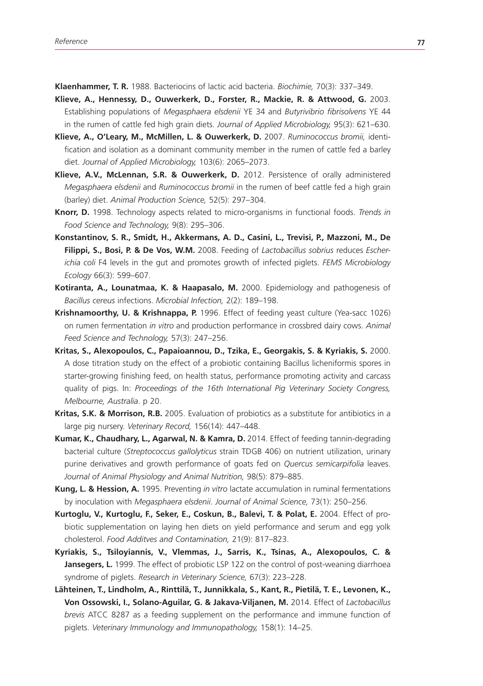**Klaenhammer, T. R.** 1988. Bacteriocins of lactic acid bacteria. *Biochimie,* 70(3): 337–349.

- **Klieve, A., Hennessy, D., Ouwerkerk, D., Forster, R., Mackie, R. & Attwood, G.** 2003. Establishing populations of *Megasphaera elsdenii* YE 34 and *Butyrivibrio fibrisolvens* YE 44 in the rumen of cattle fed high grain diets. *Journal of Applied Microbiology,* 95(3): 621–630.
- **Klieve, A., O'Leary, M., McMillen, L. & Ouwerkerk, D.** 2007. *Ruminococcus bromii,* identification and isolation as a dominant community member in the rumen of cattle fed a barley diet. *Journal of Applied Microbiology,* 103(6): 2065–2073.
- **Klieve, A.V., McLennan, S.R. & Ouwerkerk, D.** 2012. Persistence of orally administered *Megasphaera elsdenii* and *Ruminococcus bromii* in the rumen of beef cattle fed a high grain (barley) diet. *Animal Production Science,* 52(5): 297–304.
- **Knorr, D.** 1998. Technology aspects related to micro-organisms in functional foods. *Trends in Food Science and Technology,* 9(8): 295–306.
- **Konstantinov, S. R., Smidt, H., Akkermans, A. D., Casini, L., Trevisi, P., Mazzoni, M., De Filippi, S., Bosi, P. & De Vos, W.M.** 2008. Feeding of *Lactobacillus sobrius* reduces *Escherichia coli* F4 levels in the gut and promotes growth of infected piglets. *FEMS Microbiology Ecology* 66(3): 599–607.
- **Kotiranta, A., Lounatmaa, K. & Haapasalo, M.** 2000. Epidemiology and pathogenesis of *Bacillus cereus* infections. *Microbial Infection,* 2(2): 189–198.
- **Krishnamoorthy, U. & Krishnappa, P.** 1996. Effect of feeding yeast culture (Yea-sacc 1026) on rumen fermentation *in vitro* and production performance in crossbred dairy cows. *Animal Feed Science and Technology,* 57(3): 247–256.
- **Kritas, S., Alexopoulos, C., Papaioannou, D., Tzika, E., Georgakis, S. & Kyriakis, S.** 2000. A dose titration study on the effect of a probiotic containing Bacillus licheniformis spores in starter-growing finishing feed, on health status, performance promoting activity and carcass quality of pigs. In: *Proceedings of the 16th International Pig Veterinary Society Congress, Melbourne, Australia*. p 20.
- **Kritas, S.K. & Morrison, R.B.** 2005. Evaluation of probiotics as a substitute for antibiotics in a large pig nursery. *Veterinary Record,* 156(14): 447–448.
- **Kumar, K., Chaudhary, L., Agarwal, N. & Kamra, D.** 2014. Effect of feeding tannin-degrading bacterial culture (*Streptococcus gallolyticus* strain TDGB 406) on nutrient utilization, urinary purine derivatives and growth performance of goats fed on *Quercus semicarpifolia* leaves. *Journal of Animal Physiology and Animal Nutrition,* 98(5): 879–885.
- **Kung, L. & Hession, A.** 1995. Preventing *in vitro* lactate accumulation in ruminal fermentations by inoculation with *Megasphaera elsdenii*. *Journal of Animal Science,* 73(1): 250–256.
- **Kurtoglu, V., Kurtoglu, F., Seker, E., Coskun, B., Balevi, T. & Polat, E.** 2004. Effect of probiotic supplementation on laying hen diets on yield performance and serum and egg yolk cholesterol. *Food Additves and Contamination,* 21(9): 817–823.
- **Kyriakis, S., Tsiloyiannis, V., Vlemmas, J., Sarris, K., Tsinas, A., Alexopoulos, C. &**  Jansegers, L. 1999. The effect of probiotic LSP 122 on the control of post-weaning diarrhoea syndrome of piglets. *Research in Veterinary Science,* 67(3): 223–228.
- **Lähteinen, T., Lindholm, A., Rinttilä, T., Junnikkala, S., Kant, R., Pietilä, T. E., Levonen, K., Von Ossowski, I., Solano-Aguilar, G. & Jakava-Viljanen, M.** 2014. Effect of *Lactobacillus brevis* ATCC 8287 as a feeding supplement on the performance and immune function of piglets. *Veterinary Immunology and Immunopathology,* 158(1): 14–25.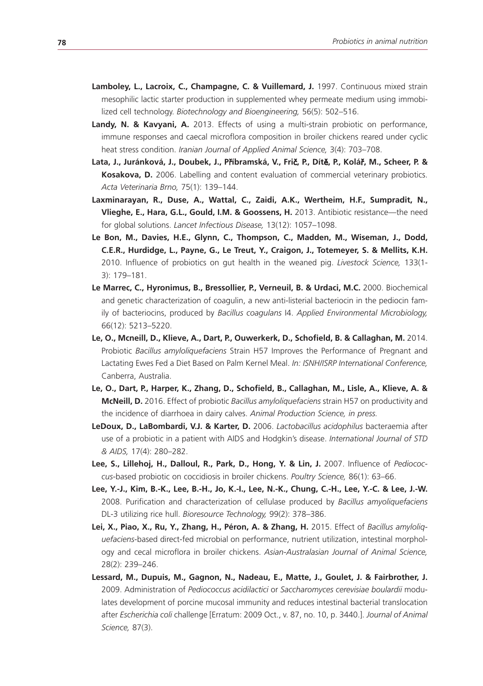- Lamboley, L., Lacroix, C., Champagne, C. & Vuillemard, J. 1997. Continuous mixed strain mesophilic lactic starter production in supplemented whey permeate medium using immobilized cell technology. *Biotechnology and Bioengineering,* 56(5): 502–516.
- Landy, N. & Kavyani, A. 2013. Effects of using a multi-strain probiotic on performance, immune responses and caecal microflora composition in broiler chickens reared under cyclic heat stress condition. *Iranian Journal of Applied Animal Science,* 3(4): 703–708.
- **Lata, J., Juránková, J., Doubek, J., P**ř**íbramská, V., Fri**č**, P., Dít**ě**, P., Kolá**ř**, M., Scheer, P. & Kosakova, D.** 2006. Labelling and content evaluation of commercial veterinary probiotics. *Acta Veterinaria Brno,* 75(1): 139–144.
- **Laxminarayan, R., Duse, A., Wattal, C., Zaidi, A.K., Wertheim, H.F., Sumpradit, N., Vlieghe, E., Hara, G.L., Gould, I.M. & Goossens, H.** 2013. Antibiotic resistance—the need for global solutions. *Lancet Infectious Disease,* 13(12): 1057–1098.
- **Le Bon, M., Davies, H.E., Glynn, C., Thompson, C., Madden, M., Wiseman, J., Dodd, C.E.R., Hurdidge, L., Payne, G., Le Treut, Y., Craigon, J., Totemeyer, S. & Mellits, K.H.**  2010. Influence of probiotics on gut health in the weaned pig. *Livestock Science,* 133(1- 3): 179–181.
- **Le Marrec, C., Hyronimus, B., Bressollier, P., Verneuil, B. & Urdaci, M.C.** 2000. Biochemical and genetic characterization of coagulin, a new anti-listerial bacteriocin in the pediocin family of bacteriocins, produced by *Bacillus coagulans* I4. *Applied Environmental Microbiology,* 66(12): 5213–5220.
- Le, O., Mcneill, D., Klieve, A., Dart, P., Ouwerkerk, D., Schofield, B. & Callaghan, M. 2014. Probiotic *Bacillus amyloliquefaciens* Strain H57 Improves the Performance of Pregnant and Lactating Ewes Fed a Diet Based on Palm Kernel Meal. *In: ISNH/ISRP International Conference,* Canberra, Australia.
- **Le, O., Dart, P., Harper, K., Zhang, D., Schofield, B., Callaghan, M., Lisle, A., Klieve, A. & McNeill, D.** 2016. Effect of probiotic *Bacillus amyloliquefaciens* strain H57 on productivity and the incidence of diarrhoea in dairy calves. *Animal Production Science, in press.*
- **LeDoux, D., LaBombardi, V.J. & Karter, D.** 2006. *Lactobacillus acidophilus* bacteraemia after use of a probiotic in a patient with AIDS and Hodgkin's disease. *International Journal of STD & AIDS,* 17(4): 280–282.
- **Lee, S., Lillehoj, H., Dalloul, R., Park, D., Hong, Y. & Lin, J.** 2007. Influence of *Pediococcus*-based probiotic on coccidiosis in broiler chickens. *Poultry Science,* 86(1): 63–66.
- **Lee, Y.-J., Kim, B.-K., Lee, B.-H., Jo, K.-I., Lee, N.-K., Chung, C.-H., Lee, Y.-C. & Lee, J.-W.**  2008. Purification and characterization of cellulase produced by *Bacillus amyoliquefaciens* DL-3 utilizing rice hull. *Bioresource Technology,* 99(2): 378–386.
- Lei, X., Piao, X., Ru, Y., Zhang, H., Péron, A. & Zhang, H. 2015. Effect of *Bacillus amyloliguefaciens*-based direct-fed microbial on performance, nutrient utilization, intestinal morphology and cecal microflora in broiler chickens. *Asian-Australasian Journal of Animal Science,* 28(2): 239–246.
- **Lessard, M., Dupuis, M., Gagnon, N., Nadeau, E., Matte, J., Goulet, J. & Fairbrother, J.**  2009. Administration of *Pediococcus acidilactici* or *Saccharomyces cerevisiae boulardii* modulates development of porcine mucosal immunity and reduces intestinal bacterial translocation after *Escherichia coli* challenge [Erratum: 2009 Oct., v. 87, no. 10, p. 3440.]. *Journal of Animal Science,* 87(3).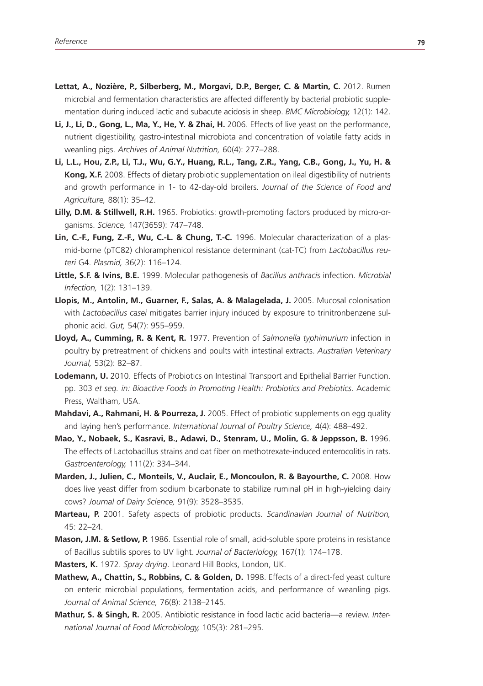- Lettat, A., Nozière, P., Silberberg, M., Morgavi, D.P., Berger, C. & Martin, C. 2012. Rumen microbial and fermentation characteristics are affected differently by bacterial probiotic supplementation during induced lactic and subacute acidosis in sheep. *BMC Microbiology,* 12(1): 142.
- **Li, J., Li, D., Gong, L., Ma, Y., He, Y. & Zhai, H.** 2006. Effects of live yeast on the performance, nutrient digestibility, gastro-intestinal microbiota and concentration of volatile fatty acids in weanling pigs. *Archives of Animal Nutrition,* 60(4): 277–288.
- **Li, L.L., Hou, Z.P., Li, T.J., Wu, G.Y., Huang, R.L., Tang, Z.R., Yang, C.B., Gong, J., Yu, H. & Kong, X.F.** 2008. Effects of dietary probiotic supplementation on ileal digestibility of nutrients and growth performance in 1- to 42-day-old broilers. *Journal of the Science of Food and Agriculture,* 88(1): 35–42.
- **Lilly, D.M. & Stillwell, R.H.** 1965. Probiotics: growth-promoting factors produced by micro-organisms. *Science,* 147(3659): 747–748.
- **Lin, C.-F., Fung, Z.-F., Wu, C.-L. & Chung, T.-C.** 1996. Molecular characterization of a plasmid-borne (pTC82) chloramphenicol resistance determinant (cat-TC) from *Lactobacillus reuteri* G4. *Plasmid,* 36(2): 116–124.
- **Little, S.F. & Ivins, B.E.** 1999. Molecular pathogenesis of *Bacillus anthracis* infection. *Microbial Infection,* 1(2): 131–139.
- Llopis, M., Antolin, M., Guarner, F., Salas, A. & Malagelada, J. 2005. Mucosal colonisation with *Lactobacillus casei* mitigates barrier injury induced by exposure to trinitronbenzene sulphonic acid. *Gut,* 54(7): 955–959.
- **Lloyd, A., Cumming, R. & Kent, R.** 1977. Prevention of *Salmonella typhimurium* infection in poultry by pretreatment of chickens and poults with intestinal extracts. *Australian Veterinary Journal,* 53(2): 82–87.
- **Lodemann, U.** 2010. Effects of Probiotics on Intestinal Transport and Epithelial Barrier Function. pp. 303 *et seq. in: Bioactive Foods in Promoting Health: Probiotics and Prebiotics*. Academic Press, Waltham, USA.
- **Mahdavi, A., Rahmani, H. & Pourreza, J.** 2005. Effect of probiotic supplements on egg quality and laying hen's performance. *International Journal of Poultry Science,* 4(4): 488–492.
- **Mao, Y., Nobaek, S., Kasravi, B., Adawi, D., Stenram, U., Molin, G. & Jeppsson, B.** 1996. The effects of Lactobacillus strains and oat fiber on methotrexate-induced enterocolitis in rats. *Gastroenterology,* 111(2): 334–344.
- **Marden, J., Julien, C., Monteils, V., Auclair, E., Moncoulon, R. & Bayourthe, C.** 2008. How does live yeast differ from sodium bicarbonate to stabilize ruminal pH in high-yielding dairy cows? *Journal of Dairy Science,* 91(9): 3528–3535.
- **Marteau, P.** 2001. Safety aspects of probiotic products. *Scandinavian Journal of Nutrition,* 45: 22–24.
- **Mason, J.M. & Setlow, P.** 1986. Essential role of small, acid-soluble spore proteins in resistance of Bacillus subtilis spores to UV light. *Journal of Bacteriology,* 167(1): 174–178.
- **Masters, K.** 1972. *Spray drying*. Leonard Hill Books, London, UK.
- **Mathew, A., Chattin, S., Robbins, C. & Golden, D.** 1998. Effects of a direct-fed yeast culture on enteric microbial populations, fermentation acids, and performance of weanling pigs. *Journal of Animal Science,* 76(8): 2138–2145.
- **Mathur, S. & Singh, R.** 2005. Antibiotic resistance in food lactic acid bacteria—a review. *International Journal of Food Microbiology,* 105(3): 281–295.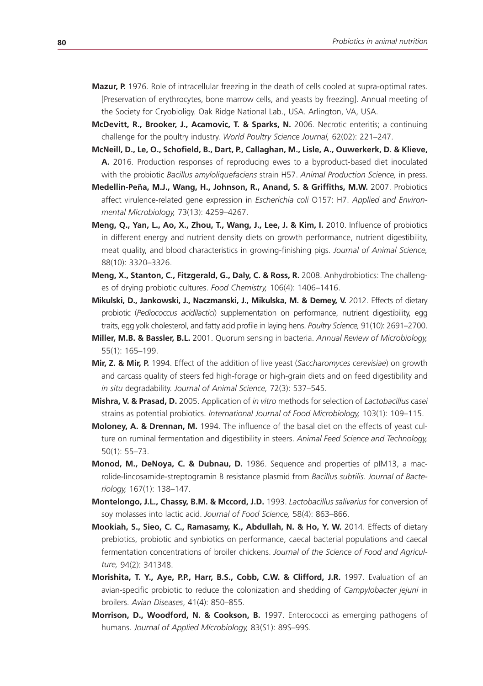- **Mazur, P.** 1976. Role of intracellular freezing in the death of cells cooled at supra-optimal rates. [Preservation of erythrocytes, bone marrow cells, and yeasts by freezing]. Annual meeting of the Society for Cryobioligy. Oak Ridge National Lab., USA. Arlington, VA, USA.
- **McDevitt, R., Brooker, J., Acamovic, T. & Sparks, N.** 2006. Necrotic enteritis; a continuing challenge for the poultry industry. *World Poultry Science Journal,* 62(02): 221–247.
- **McNeill, D., Le, O., Schofield, B., Dart, P., Callaghan, M., Lisle, A., Ouwerkerk, D. & Klieve, A.** 2016. Production responses of reproducing ewes to a byproduct-based diet inoculated with the probiotic *Bacillus amyloliquefaciens* strain H57. *Animal Production Science,* in press.
- **Medellin-Peña, M.J., Wang, H., Johnson, R., Anand, S. & Griffiths, M.W.** 2007. Probiotics affect virulence-related gene expression in *Escherichia coli* O157: H7. *Applied and Environmental Microbiology,* 73(13): 4259–4267.
- **Meng, Q., Yan, L., Ao, X., Zhou, T., Wang, J., Lee, J. & Kim, I. 2010. Influence of probiotics** in different energy and nutrient density diets on growth performance, nutrient digestibility, meat quality, and blood characteristics in growing-finishing pigs. *Journal of Animal Science,* 88(10): 3320–3326.
- **Meng, X., Stanton, C., Fitzgerald, G., Daly, C. & Ross, R.** 2008. Anhydrobiotics: The challenges of drying probiotic cultures. *Food Chemistry,* 106(4): 1406–1416.
- **Mikulski, D., Jankowski, J., Naczmanski, J., Mikulska, M. & Demey, V.** 2012. Effects of dietary probiotic (*Pediococcus acidilactici*) supplementation on performance, nutrient digestibility, egg traits, egg yolk cholesterol, and fatty acid profile in laying hens. *Poultry Science,* 91(10): 2691–2700.
- **Miller, M.B. & Bassler, B.L.** 2001. Quorum sensing in bacteria. *Annual Review of Microbiology,* 55(1): 165–199.
- **Mir, Z. & Mir, P.** 1994. Effect of the addition of live yeast (*Saccharomyces cerevisiae*) on growth and carcass quality of steers fed high-forage or high-grain diets and on feed digestibility and *in situ* degradability. *Journal of Animal Science,* 72(3): 537–545.
- **Mishra, V. & Prasad, D.** 2005. Application of *in vitro* methods for selection of *Lactobacillus casei* strains as potential probiotics. *International Journal of Food Microbiology,* 103(1): 109–115.
- **Moloney, A. & Drennan, M.** 1994. The influence of the basal diet on the effects of yeast culture on ruminal fermentation and digestibility in steers. *Animal Feed Science and Technology,* 50(1): 55–73.
- **Monod, M., DeNoya, C. & Dubnau, D.** 1986. Sequence and properties of pIM13, a macrolide-lincosamide-streptogramin B resistance plasmid from *Bacillus subtilis*. *Journal of Bacteriology,* 167(1): 138–147.
- **Montelongo, J.L., Chassy, B.M. & Mccord, J.D.** 1993. *Lactobacillus salivarius* for conversion of soy molasses into lactic acid. *Journal of Food Science,* 58(4): 863–866.
- **Mookiah, S., Sieo, C. C., Ramasamy, K., Abdullah, N. & Ho, Y. W.** 2014. Effects of dietary prebiotics, probiotic and synbiotics on performance, caecal bacterial populations and caecal fermentation concentrations of broiler chickens. *Journal of the Science of Food and Agriculture,* 94(2): 341348.
- **Morishita, T. Y., Ave, P.P., Harr, B.S., Cobb, C.W. & Clifford, J.R.** 1997. Evaluation of an avian-specific probiotic to reduce the colonization and shedding of *Campylobacter jejuni* in broilers. *Avian Diseases*, 41(4): 850–855.
- **Morrison, D., Woodford, N. & Cookson, B.** 1997. Enterococci as emerging pathogens of humans. *Journal of Applied Microbiology,* 83(S1): 89S–99S.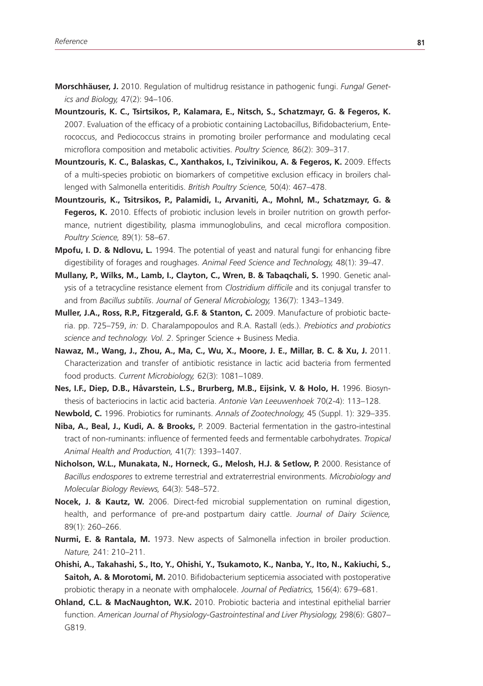- **Morschhäuser, J.** 2010. Regulation of multidrug resistance in pathogenic fungi. *Fungal Genetics and Biology,* 47(2): 94–106.
- **Mountzouris, K. C., Tsirtsikos, P., Kalamara, E., Nitsch, S., Schatzmayr, G. & Fegeros, K.**  2007. Evaluation of the efficacy of a probiotic containing Lactobacillus, Bifidobacterium, Enterococcus, and Pediococcus strains in promoting broiler performance and modulating cecal microflora composition and metabolic activities. *Poultry Science,* 86(2): 309–317.
- **Mountzouris, K. C., Balaskas, C., Xanthakos, I., Tzivinikou, A. & Fegeros, K.** 2009. Effects of a multi-species probiotic on biomarkers of competitive exclusion efficacy in broilers challenged with Salmonella enteritidis. *British Poultry Science,* 50(4): 467–478.
- **Mountzouris, K., Tsitrsikos, P., Palamidi, I., Arvaniti, A., Mohnl, M., Schatzmayr, G. & Fegeros, K.** 2010. Effects of probiotic inclusion levels in broiler nutrition on growth performance, nutrient digestibility, plasma immunoglobulins, and cecal microflora composition. *Poultry Science,* 89(1): 58–67.
- **Mpofu, I. D. & Ndlovu, L.** 1994. The potential of yeast and natural fungi for enhancing fibre digestibility of forages and roughages. *Animal Feed Science and Technology,* 48(1): 39–47.
- **Mullany, P., Wilks, M., Lamb, I., Clayton, C., Wren, B. & Tabaqchali, S.** 1990. Genetic analysis of a tetracycline resistance element from *Clostridium difficile* and its conjugal transfer to and from *Bacillus subtilis*. *Journal of General Microbiology,* 136(7): 1343–1349.
- **Muller, J.A., Ross, R.P., Fitzgerald, G.F. & Stanton, C.** 2009. Manufacture of probiotic bacteria. pp. 725–759, *in:* D. Charalampopoulos and R.A. Rastall (eds.). *Prebiotics and probiotics science and technology. Vol. 2*. Springer Science + Business Media.
- **Nawaz, M., Wang, J., Zhou, A., Ma, C., Wu, X., Moore, J. E., Millar, B. C. & Xu, J.** 2011. Characterization and transfer of antibiotic resistance in lactic acid bacteria from fermented food products. *Current Microbiology,* 62(3): 1081–1089.
- **Nes, I.F., Diep, D.B., Håvarstein, L.S., Brurberg, M.B., Eijsink, V. & Holo, H.** 1996. Biosynthesis of bacteriocins in lactic acid bacteria. *Antonie Van Leeuwenhoek* 70(2-4): 113–128.
- **Newbold, C.** 1996. Probiotics for ruminants. *Annals of Zootechnology,* 45 (Suppl. 1): 329–335.
- **Niba, A., Beal, J., Kudi, A. & Brooks,** P. 2009. Bacterial fermentation in the gastro-intestinal tract of non-ruminants: influence of fermented feeds and fermentable carbohydrates. *Tropical Animal Health and Production,* 41(7): 1393–1407.
- **Nicholson, W.L., Munakata, N., Horneck, G., Melosh, H.J. & Setlow, P.** 2000. Resistance of *Bacillus endospores* to extreme terrestrial and extraterrestrial environments. *Microbiology and Molecular Biology Reviews,* 64(3): 548–572.
- **Nocek, J. & Kautz, W.** 2006. Direct-fed microbial supplementation on ruminal digestion, health, and performance of pre-and postpartum dairy cattle. *Journal of Dairy Sciience,* 89(1): 260–266.
- **Nurmi, E. & Rantala, M.** 1973. New aspects of Salmonella infection in broiler production. *Nature,* 241: 210–211.
- **Ohishi, A., Takahashi, S., Ito, Y., Ohishi, Y., Tsukamoto, K., Nanba, Y., Ito, N., Kakiuchi, S., Saitoh, A. & Morotomi, M.** 2010. Bifidobacterium septicemia associated with postoperative probiotic therapy in a neonate with omphalocele. *Journal of Pediatrics,* 156(4): 679–681.
- **Ohland, C.L. & MacNaughton, W.K.** 2010. Probiotic bacteria and intestinal epithelial barrier function. *American Journal of Physiology-Gastrointestinal and Liver Physiology,* 298(6): G807– G819.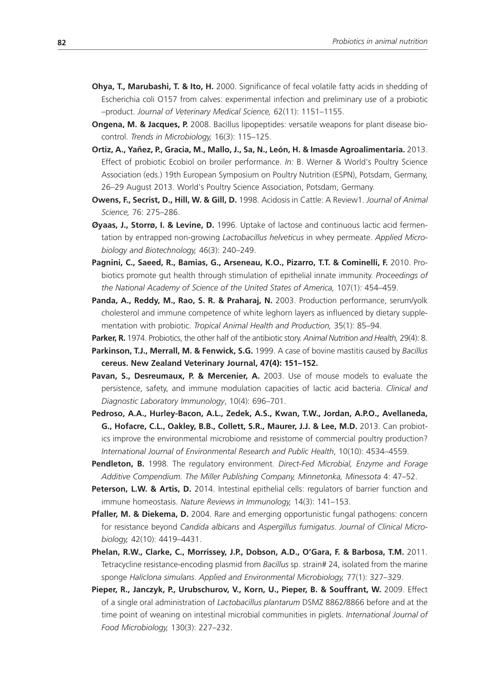- **Ohya, T., Marubashi, T. & Ito, H.** 2000. Significance of fecal volatile fatty acids in shedding of Escherichia coli O157 from calves: experimental infection and preliminary use of a probiotic –product. *Journal of Veterinary Medical Science,* 62(11): 1151–1155.
- **Ongena, M. & Jacques, P.** 2008. Bacillus lipopeptides: versatile weapons for plant disease biocontrol. *Trends in Microbiology,* 16(3): 115–125.
- **Ortiz, A., Yañez, P., Gracia, M., Mallo, J., Sa, N., León, H. & Imasde Agroalimentaria.** 2013. Effect of probiotic Ecobiol on broiler performance. *In:* B. Werner & World's Poultry Science Association (eds.) 19th European Symposium on Poultry Nutrition (ESPN), Potsdam, Germany, 26–29 August 2013. World's Poultry Science Association, Potsdam, Germany.
- **Owens, F., Secrist, D., Hill, W. & Gill, D.** 1998. Acidosis in Cattle: A Review1. *Journal of Animal Science,* 76: 275–286.
- **Øyaas, J., Storrø, I. & Levine, D.** 1996. Uptake of lactose and continuous lactic acid fermentation by entrapped non-growing *Lactobacillus helveticus* in whey permeate. *Applied Microbiology and Biotechnology,* 46(3): 240–249.
- Pagnini, C., Saeed, R., Bamias, G., Arseneau, K.O., Pizarro, T.T. & Cominelli, F. 2010. Probiotics promote gut health through stimulation of epithelial innate immunity. *Proceedings of the National Academy of Science of the United States of America,* 107(1): 454–459.
- Panda, A., Reddy, M., Rao, S. R. & Praharaj, N. 2003. Production performance, serum/yolk cholesterol and immune competence of white leghorn layers as influenced by dietary supplementation with probiotic. *Tropical Animal Health and Production,* 35(1): 85–94.
- **Parker, R.** 1974. Probiotics, the other half of the antibiotic story. *Animal Nutrition and Health,* 29(4): 8.
- **Parkinson, T.J., Merrall, M. & Fenwick, S.G.** 1999. A case of bovine mastitis caused by *Bacillus*  **cereus. New Zealand Veterinary Journal, 47(4): 151–152.**
- Pavan, S., Desreumaux, P. & Mercenier, A. 2003. Use of mouse models to evaluate the persistence, safety, and immune modulation capacities of lactic acid bacteria. *Clinical and Diagnostic Laboratory Immunology*, 10(4): 696–701.
- **Pedroso, A.A., Hurley-Bacon, A.L., Zedek, A.S., Kwan, T.W., Jordan, A.P.O., Avellaneda, G., Hofacre, C.L., Oakley, B.B., Collett, S.R., Maurer, J.J. & Lee, M.D.** 2013. Can probiotics improve the environmental microbiome and resistome of commercial poultry production? *International Journal of Environmental Research and Public Health*, 10(10): 4534–4559.
- **Pendleton, B.** 1998. The regulatory environment. *Direct-Fed Microbial, Enzyme and Forage Additive Compendium. The Miller Publishing Company, Minnetonka, Minessota* 4: 47–52.
- **Peterson, L.W. & Artis, D.** 2014. Intestinal epithelial cells: regulators of barrier function and immune homeostasis. *Nature Reviews in Immunology,* 14(3): 141–153.
- **Pfaller, M. & Diekema, D.** 2004. Rare and emerging opportunistic fungal pathogens: concern for resistance beyond *Candida albicans* and *Aspergillus fumigatus*. *Journal of Clinical Microbiology,* 42(10): 4419–4431.
- **Phelan, R.W., Clarke, C., Morrissey, J.P., Dobson, A.D., O'Gara, F. & Barbosa, T.M.** 2011. Tetracycline resistance-encoding plasmid from *Bacillus* sp. strain# 24, isolated from the marine sponge *Haliclona simulans*. *Applied and Environmental Microbiology,* 77(1): 327–329.
- Pieper, R., Janczyk, P., Urubschurov, V., Korn, U., Pieper, B. & Souffrant, W. 2009. Effect of a single oral administration of *Lactobacillus plantarum* DSMZ 8862/8866 before and at the time point of weaning on intestinal microbial communities in piglets. *International Journal of Food Microbiology,* 130(3): 227–232.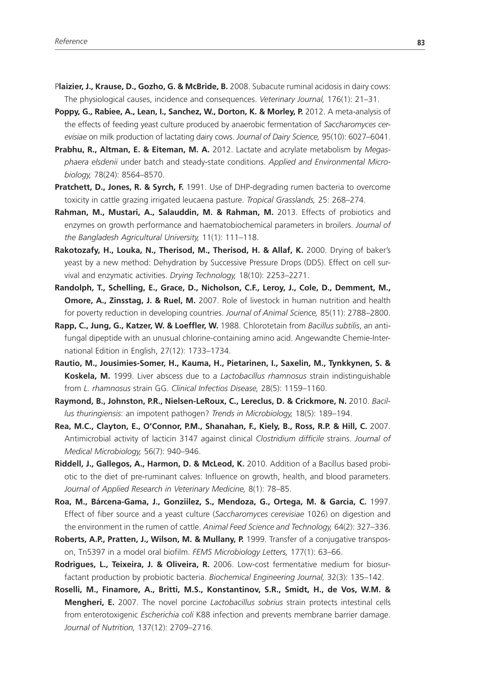- P**laizier, J., Krause, D., Gozho, G. & McBride, B.** 2008. Subacute ruminal acidosis in dairy cows: The physiological causes, incidence and consequences. *Veterinary Journal,* 176(1): 21–31.
- Poppy, G., Rabiee, A., Lean, I., Sanchez, W., Dorton, K. & Morley, P. 2012. A meta-analysis of the effects of feeding yeast culture produced by anaerobic fermentation of *Saccharomyces cerevisiae* on milk production of lactating dairy cows. *Journal of Dairy Science,* 95(10): 6027–6041.
- **Prabhu, R., Altman, E. & Eiteman, M. A.** 2012. Lactate and acrylate metabolism by *Megasphaera elsdenii* under batch and steady-state conditions. *Applied and Environmental Microbiology,* 78(24): 8564–8570.
- **Pratchett, D., Jones, R. & Syrch, F.** 1991. Use of DHP-degrading rumen bacteria to overcome toxicity in cattle grazing irrigated leucaena pasture. *Tropical Grasslands,* 25: 268–274.
- **Rahman, M., Mustari, A., Salauddin, M. & Rahman, M.** 2013. Effects of probiotics and enzymes on growth performance and haematobiochemical parameters in broilers. *Journal of the Bangladesh Agricultural University,* 11(1): 111–118.
- **Rakotozafy, H., Louka, N., Therisod, M., Therisod, H. & Allaf, K.** 2000. Drying of baker's yeast by a new method: Dehydration by Successive Pressure Drops (DDS). Effect on cell survival and enzymatic activities. *Drying Technology,* 18(10): 2253–2271.
- **Randolph, T., Schelling, E., Grace, D., Nicholson, C.F., Leroy, J., Cole, D., Demment, M., Omore, A., Zinsstag, J. & Ruel, M.** 2007. Role of livestock in human nutrition and health for poverty reduction in developing countries. *Journal of Animal Science,* 85(11): 2788–2800.
- **Rapp, C., Jung, G., Katzer, W. & Loeffler, W.** 1988. Chlorotetain from *Bacillus subtilis*, an antifungal dipeptide with an unusual chlorine-containing amino acid. Angewandte Chemie-International Edition in English, 27(12): 1733–1734.
- **Rautio, M., Jousimies-Somer, H., Kauma, H., Pietarinen, I., Saxelin, M., Tynkkynen, S. & Koskela, M.** 1999. Liver abscess due to a *Lactobacillus rhamnosus* strain indistinguishable from *L. rhamnosus* strain GG. *Clinical Infectios Disease,* 28(5): 1159–1160.
- Raymond, B., Johnston, P.R., Nielsen-LeRoux, C., Lereclus, D. & Crickmore, N. 2010. Bacil*lus thuringiensis*: an impotent pathogen? *Trends in Microbiology,* 18(5): 189–194.
- Rea, M.C., Clayton, E., O'Connor, P.M., Shanahan, F., Kiely, B., Ross, R.P. & Hill, C. 2007. Antimicrobial activity of lacticin 3147 against clinical *Clostridium difficile* strains. *Journal of Medical Microbiology,* 56(7): 940–946.
- **Riddell, J., Gallegos, A., Harmon, D. & McLeod, K.** 2010. Addition of a Bacillus based probiotic to the diet of pre-ruminant calves: Influence on growth, health, and blood parameters. *Journal of Applied Research in Veterinary Medicine,* 8(1): 78–85.
- **Roa, M., Bárcena-Gama, J., Gonziilez, S., Mendoza, G., Ortega, M. & Garcia, C.** 1997. Effect of fiber source and a yeast culture (*Saccharomyces cerevisiae* 1026) on digestion and the environment in the rumen of cattle. *Animal Feed Science and Technology,* 64(2): 327–336.
- **Roberts, A.P., Pratten, J., Wilson, M. & Mullany, P.** 1999. Transfer of a conjugative transposon, Tn5397 in a model oral biofilm. *FEMS Microbiology Letters,* 177(1): 63–66.
- **Rodrigues, L., Teixeira, J. & Oliveira, R.** 2006. Low-cost fermentative medium for biosurfactant production by probiotic bacteria. *Biochemical Engineering Journal,* 32(3): 135–142.
- **Roselli, M., Finamore, A., Britti, M.S., Konstantinov, S.R., Smidt, H., de Vos, W.M. & Mengheri, E.** 2007. The novel porcine *Lactobacillus sobrius* strain protects intestinal cells from enterotoxigenic *Escherichia coli* K88 infection and prevents membrane barrier damage. *Journal of Nutrition,* 137(12): 2709–2716.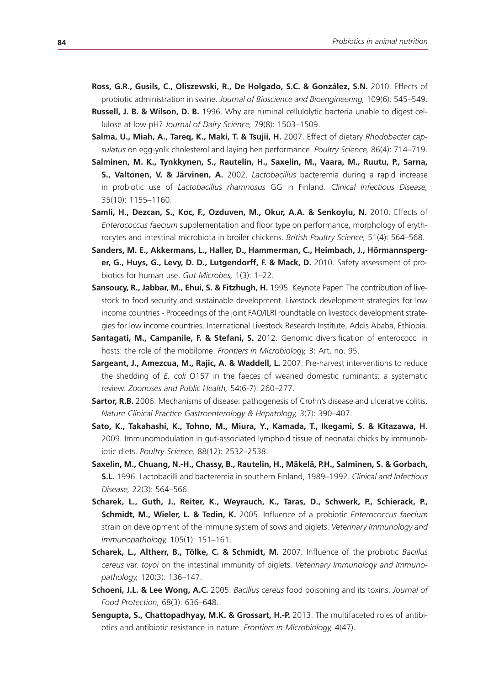- **Ross, G.R., Gusils, C., Oliszewski, R., De Holgado, S.C. & González, S.N.** 2010. Effects of probiotic administration in swine. *Journal of Bioscience and Bioengineering,* 109(6): 545–549.
- **Russell, J. B. & Wilson, D. B.** 1996. Why are ruminal cellulolytic bacteria unable to digest cellulose at low pH? *Journal of Dairy Science,* 79(8): 1503–1509.
- **Salma, U., Miah, A., Tareq, K., Maki, T. & Tsujii, H.** 2007. Effect of dietary *Rhodobacter capsulatus* on egg-yolk cholesterol and laying hen performance. *Poultry Science,* 86(4): 714–719.
- **Salminen, M. K., Tynkkynen, S., Rautelin, H., Saxelin, M., Vaara, M., Ruutu, P., Sarna, S., Valtonen, V. & Järvinen, A.** 2002. *Lactobacillus* bacteremia during a rapid increase in probiotic use of *Lactobacillus rhamnosus* GG in Finland. *Clinical Infectious Disease,* 35(10): 1155–1160.
- Samli, H., Dezcan, S., Koc, F., Ozduven, M., Okur, A.A. & Senkoylu, N. 2010. Effects of *Enterococcus faecium* supplementation and floor type on performance, morphology of erythrocytes and intestinal microbiota in broiler chickens. *British Poultry Science,* 51(4): 564–568.
- **Sanders, M. E., Akkermans, L., Haller, D., Hammerman, C., Heimbach, J., Hörmannsperger, G., Huys, G., Levy, D. D., Lutgendorff, F. & Mack, D.** 2010. Safety assessment of probiotics for human use. *Gut Microbes,* 1(3): 1–22.
- **Sansoucy, R., Jabbar, M., Ehui, S. & Fitzhugh, H.** 1995. Keynote Paper: The contribution of livestock to food security and sustainable development. Livestock development strategies for low income countries - Proceedings of the joint FAO/ILRI roundtable on livestock development strategies for low income countries. International Livestock Research Institute, Addis Ababa, Ethiopia.
- **Santagati, M., Campanile, F. & Stefani, S.** 2012. Genomic diversification of enterococci in hosts: the role of the mobilome. *Frontiers in Microbiology,* 3: Art. no. 95.
- **Sargeant, J., Amezcua, M., Rajic, A. & Waddell, L.** 2007. Pre-harvest interventions to reduce the shedding of *E. coli* O157 in the faeces of weaned domestic ruminants: a systematic review. *Zoonoses and Public Health,* 54(6-7): 260–277.
- **Sartor, R.B.** 2006. Mechanisms of disease: pathogenesis of Crohn's disease and ulcerative colitis. *Nature Clinical Practice Gastroenterology & Hepatology,* 3(7): 390–407.
- **Sato, K., Takahashi, K., Tohno, M., Miura, Y., Kamada, T., Ikegami, S. & Kitazawa, H.**  2009. Immunomodulation in gut-associated lymphoid tissue of neonatal chicks by immunobiotic diets. *Poultry Science,* 88(12): 2532–2538.
- **Saxelin, M., Chuang, N.-H., Chassy, B., Rautelin, H., Mäkelä, P.H., Salminen, S. & Gorbach, S.L.** 1996. Lactobacilli and bacteremia in southern Finland, 1989–1992. *Clinical and Infectious Disease,* 22(3): 564–566.
- **Scharek, L., Guth, J., Reiter, K., Weyrauch, K., Taras, D., Schwerk, P., Schierack, P., Schmidt, M., Wieler, L. & Tedin, K.** 2005. Influence of a probiotic *Enterococcus faecium* strain on development of the immune system of sows and piglets. *Veterinary Immunology and Immunopathology,* 105(1): 151–161.
- **Scharek, L., Altherr, B., Tölke, C. & Schmidt, M.** 2007. Influence of the probiotic *Bacillus cereus* var. *toyoi* on the intestinal immunity of piglets. *Veterinary Immunology and Immunopathology,* 120(3): 136–147.
- **Schoeni, J.L. & Lee Wong, A.C.** 2005. *Bacillus cereus* food poisoning and its toxins. *Journal of Food Protection,* 68(3): 636–648.
- **Sengupta, S., Chattopadhyay, M.K. & Grossart, H.-P.** 2013. The multifaceted roles of antibiotics and antibiotic resistance in nature. *Frontiers in Microbiology,* 4(47).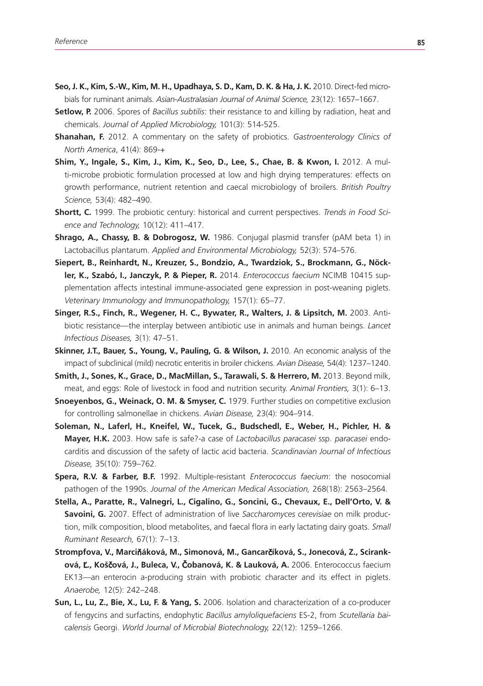- **Seo, J. K., Kim, S.-W., Kim, M. H., Upadhaya, S. D., Kam, D. K. & Ha, J. K.** 2010. Direct-fed microbials for ruminant animals. *Asian-Australasian Journal of Animal Science,* 23(12): 1657–1667.
- **Setlow, P.** 2006. Spores of *Bacillus subtilis*: their resistance to and killing by radiation, heat and chemicals. *Journal of Applied Microbiology,* 101(3): 514-525.
- **Shanahan, F.** 2012. A commentary on the safety of probiotics. *Gastroenterology Clinics of North America*, 41(4): 869-+
- **Shim, Y., Ingale, S., Kim, J., Kim, K., Seo, D., Lee, S., Chae, B. & Kwon, I. 2012. A mul**ti-microbe probiotic formulation processed at low and high drying temperatures: effects on growth performance, nutrient retention and caecal microbiology of broilers. *British Poultry Science,* 53(4): 482–490.
- **Shortt, C.** 1999. The probiotic century: historical and current perspectives. *Trends in Food Science and Technology,* 10(12): 411–417.
- **Shrago, A., Chassy, B. & Dobrogosz, W.** 1986. Conjugal plasmid transfer (pAM beta 1) in Lactobacillus plantarum. *Applied and Environmental Microbiology,* 52(3): 574–576.
- **Siepert, B., Reinhardt, N., Kreuzer, S., Bondzio, A., Twardziok, S., Brockmann, G., Nöckler, K., Szabó, I., Janczyk, P. & Pieper, R.** 2014. *Enterococcus faecium* NCIMB 10415 supplementation affects intestinal immune-associated gene expression in post-weaning piglets. *Veterinary Immunology and Immunopathology,* 157(1): 65–77.
- **Singer, R.S., Finch, R., Wegener, H. C., Bywater, R., Walters, J. & Lipsitch, M. 2003. Anti**biotic resistance—the interplay between antibiotic use in animals and human beings. *Lancet Infectious Diseases,* 3(1): 47–51.
- **Skinner, J.T., Bauer, S., Young, V., Pauling, G. & Wilson, J.** 2010. An economic analysis of the impact of subclinical (mild) necrotic enteritis in broiler chickens. *Avian Disease,* 54(4): 1237–1240.
- **Smith, J., Sones, K., Grace, D., MacMillan, S., Tarawali, S. & Herrero, M.** 2013. Beyond milk, meat, and eggs: Role of livestock in food and nutrition security. *Animal Frontiers,* 3(1): 6–13.
- **Snoeyenbos, G., Weinack, O. M. & Smyser, C.** 1979. Further studies on competitive exclusion for controlling salmonellae in chickens. *Avian Disease,* 23(4): 904–914.
- **Soleman, N., Laferl, H., Kneifel, W., Tucek, G., Budschedl, E., Weber, H., Pichler, H. & Mayer, H.K.** 2003. How safe is safe?-a case of *Lactobacillus paracasei* ssp. *paracasei* endocarditis and discussion of the safety of lactic acid bacteria. *Scandinavian Journal of Infectious Disease,* 35(10): 759–762.
- **Spera, R.V. & Farber, B.F.** 1992. Multiple-resistant *Enterococcus faecium*: the nosocomial pathogen of the 1990s. *Journal of the American Medical Association,* 268(18): 2563–2564.
- **Stella, A., Paratte, R., Valnegri, L., Cigalino, G., Soncini, G., Chevaux, E., Dell'Orto, V. & Savoini, G.** 2007. Effect of administration of live *Saccharomyces cerevisiae* on milk production, milk composition, blood metabolites, and faecal flora in early lactating dairy goats. *Small Ruminant Research,* 67(1): 7–13.
- **Strompfova, V., Marci**ň**áková, M., Simonová, M., Gancar**č**íková, S., Jonecová, Z., Sciranková,** Ľ**., Koš**č**ová, J., Buleca, V.,** Č**obanová, K. & Lauková, A.** 2006. Enterococcus faecium EK13—an enterocin a-producing strain with probiotic character and its effect in piglets. *Anaerobe,* 12(5): 242–248.
- **Sun, L., Lu, Z., Bie, X., Lu, F. & Yang, S.** 2006. Isolation and characterization of a co-producer of fengycins and surfactins, endophytic *Bacillus amyloliquefaciens* ES-2, from *Scutellaria baicalensis* Georgi. *World Journal of Microbial Biotechnology,* 22(12): 1259–1266.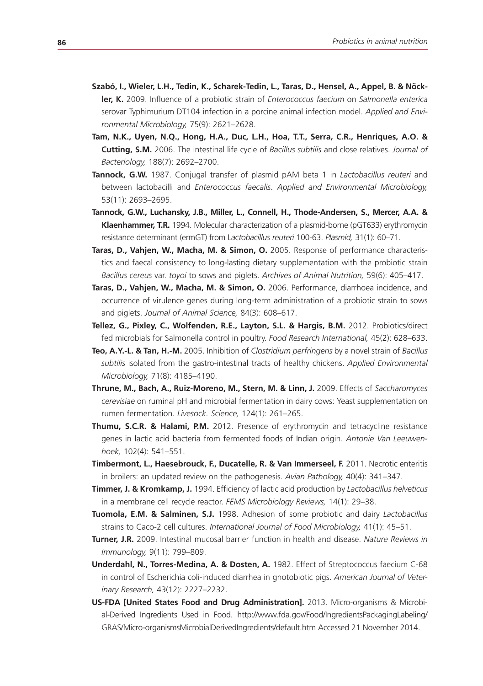- **Szabó, I., Wieler, L.H., Tedin, K., Scharek-Tedin, L., Taras, D., Hensel, A., Appel, B. & Nöckler, K.** 2009. Influence of a probiotic strain of *Enterococcus faecium* on *Salmonella enterica* serovar Typhimurium DT104 infection in a porcine animal infection model. *Applied and Environmental Microbiology,* 75(9): 2621–2628.
- **Tam, N.K., Uyen, N.Q., Hong, H.A., Duc, L.H., Hoa, T.T., Serra, C.R., Henriques, A.O. & Cutting, S.M.** 2006. The intestinal life cycle of *Bacillus subtilis* and close relatives. *Journal of Bacteriology,* 188(7): 2692–2700.
- **Tannock, G.W.** 1987. Conjugal transfer of plasmid pAM beta 1 in *Lactobacillus reuteri* and between lactobacilli and *Enterococcus faecalis*. *Applied and Environmental Microbiology,* 53(11): 2693–2695.
- **Tannock, G.W., Luchansky, J.B., Miller, L., Connell, H., Thode-Andersen, S., Mercer, A.A. & Klaenhammer, T.R.** 1994. Molecular characterization of a plasmid-borne (pGT633) erythromycin resistance determinant (ermGT) from L*actobacillus reuteri* 100-63. *Plasmid,* 31(1): 60–71.
- **Taras, D., Vahjen, W., Macha, M. & Simon, O.** 2005. Response of performance characteristics and faecal consistency to long-lasting dietary supplementation with the probiotic strain *Bacillus cereus* var. *toyoi* to sows and piglets. *Archives of Animal Nutrition,* 59(6): 405–417.
- **Taras, D., Vahjen, W., Macha, M. & Simon, O.** 2006. Performance, diarrhoea incidence, and occurrence of virulence genes during long-term administration of a probiotic strain to sows and piglets. *Journal of Animal Science,* 84(3): 608–617.
- **Tellez, G., Pixley, C., Wolfenden, R.E., Layton, S.L. & Hargis, B.M.** 2012. Probiotics/direct fed microbials for Salmonella control in poultry. *Food Research International,* 45(2): 628–633.
- **Teo, A.Y.-L. & Tan, H.-M.** 2005. Inhibition of *Clostridium perfringens* by a novel strain of *Bacillus subtilis* isolated from the gastro-intestinal tracts of healthy chickens. *Applied Environmental Microbiology,* 71(8): 4185–4190.
- **Thrune, M., Bach, A., Ruiz-Moreno, M., Stern, M. & Linn, J.** 2009. Effects of *Saccharomyces cerevisiae* on ruminal pH and microbial fermentation in dairy cows: Yeast supplementation on rumen fermentation. *Livesock. Science,* 124(1): 261–265.
- **Thumu, S.C.R. & Halami, P.M.** 2012. Presence of erythromycin and tetracycline resistance genes in lactic acid bacteria from fermented foods of Indian origin. *Antonie Van Leeuwenhoek,* 102(4): 541–551.
- **Timbermont, L., Haesebrouck, F., Ducatelle, R. & Van Immerseel, F. 2011. Necrotic enteritis** in broilers: an updated review on the pathogenesis. *Avian Pathology,* 40(4): 341–347.
- **Timmer, J. & Kromkamp, J.** 1994. Efficiency of lactic acid production by *Lactobacillus helveticus*  in a membrane cell recycle reactor. *FEMS Microbiology Reviews,* 14(1): 29–38.
- **Tuomola, E.M. & Salminen, S.J.** 1998. Adhesion of some probiotic and dairy *Lactobacillus* strains to Caco-2 cell cultures. *International Journal of Food Microbiology,* 41(1): 45–51.
- **Turner, J.R.** 2009. Intestinal mucosal barrier function in health and disease. *Nature Reviews in Immunology,* 9(11): 799–809.
- **Underdahl, N., Torres-Medina, A. & Dosten, A.** 1982. Effect of Streptococcus faecium C-68 in control of Escherichia coli-induced diarrhea in gnotobiotic pigs. *American Journal of Veterinary Research,* 43(12): 2227–2232.
- **US-FDA [United States Food and Drug Administration].** 2013. Micro-organisms & Microbial-Derived Ingredients Used in Food. http://www.fda.gov/Food/IngredientsPackagingLabeling/ GRAS/Micro-organismsMicrobialDerivedIngredients/default.htm Accessed 21 November 2014.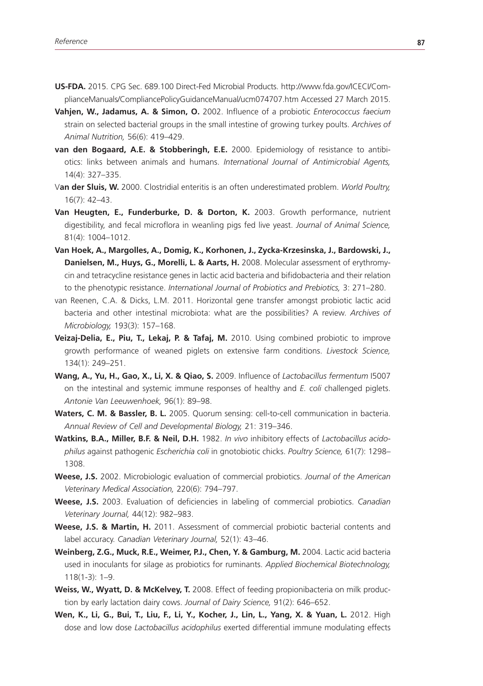- **US-FDA.** 2015. CPG Sec. 689.100 Direct-Fed Microbial Products. http://www.fda.gov/ICECI/ComplianceManuals/CompliancePolicyGuidanceManual/ucm074707.htm Accessed 27 March 2015.
- **Vahjen, W., Jadamus, A. & Simon, O.** 2002. Influence of a probiotic *Enterococcus faecium* strain on selected bacterial groups in the small intestine of growing turkey poults. *Archives of Animal Nutrition,* 56(6): 419–429.
- **van den Bogaard, A.E. & Stobberingh, E.E.** 2000. Epidemiology of resistance to antibiotics: links between animals and humans. *International Journal of Antimicrobial Agents,* 14(4): 327–335.
- V**an der Sluis, W.** 2000. Clostridial enteritis is an often underestimated problem. *World Poultry,* 16(7): 42–43.
- **Van Heugten, E., Funderburke, D. & Dorton, K.** 2003. Growth performance, nutrient digestibility, and fecal microflora in weanling pigs fed live yeast. *Journal of Animal Science,* 81(4): 1004–1012.
- **Van Hoek, A., Margolles, A., Domig, K., Korhonen, J., Zycka-Krzesinska, J., Bardowski, J.,**  Danielsen, M., Huys, G., Morelli, L. & Aarts, H. 2008. Molecular assessment of erythromycin and tetracycline resistance genes in lactic acid bacteria and bifidobacteria and their relation to the phenotypic resistance. *International Journal of Probiotics and Prebiotics,* 3: 271–280.
- van Reenen, C.A. & Dicks, L.M. 2011. Horizontal gene transfer amongst probiotic lactic acid bacteria and other intestinal microbiota: what are the possibilities? A review. *Archives of Microbiology,* 193(3): 157–168.
- **Veizaj-Delia, E., Piu, T., Lekaj, P. & Tafaj, M.** 2010. Using combined probiotic to improve growth performance of weaned piglets on extensive farm conditions. *Livestock Science,* 134(1): 249–251.
- **Wang, A., Yu, H., Gao, X., Li, X. & Qiao, S.** 2009. Influence of *Lactobacillus fermentum* I5007 on the intestinal and systemic immune responses of healthy and *E. coli* challenged piglets. *Antonie Van Leeuwenhoek,* 96(1): 89–98.
- **Waters, C. M. & Bassler, B. L.** 2005. Quorum sensing: cell-to-cell communication in bacteria. *Annual Review of Cell and Developmental Biology,* 21: 319–346.
- **Watkins, B.A., Miller, B.F. & Neil, D.H.** 1982. *In vivo* inhibitory effects of *Lactobacillus acidophilus* against pathogenic *Escherichia coli* in gnotobiotic chicks. *Poultry Science,* 61(7): 1298– 1308.
- **Weese, J.S.** 2002. Microbiologic evaluation of commercial probiotics. *Journal of the American Veterinary Medical Association,* 220(6): 794–797.
- **Weese, J.S.** 2003. Evaluation of deficiencies in labeling of commercial probiotics. *Canadian Veterinary Journal,* 44(12): 982–983.
- **Weese, J.S. & Martin, H.** 2011. Assessment of commercial probiotic bacterial contents and label accuracy. *Canadian Veterinary Journal,* 52(1): 43–46.
- **Weinberg, Z.G., Muck, R.E., Weimer, P.J., Chen, Y. & Gamburg, M.** 2004. Lactic acid bacteria used in inoculants for silage as probiotics for ruminants. *Applied Biochemical Biotechnology,* 118(1-3): 1–9.
- **Weiss, W., Wyatt, D. & McKelvey, T.** 2008. Effect of feeding propionibacteria on milk production by early lactation dairy cows. *Journal of Dairy Science,* 91(2): 646–652.
- **Wen, K., Li, G., Bui, T., Liu, F., Li, Y., Kocher, J., Lin, L., Yang, X. & Yuan, L.** 2012. High dose and low dose *Lactobacillus acidophilus* exerted differential immune modulating effects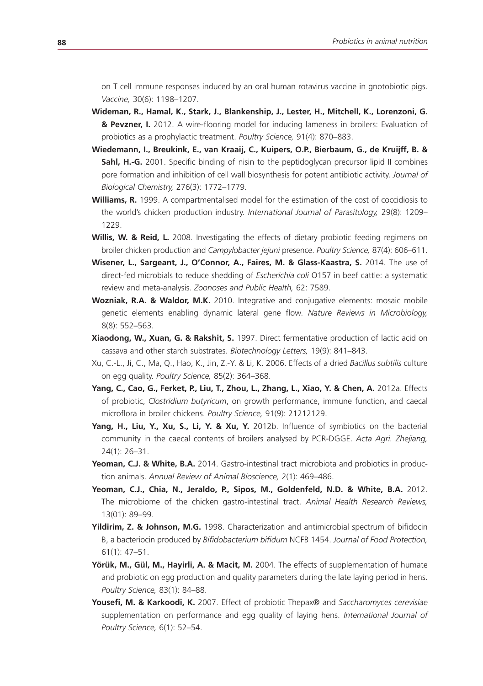on T cell immune responses induced by an oral human rotavirus vaccine in gnotobiotic pigs. *Vaccine,* 30(6): 1198–1207.

- **Wideman, R., Hamal, K., Stark, J., Blankenship, J., Lester, H., Mitchell, K., Lorenzoni, G. & Pevzner, I.** 2012. A wire-flooring model for inducing lameness in broilers: Evaluation of probiotics as a prophylactic treatment. *Poultry Science,* 91(4): 870–883.
- **Wiedemann, I., Breukink, E., van Kraaij, C., Kuipers, O.P., Bierbaum, G., de Kruijff, B. & Sahl, H.-G.** 2001. Specific binding of nisin to the peptidoglycan precursor lipid II combines pore formation and inhibition of cell wall biosynthesis for potent antibiotic activity. *Journal of Biological Chemistry,* 276(3): 1772–1779.
- **Williams, R.** 1999. A compartmentalised model for the estimation of the cost of coccidiosis to the world's chicken production industry. *International Journal of Parasitology,* 29(8): 1209– 1229.
- **Willis, W. & Reid, L.** 2008. Investigating the effects of dietary probiotic feeding regimens on broiler chicken production and *Campylobacter jejuni* presence. *Poultry Science,* 87(4): 606–611.
- **Wisener, L., Sargeant, J., O'Connor, A., Faires, M. & Glass-Kaastra, S.** 2014. The use of direct-fed microbials to reduce shedding of *Escherichia coli* O157 in beef cattle: a systematic review and meta-analysis. *Zoonoses and Public Health,* 62: 7589.
- **Wozniak, R.A. & Waldor, M.K.** 2010. Integrative and conjugative elements: mosaic mobile genetic elements enabling dynamic lateral gene flow. *Nature Reviews in Microbiology,* 8(8): 552–563.
- **Xiaodong, W., Xuan, G. & Rakshit, S.** 1997. Direct fermentative production of lactic acid on cassava and other starch substrates. *Biotechnology Letters,* 19(9): 841–843.
- Xu, C.-L., Ji, C., Ma, Q., Hao, K., Jin, Z.-Y. & Li, K. 2006. Effects of a dried *Bacillus subtilis* culture on egg quality. *Poultry Science,* 85(2): 364–368.
- Yang, C., Cao, G., Ferket, P., Liu, T., Zhou, L., Zhang, L., Xiao, Y. & Chen, A. 2012a. Effects of probiotic, *Clostridium butyricum*, on growth performance, immune function, and caecal microflora in broiler chickens. *Poultry Science,* 91(9): 21212129.
- Yang, H., Liu, Y., Xu, S., Li, Y. & Xu, Y. 2012b. Influence of symbiotics on the bacterial community in the caecal contents of broilers analysed by PCR-DGGE. *Acta Agri. Zhejiang,*  24(1): 26–31.
- Yeoman, C.J. & White, B.A. 2014. Gastro-intestinal tract microbiota and probiotics in production animals. *Annual Review of Animal Bioscience,* 2(1): 469–486.
- **Yeoman, C.J., Chia, N., Jeraldo, P., Sipos, M., Goldenfeld, N.D. & White, B.A.** 2012. The microbiome of the chicken gastro-intestinal tract. *Animal Health Research Reviews,* 13(01): 89–99.
- **Yildirim, Z. & Johnson, M.G.** 1998. Characterization and antimicrobial spectrum of bifidocin B, a bacteriocin produced by *Bifidobacterium bifidum* NCFB 1454. *Journal of Food Protection,* 61(1): 47–51.
- **Yörük, M., Gül, M., Hayirli, A. & Macit, M.** 2004. The effects of supplementation of humate and probiotic on egg production and quality parameters during the late laying period in hens. *Poultry Science,* 83(1): 84–88.
- **Yousefi, M. & Karkoodi, K.** 2007. Effect of probiotic Thepax® and *Saccharomyces cerevisiae* supplementation on performance and egg quality of laying hens. *International Journal of Poultry Science,* 6(1): 52–54.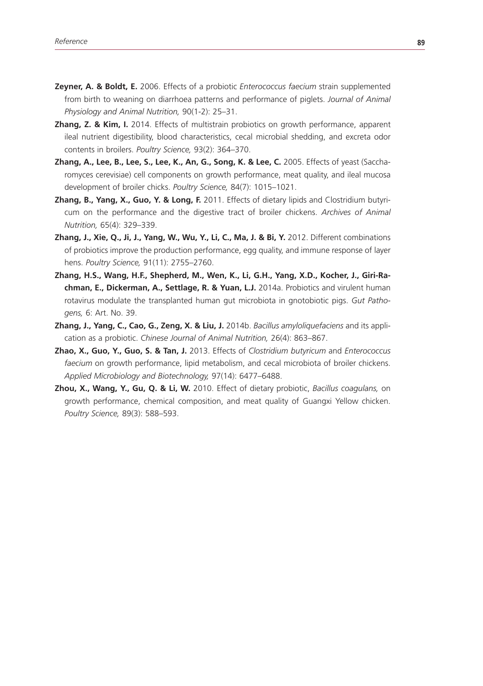- **Zeyner, A. & Boldt, E.** 2006. Effects of a probiotic *Enterococcus faecium* strain supplemented from birth to weaning on diarrhoea patterns and performance of piglets. *Journal of Animal Physiology and Animal Nutrition,* 90(1-2): 25–31.
- **Zhang, Z. & Kim, I.** 2014. Effects of multistrain probiotics on growth performance, apparent ileal nutrient digestibility, blood characteristics, cecal microbial shedding, and excreta odor contents in broilers. *Poultry Science,* 93(2): 364–370.
- **Zhang, A., Lee, B., Lee, S., Lee, K., An, G., Song, K. & Lee, C.** 2005. Effects of yeast (Saccharomyces cerevisiae) cell components on growth performance, meat quality, and ileal mucosa development of broiler chicks. *Poultry Science,* 84(7): 1015–1021.
- **Zhang, B., Yang, X., Guo, Y. & Long, F.** 2011. Effects of dietary lipids and Clostridium butyricum on the performance and the digestive tract of broiler chickens. *Archives of Animal Nutrition,* 65(4): 329–339.
- **Zhang, J., Xie, Q., Ji, J., Yang, W., Wu, Y., Li, C., Ma, J. & Bi, Y.** 2012. Different combinations of probiotics improve the production performance, egg quality, and immune response of layer hens. *Poultry Science,* 91(11): 2755–2760.
- **Zhang, H.S., Wang, H.F., Shepherd, M., Wen, K., Li, G.H., Yang, X.D., Kocher, J., Giri-Rachman, E., Dickerman, A., Settlage, R. & Yuan, L.J.** 2014a. Probiotics and virulent human rotavirus modulate the transplanted human gut microbiota in gnotobiotic pigs. *Gut Pathogens,* 6: Art. No. 39.
- **Zhang, J., Yang, C., Cao, G., Zeng, X. & Liu, J.** 2014b. *Bacillus amyloliquefaciens* and its application as a probiotic. *Chinese Journal of Animal Nutrition,* 26(4): 863–867.
- **Zhao, X., Guo, Y., Guo, S. & Tan, J.** 2013. Effects of *Clostridium butyricum* and *Enterococcus faecium* on growth performance, lipid metabolism, and cecal microbiota of broiler chickens. *Applied Microbiology and Biotechnology,* 97(14): 6477–6488.
- **Zhou, X., Wang, Y., Gu, Q. & Li, W.** 2010. Effect of dietary probiotic, *Bacillus coagulans,* on growth performance, chemical composition, and meat quality of Guangxi Yellow chicken. *Poultry Science,* 89(3): 588–593.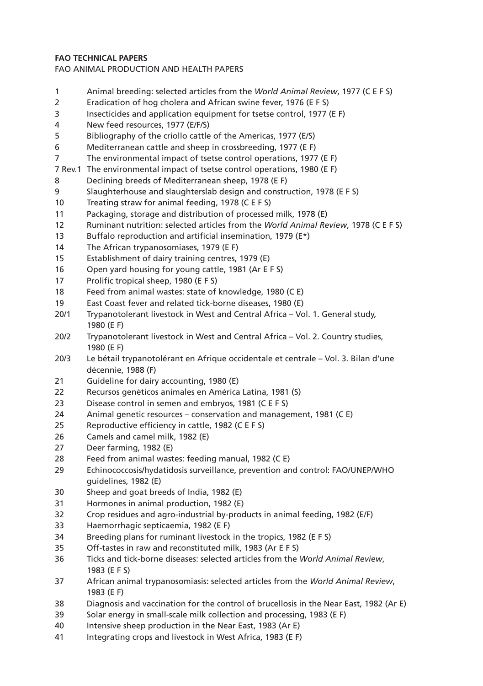## **FAO TECHNICAL PAPERS**

FAO ANIMAL PRODUCTION AND HEALTH PAPERS

- Animal breeding: selected articles from the *World Animal Review*, 1977 (C E F S)
- Eradication of hog cholera and African swine fever, 1976 (E F S)
- Insecticides and application equipment for tsetse control, 1977 (E F)
- New feed resources, 1977 (E/F/S)
- Bibliography of the criollo cattle of the Americas, 1977 (E/S)
- Mediterranean cattle and sheep in crossbreeding, 1977 (E F)
- The environmental impact of tsetse control operations, 1977 (E F)
- 7 Rev.1 The environmental impact of tsetse control operations, 1980 (E F)
- Declining breeds of Mediterranean sheep, 1978 (E F)
- Slaughterhouse and slaughterslab design and construction, 1978 (E F S)
- Treating straw for animal feeding, 1978 (C E F S)
- Packaging, storage and distribution of processed milk, 1978 (E)
- Ruminant nutrition: selected articles from the *World Animal Review*, 1978 (C E F S)
- Buffalo reproduction and artificial insemination, 1979 (E\*)
- The African trypanosomiases, 1979 (E F)
- Establishment of dairy training centres, 1979 (E)
- Open yard housing for young cattle, 1981 (Ar E F S)
- Prolific tropical sheep, 1980 (E F S)
- Feed from animal wastes: state of knowledge, 1980 (C E)
- East Coast fever and related tick-borne diseases, 1980 (E)
- 20/1 Trypanotolerant livestock in West and Central Africa Vol. 1. General study, 1980 (E F)
- 20/2 Trypanotolerant livestock in West and Central Africa Vol. 2. Country studies, 1980 (E F)
- 20/3 Le bétail trypanotolérant en Afrique occidentale et centrale Vol. 3. Bilan d'une décennie, 1988 (F)
- Guideline for dairy accounting, 1980 (E)
- Recursos genéticos animales en América Latina, 1981 (S)
- Disease control in semen and embryos, 1981 (C E F S)
- Animal genetic resources conservation and management, 1981 (C E)
- Reproductive efficiency in cattle, 1982 (C E F S)
- Camels and camel milk, 1982 (E)
- Deer farming, 1982 (E)
- Feed from animal wastes: feeding manual, 1982 (C E)
- Echinococcosis/hydatidosis surveillance, prevention and control: FAO/UNEP/WHO guidelines, 1982 (E)
- Sheep and goat breeds of India, 1982 (E)
- Hormones in animal production, 1982 (E)
- Crop residues and agro-industrial by-products in animal feeding, 1982 (E/F)
- Haemorrhagic septicaemia, 1982 (E F)
- Breeding plans for ruminant livestock in the tropics, 1982 (E F S)
- Off-tastes in raw and reconstituted milk, 1983 (Ar E F S)
- Ticks and tick-borne diseases: selected articles from the *World Animal Review*, 1983 (E F S)
- African animal trypanosomiasis: selected articles from the *World Animal Review*, 1983 (E F)
- Diagnosis and vaccination for the control of brucellosis in the Near East, 1982 (Ar E)
- Solar energy in small-scale milk collection and processing, 1983 (E F)
- Intensive sheep production in the Near East, 1983 (Ar E)
- Integrating crops and livestock in West Africa, 1983 (E F)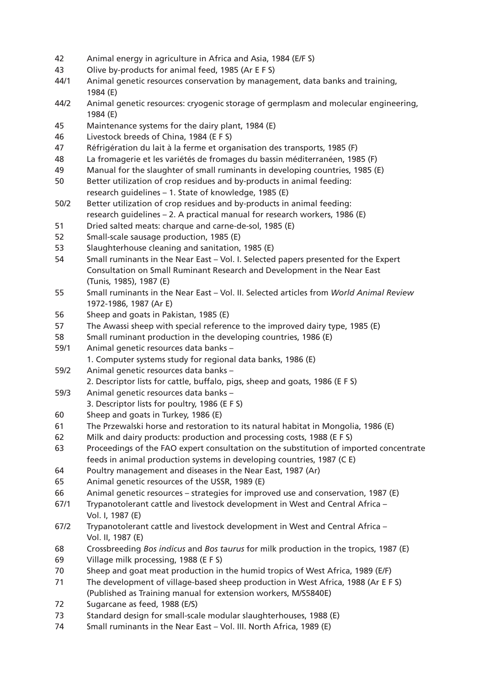- 42 Animal energy in agriculture in Africa and Asia, 1984 (E/F S)
- 43 Olive by-products for animal feed, 1985 (Ar E F S)
- 44/1 Animal genetic resources conservation by management, data banks and training, 1984 (E)
- 44/2 Animal genetic resources: cryogenic storage of germplasm and molecular engineering, 1984 (E)
- 45 Maintenance systems for the dairy plant, 1984 (E)
- 46 Livestock breeds of China, 1984 (E F S)
- 47 Réfrigération du lait à la ferme et organisation des transports, 1985 (F)
- 48 La fromagerie et les variétés de fromages du bassin méditerranéen, 1985 (F)
- 49 Manual for the slaughter of small ruminants in developing countries, 1985 (E)
- 50 Better utilization of crop residues and by-products in animal feeding: research guidelines – 1. State of knowledge, 1985 (E)
- 50/2 Better utilization of crop residues and by-products in animal feeding: research guidelines – 2. A practical manual for research workers, 1986 (E)
- 51 Dried salted meats: charque and carne-de-sol, 1985 (E)
- 52 Small-scale sausage production, 1985 (E)
- 53 Slaughterhouse cleaning and sanitation, 1985 (E)
- 54 Small ruminants in the Near East Vol. I. Selected papers presented for the Expert Consultation on Small Ruminant Research and Development in the Near East (Tunis, 1985), 1987 (E)
- 55 Small ruminants in the Near East Vol. II. Selected articles from *World Animal Review* 1972-1986, 1987 (Ar E)
- 56 Sheep and goats in Pakistan, 1985 (E)
- 57 The Awassi sheep with special reference to the improved dairy type, 1985 (E)
- 58 Small ruminant production in the developing countries, 1986 (E)
- 59/1 Animal genetic resources data banks
	- 1. Computer systems study for regional data banks, 1986 (E)
- 59/2 Animal genetic resources data banks –
- 2. Descriptor lists for cattle, buffalo, pigs, sheep and goats, 1986 (E F S)
- 59/3 Animal genetic resources data banks
	- 3. Descriptor lists for poultry, 1986 (E F S)
- 60 Sheep and goats in Turkey, 1986 (E)
- 61 The Przewalski horse and restoration to its natural habitat in Mongolia, 1986 (E)
- 62 Milk and dairy products: production and processing costs, 1988 (E F S)
- 63 Proceedings of the FAO expert consultation on the substitution of imported concentrate feeds in animal production systems in developing countries, 1987 (C E)
- 64 Poultry management and diseases in the Near East, 1987 (Ar)
- 65 Animal genetic resources of the USSR, 1989 (E)
- 66 Animal genetic resources strategies for improved use and conservation, 1987 (E)
- 67/1 Trypanotolerant cattle and livestock development in West and Central Africa Vol. I, 1987 (E)
- 67/2 Trypanotolerant cattle and livestock development in West and Central Africa Vol. II, 1987 (E)
- 68 Crossbreeding *Bos indicus* and *Bos taurus* for milk production in the tropics, 1987 (E)
- 69 Village milk processing, 1988 (E F S)
- 70 Sheep and goat meat production in the humid tropics of West Africa, 1989 (E/F)
- 71 The development of village-based sheep production in West Africa, 1988 (Ar E F S) (Published as Training manual for extension workers, M/S5840E)
- 72 Sugarcane as feed, 1988 (E/S)
- 73 Standard design for small-scale modular slaughterhouses, 1988 (E)
- 74 Small ruminants in the Near East Vol. III. North Africa, 1989 (E)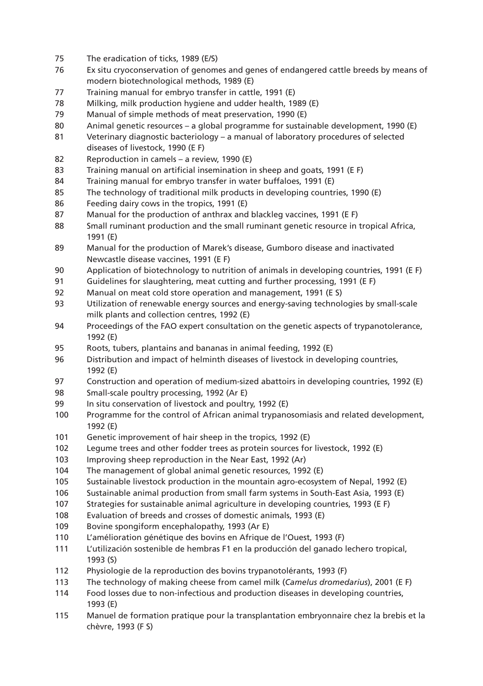- The eradication of ticks, 1989 (E/S)
- Ex situ cryoconservation of genomes and genes of endangered cattle breeds by means of modern biotechnological methods, 1989 (E)
- Training manual for embryo transfer in cattle, 1991 (E)
- Milking, milk production hygiene and udder health, 1989 (E)
- Manual of simple methods of meat preservation, 1990 (E)
- Animal genetic resources a global programme for sustainable development, 1990 (E)
- Veterinary diagnostic bacteriology a manual of laboratory procedures of selected diseases of livestock, 1990 (E F)
- Reproduction in camels a review, 1990 (E)
- Training manual on artificial insemination in sheep and goats, 1991 (E F)
- Training manual for embryo transfer in water buffaloes, 1991 (E)
- The technology of traditional milk products in developing countries, 1990 (E)
- Feeding dairy cows in the tropics, 1991 (E)
- 87 Manual for the production of anthrax and blackleg vaccines, 1991 (E F)
- Small ruminant production and the small ruminant genetic resource in tropical Africa, 1991 (E)
- Manual for the production of Marek's disease, Gumboro disease and inactivated Newcastle disease vaccines, 1991 (E F)
- Application of biotechnology to nutrition of animals in developing countries, 1991 (E F)
- Guidelines for slaughtering, meat cutting and further processing, 1991 (E F)
- Manual on meat cold store operation and management, 1991 (E S)
- Utilization of renewable energy sources and energy-saving technologies by small-scale milk plants and collection centres, 1992 (E)
- Proceedings of the FAO expert consultation on the genetic aspects of trypanotolerance, 1992 (E)
- Roots, tubers, plantains and bananas in animal feeding, 1992 (E)
- Distribution and impact of helminth diseases of livestock in developing countries, 1992 (E)
- Construction and operation of medium-sized abattoirs in developing countries, 1992 (E)
- Small-scale poultry processing, 1992 (Ar E)
- In situ conservation of livestock and poultry, 1992 (E)
- Programme for the control of African animal trypanosomiasis and related development, 1992 (E)
- Genetic improvement of hair sheep in the tropics, 1992 (E)
- Legume trees and other fodder trees as protein sources for livestock, 1992 (E)
- Improving sheep reproduction in the Near East, 1992 (Ar)
- The management of global animal genetic resources, 1992 (E)
- Sustainable livestock production in the mountain agro-ecosystem of Nepal, 1992 (E)
- Sustainable animal production from small farm systems in South-East Asia, 1993 (E)
- Strategies for sustainable animal agriculture in developing countries, 1993 (E F)
- Evaluation of breeds and crosses of domestic animals, 1993 (E)
- Bovine spongiform encephalopathy, 1993 (Ar E)
- L'amélioration génétique des bovins en Afrique de l'Ouest, 1993 (F)
- L'utilización sostenible de hembras F1 en la producción del ganado lechero tropical, 1993 (S)
- Physiologie de la reproduction des bovins trypanotolérants, 1993 (F)
- The technology of making cheese from camel milk (*Camelus dromedarius*), 2001 (E F)
- Food losses due to non-infectious and production diseases in developing countries, 1993 (E)
- Manuel de formation pratique pour la transplantation embryonnaire chez la brebis et la chèvre, 1993 (F S)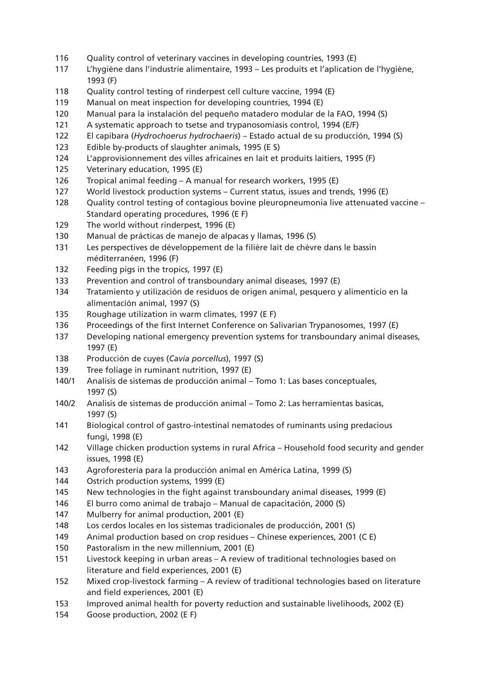- Quality control of veterinary vaccines in developing countries, 1993 (E)
- L'hygiène dans l'industrie alimentaire, 1993 Les produits et l'aplication de l'hygiène, 1993 (F)
- Quality control testing of rinderpest cell culture vaccine, 1994 (E)
- Manual on meat inspection for developing countries, 1994 (E)
- Manual para la instalación del pequeño matadero modular de la FAO, 1994 (S)
- A systematic approach to tsetse and trypanosomiasis control, 1994 (E/F)
- El capibara (*Hydrochoerus hydrochaeris*) Estado actual de su producción, 1994 (S)
- Edible by-products of slaughter animals, 1995 (E S)
- L'approvisionnement des villes africaines en lait et produits laitiers, 1995 (F)
- Veterinary education, 1995 (E)
- Tropical animal feeding A manual for research workers, 1995 (E)
- World livestock production systems Current status, issues and trends, 1996 (E)
- Quality control testing of contagious bovine pleuropneumonia live attenuated vaccine Standard operating procedures, 1996 (E F)
- The world without rinderpest, 1996 (E)
- Manual de prácticas de manejo de alpacas y llamas, 1996 (S)
- Les perspectives de développement de la filière lait de chèvre dans le bassin méditerranéen, 1996 (F)
- Feeding pigs in the tropics, 1997 (E)
- Prevention and control of transboundary animal diseases, 1997 (E)
- Tratamiento y utilización de residuos de origen animal, pesquero y alimenticio en la alimentación animal, 1997 (S)
- Roughage utilization in warm climates, 1997 (E F)
- Proceedings of the first Internet Conference on Salivarian Trypanosomes, 1997 (E)
- Developing national emergency prevention systems for transboundary animal diseases, 1997 (E)
- Producción de cuyes (*Cavia porcellus*), 1997 (S)
- Tree foliage in ruminant nutrition, 1997 (E)
- 140/1 Analisis de sistemas de producción animal Tomo 1: Las bases conceptuales, 1997 (S)
- 140/2 Analisis de sistemas de producción animal Tomo 2: Las herramientas basicas, 1997 (S)
- Biological control of gastro-intestinal nematodes of ruminants using predacious fungi, 1998 (E)
- Village chicken production systems in rural Africa Household food security and gender issues, 1998 (E)
- Agroforestería para la producción animal en América Latina, 1999 (S)
- Ostrich production systems, 1999 (E)
- New technologies in the fight against transboundary animal diseases, 1999 (E)
- El burro como animal de trabajo Manual de capacitación, 2000 (S)
- Mulberry for animal production, 2001 (E)
- Los cerdos locales en los sistemas tradicionales de producción, 2001 (S)
- Animal production based on crop residues Chinese experiences, 2001 (C E)
- Pastoralism in the new millennium, 2001 (E)
- Livestock keeping in urban areas A review of traditional technologies based on literature and field experiences, 2001 (E)
- Mixed crop-livestock farming A review of traditional technologies based on literature and field experiences, 2001 (E)
- Improved animal health for poverty reduction and sustainable livelihoods, 2002 (E)
- Goose production, 2002 (E F)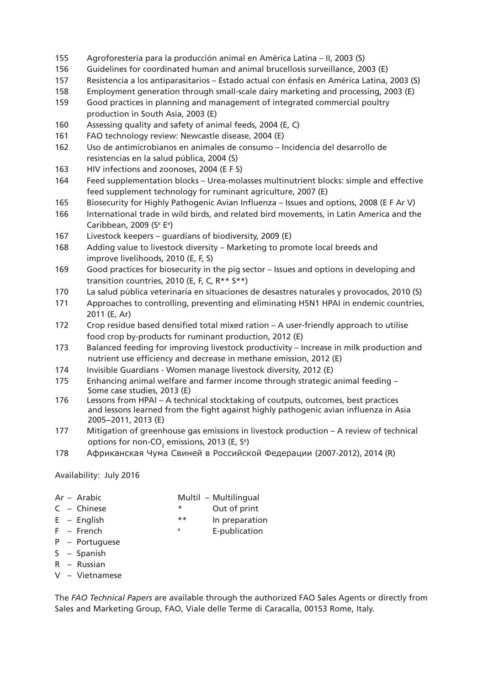- 155 Agroforestería para la producción animal en América Latina II, 2003 (S)
- 156 Guidelines for coordinated human and animal brucellosis surveillance, 2003 (E)
- 157 Resistencia a los antiparasitarios Estado actual con énfasis en América Latina, 2003 (S)
- 158 Employment generation through small-scale dairy marketing and processing, 2003 (E)
- 159 Good practices in planning and management of integrated commercial poultry production in South Asia, 2003 (E)
- 160 Assessing quality and safety of animal feeds, 2004 (E, C)
- 161 FAO technology review: Newcastle disease, 2004 (E)
- 162 Uso de antimicrobianos en animales de consumo Incidencia del desarrollo de resistencias en la salud pública, 2004 (S)
- 163 HIV infections and zoonoses, 2004 (E F S)
- 164 Feed supplementation blocks Urea-molasses multinutrient blocks: simple and effective feed supplement technology for ruminant agriculture, 2007 (E)
- 165 Biosecurity for Highly Pathogenic Avian Influenza Issues and options, 2008 (E F Ar V)
- 166 International trade in wild birds, and related bird movements, in Latin America and the Caribbean, 2009 (Se Ee )
- 167 Livestock keepers guardians of biodiversity, 2009 (E)
- 168 Adding value to livestock diversity Marketing to promote local breeds and improve livelihoods, 2010 (E, F, S)
- 169 Good practices for biosecurity in the pig sector Issues and options in developing and transition countries, 2010 (E, F, C, R\*\* S\*\*)
- 170 La salud pública veterinaria en situaciones de desastres naturales y provocados, 2010 (S)
- 171 Approaches to controlling, preventing and eliminating H5N1 HPAI in endemic countries, 2011 (E, Ar)
- 172 Crop residue based densified total mixed ration A user-friendly approach to utilise food crop by-products for ruminant production, 2012 (E)
- 173 Balanced feeding for improving livestock productivity Increase in milk production and nutrient use efficiency and decrease in methane emission, 2012 (E)
- 174 Invisible Guardians Women manage livestock diversity, 2012 (E)
- 175 Enhancing animal welfare and farmer income through strategic animal feeding Some case studies, 2013 (E)
- 176 Lessons from HPAI A technical stocktaking of coutputs, outcomes, best practices and lessons learned from the fight against highly pathogenic avian influenza in Asia 2005−2011, 2013 (E)
- 177 Mitigation of greenhouse gas emissions in livestock production A review of technical options for non-CO<sub>2</sub> emissions, 2013 (E, S<sup>e</sup>)
- 178 Африканская Чума Свиней в Российской Федерации (2007-2012), 2014 (R)

Availability: July 2016

- Ar Arabic Multil Multilingual
- C Chinese \* Out of print
- 

E – English  $**$  In preparation

- F French e E-publication
- P Portuguese
- S Spanish
- R Russian
- V Vietnamese

The *FAO Technical Papers* are available through the authorized FAO Sales Agents or directly from Sales and Marketing Group, FAO, Viale delle Terme di Caracalla, 00153 Rome, Italy.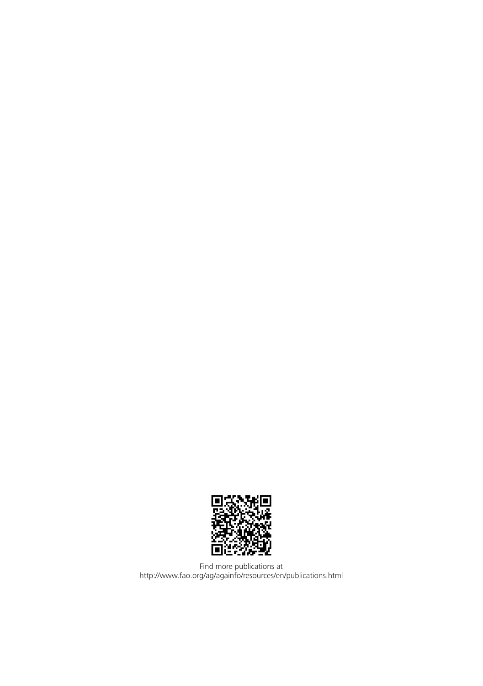

Find more publications at http://www.fao.org/ag/againfo/resources/en/publications.html